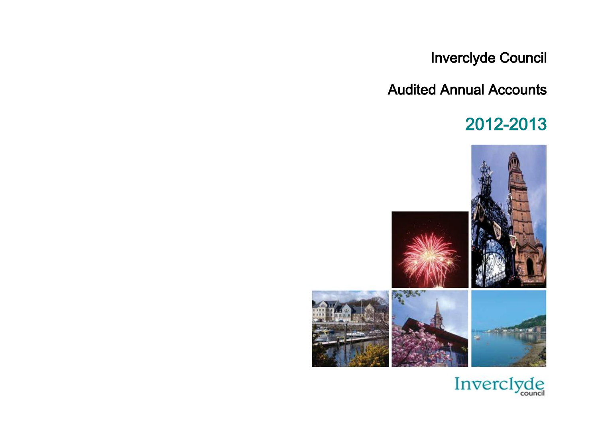Inverclyde Council

Audited Annual Accounts

# 2012-2013



Inverclyde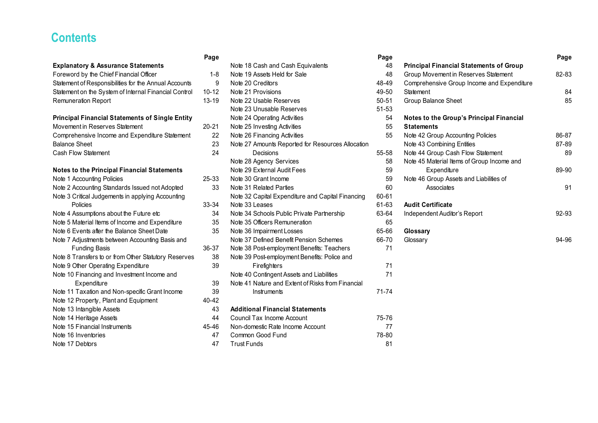### **Contents**

| Note 1 Accounting Policies                           | 25-33     | Note 30 Grant Income                          |
|------------------------------------------------------|-----------|-----------------------------------------------|
| Note 2 Accounting Standards Issued not Adopted       | 33        | Note 31 Related Parties                       |
| Note 3 Critical Judgements in applying Accounting    |           | Note 32 Capital Expenditure and Capital Finar |
| Policies                                             | $33 - 34$ | Note 33 Leases                                |
| Note 4 Assumptions about the Future etc.             | 34        | Note 34 Schools Public Private Partnership    |
| Note 5 Material Items of Income and Expenditure      | 35        | Note 35 Officers Remuneration                 |
| Note 6 Events after the Balance Sheet Date           | 35        | Note 36 Impairment Losses                     |
| Note 7 Adjustments between Accounting Basis and      |           | Note 37 Defined Benefit Pension Schemes       |
| <b>Funding Basis</b>                                 | 36-37     | Note 38 Post-employment Benefits: Teachers    |
| Note 8 Transfers to or from Other Statutory Reserves | 38        | Note 39 Post-employment Benefits: Police and  |
| Note 9 Other Operating Expenditure                   | 39        | Firefighters                                  |
| Note 10 Financing and Investment Income and          |           | Note 40 Contingent Assets and Liabilities     |
| Expenditure                                          | 39        | Note 41 Nature and Extent of Risks from Finar |
| Note 11 Taxation and Non-specific Grant Income       | 39        | Instruments                                   |
| Note 12 Property, Plant and Equipment                | 40-42     |                                               |
| Note 13 Intangible Assets                            | 43        | <b>Additional Financial Statements</b>        |
| Note 14 Heritage Assets                              | 44        | Council Tax Income Account                    |
| Note 15 Financial Instruments                        | 45-46     | Non-domestic Rate Income Account              |
| Note 16 Inventories                                  | 47        | Common Good Fund                              |
| $N = 1 - 47$ D $-11 - 1$                             | 17        | المناسب والتناسب ومتالا                       |

|                                                        | r ayc     |                                                   | r ayc     |                                                | r ayc |
|--------------------------------------------------------|-----------|---------------------------------------------------|-----------|------------------------------------------------|-------|
| <b>Explanatory &amp; Assurance Statements</b>          |           | Note 18 Cash and Cash Equivalents                 | 48        | <b>Principal Financial Statements of Group</b> |       |
| Foreword by the Chief Financial Officer                | $1 - 8$   | Note 19 Assets Held for Sale                      | 48        | Group Movement in Reserves Statement           | 82-83 |
| Statement of Responsibilities for the Annual Accounts  | 9         | Note 20 Creditors                                 | 48-49     | Comprehensive Group Income and Expenditure     |       |
| Statement on the System of Internal Financial Control  | $10 - 12$ | Note 21 Provisions                                | 49-50     | Statement                                      | 84    |
| <b>Remuneration Report</b>                             | $13 - 19$ | Note 22 Usable Reserves                           | $50 - 51$ | Group Balance Sheet                            | 85    |
|                                                        |           | Note 23 Unusable Reserves                         | 51-53     |                                                |       |
| <b>Principal Financial Statements of Single Entity</b> |           | Note 24 Operating Activities                      | 54        | Notes to the Group's Principal Financial       |       |
| Movement in Reserves Statement                         | $20 - 21$ | Note 25 Investing Activities                      | 55        | <b>Statements</b>                              |       |
| Comprehensive Income and Expenditure Statement         | 22        | Note 26 Financing Activities                      | 55        | Note 42 Group Accounting Policies              | 86-87 |
| <b>Balance Sheet</b>                                   | 23        | Note 27 Amounts Reported for Resources Allocation |           | Note 43 Combining Entities                     | 87-89 |
| <b>Cash Flow Statement</b>                             | 24        | Decisions                                         | 55-58     | Note 44 Group Cash Flow Statement              | 89    |
|                                                        |           | Note 28 Agency Services                           | 58        | Note 45 Material Items of Group Income and     |       |
| <b>Notes to the Principal Financial Statements</b>     |           | Note 29 External Audit Fees                       | 59        | Expenditure                                    | 89-90 |
| Note 1 Accounting Policies                             | 25-33     | Note 30 Grant Income                              | 59        | Note 46 Group Assets and Liabilities of        |       |
| Note 2 Accounting Standards Issued not Adopted         | 33        | Note 31 Related Parties                           | 60        | Associates                                     | 91    |
| Note 3 Critical Judgements in applying Accounting      |           | Note 32 Capital Expenditure and Capital Financing | 60-61     |                                                |       |
| Policies                                               | 33-34     | Note 33 Leases                                    | 61-63     | <b>Audit Certificate</b>                       |       |
| Note 4 Assumptions about the Future etc                | 34        | Note 34 Schools Public Private Partnership        | 63-64     | Independent Auditor's Report                   | 92-93 |
| Note 5 Material Items of Income and Expenditure        | 35        | Note 35 Officers Remuneration                     | 65        |                                                |       |
| Note 6 Events after the Balance Sheet Date             | 35        | Note 36 Impairment Losses                         | 65-66     | Glossary                                       |       |
| Note 7 Adjustments between Accounting Basis and        |           | Note 37 Defined Benefit Pension Schemes           | 66-70     | Glossary                                       | 94-96 |
| <b>Funding Basis</b>                                   | 36-37     | Note 38 Post-employment Benefits: Teachers        | 71        |                                                |       |
| Note 8 Transfers to or from Other Statutory Reserves   | 38        | Note 39 Post-employment Benefits: Police and      |           |                                                |       |
| Note 9 Other Operating Expenditure                     | 39        | Firefighters                                      | 71        |                                                |       |
| Note 10 Financing and Investment Income and            |           | Note 40 Contingent Assets and Liabilities         | 71        |                                                |       |
| Expenditure                                            | 39        | Note 41 Nature and Extent of Risks from Financial |           |                                                |       |
| Note 11 Taxation and Non-specific Grant Income         | 39        | Instruments                                       | 71-74     |                                                |       |
| Note 12 Property, Plant and Equipment                  | 40-42     |                                                   |           |                                                |       |
| Note 13 Intangible Assets                              | 43        | <b>Additional Financial Statements</b>            |           |                                                |       |
| Note 14 Heritage Assets                                | 44        | Council Tax Income Account                        | 75-76     |                                                |       |
| Note 15 Financial Instruments                          | 45-46     | Non-domestic Rate Income Account                  | 77        |                                                |       |
| Note 16 Inventories                                    | 47        | Common Good Fund                                  | 78-80     |                                                |       |
| Note 17 Debtors                                        | 47        | <b>Trust Funds</b>                                | 81        |                                                |       |

# **Page Page Page** Foreword Bigger Financial Officer 1-8 Novement in Reserves Statement 682-83 Statement on the System of Internal Financial Control 10-12 Note 21 Provisions 49-50 Statement 49-50 Statement<br>Remuneration Report 13-0 13-19 Note 22 Usable Reserves 50-51 Group Balance Sheet 65 Remuneration Report **13-19** Note 22 Usable Reserves 50-51 Group Balance Sheet 85 Comprehensive Income and Expenditure Statement 22 Note 26 Financing Activities 65 Note 42 Group Accounting Policies 86-87 Balance Sheet 23 Note 27 Amounts Reported for Resources Allocation Note 43 Combining Entities 87-89 Cash Flow Statement **24** 24 Decisions 55-58 Note 44 Group Cash Flow Statement 89 58 Note 45 Material Items of Group Income and **Notes to the Principal Financial Statements Note 29 External Audit Fees** 59 Expenditure 89-90 Assumption about the Future etc 34 Note 32-93 Independent Auditor's Report 64 Note 32-93 Independent Auditor's Report 92-93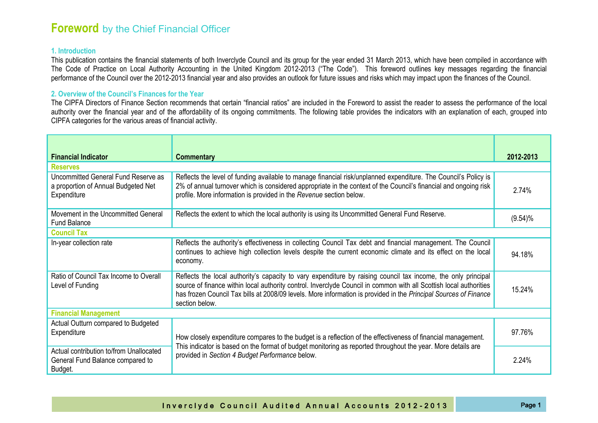### **Foreword** by the Chief Financial Officer

#### **1. Introduction**

This publication contains the financial statements of both Inverclyde Council and its group for the year ended 31 March 2013, which have been compiled in accordance with The Code of Practice on Local Authority Accounting in the United Kingdom 2012-2013 ("The Code"). This foreword outlines key messages regarding the financial performance of the Council over the 2012-2013 financial year and also provides an outlook for future issues and risks which may impact upon the finances of the Council.

#### **2. Overview of the Council's Finances for the Year**

The CIPFA Directors of Finance Section recommends that certain "financial ratios" are included in the Foreword to assist the reader to assess the performance of the local authority over the financial year and of the affordability of its ongoing commitments. The following table provides the indicators with an explanation of each, grouped into CIPFA categories for the various areas of financial activity.

| <b>Financial Indicator</b>                                                                                                                                                                                                                                                                                                                                                                                                      | <b>Commentary</b>                                                                                                                                                                                                                                                                                                                                                         | 2012-2013 |
|---------------------------------------------------------------------------------------------------------------------------------------------------------------------------------------------------------------------------------------------------------------------------------------------------------------------------------------------------------------------------------------------------------------------------------|---------------------------------------------------------------------------------------------------------------------------------------------------------------------------------------------------------------------------------------------------------------------------------------------------------------------------------------------------------------------------|-----------|
| <b>Reserves</b>                                                                                                                                                                                                                                                                                                                                                                                                                 |                                                                                                                                                                                                                                                                                                                                                                           |           |
| Uncommitted General Fund Reserve as<br>a proportion of Annual Budgeted Net<br>Expenditure                                                                                                                                                                                                                                                                                                                                       | Reflects the level of funding available to manage financial risk/unplanned expenditure. The Council's Policy is<br>2% of annual turnover which is considered appropriate in the context of the Council's financial and ongoing risk<br>profile. More information is provided in the Revenue section below.                                                                | 2.74%     |
| Movement in the Uncommitted General<br><b>Fund Balance</b>                                                                                                                                                                                                                                                                                                                                                                      | Reflects the extent to which the local authority is using its Uncommitted General Fund Reserve.                                                                                                                                                                                                                                                                           |           |
| <b>Council Tax</b>                                                                                                                                                                                                                                                                                                                                                                                                              |                                                                                                                                                                                                                                                                                                                                                                           |           |
| In-year collection rate                                                                                                                                                                                                                                                                                                                                                                                                         | Reflects the authority's effectiveness in collecting Council Tax debt and financial management. The Council<br>continues to achieve high collection levels despite the current economic climate and its effect on the local<br>economy.                                                                                                                                   | 94.18%    |
| Ratio of Council Tax Income to Overall<br>Level of Funding                                                                                                                                                                                                                                                                                                                                                                      | Reflects the local authority's capacity to vary expenditure by raising council tax income, the only principal<br>source of finance within local authority control. Inverclyde Council in common with all Scottish local authorities<br>has frozen Council Tax bills at 2008/09 levels. More information is provided in the Principal Sources of Finance<br>section below. | 15.24%    |
| <b>Financial Management</b>                                                                                                                                                                                                                                                                                                                                                                                                     |                                                                                                                                                                                                                                                                                                                                                                           |           |
| Actual Outturn compared to Budgeted<br>Expenditure<br>How closely expenditure compares to the budget is a reflection of the effectiveness of financial management.<br>This indicator is based on the format of budget monitoring as reported throughout the year. More details are<br>Actual contribution to/from Unallocated<br>provided in Section 4 Budget Performance below.<br>General Fund Balance compared to<br>Budget. |                                                                                                                                                                                                                                                                                                                                                                           | 97.76%    |
|                                                                                                                                                                                                                                                                                                                                                                                                                                 |                                                                                                                                                                                                                                                                                                                                                                           | 2.24%     |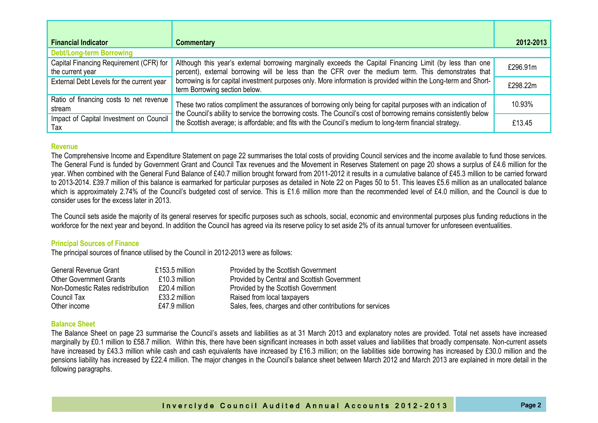| <b>Financial Indicator</b>                                  | Commentary                                                                                                                                                                                                                        | 2012-2013 |
|-------------------------------------------------------------|-----------------------------------------------------------------------------------------------------------------------------------------------------------------------------------------------------------------------------------|-----------|
| <b>Debt/Long-term Borrowing</b>                             |                                                                                                                                                                                                                                   |           |
| Capital Financing Requirement (CFR) for<br>the current year | Although this year's external borrowing marginally exceeds the Capital Financing Limit (by less than one<br>percent), external borrowing will be less than the CFR over the medium term. This demonstrates that                   | £296.91m  |
| External Debt Levels for the current year                   | borrowing is for capital investment purposes only. More information is provided within the Long-term and Short-<br>term Borrowing section below.                                                                                  | £298.22m  |
| Ratio of financing costs to net revenue<br>stream           | These two ratios compliment the assurances of borrowing only being for capital purposes with an indication of<br>the Council's ability to service the borrowing costs. The Council's cost of borrowing remains consistently below | 10.93%    |
| Impact of Capital Investment on Council<br>Тах              | the Scottish average; is affordable; and fits with the Council's medium to long-term financial strategy.                                                                                                                          | £13.45    |

#### **Revenue**

The Comprehensive Income and Expenditure Statement on page 22 summarises the total costs of providing Council services and the income available to fund those services. The General Fund is funded by Government Grant and Council Tax revenues and the Movement in Reserves Statement on page 20 shows a surplus of £4.6 million for the year. When combined with the General Fund Balance of £40.7 million brought forward from 2011-2012 it results in a cumulative balance of £45.3 million to be carried forward to 2013-2014. £39.7 million of this balance is earmarked for particular purposes as detailed in Note 22 on Pages 50 to 51. This leaves £5.6 million as an unallocated balance which is approximately 2.74% of the Council's budgeted cost of service. This is £1.6 million more than the recommended level of £4.0 million, and the Council is due to consider uses for the excess later in 2013.

The Council sets aside the majority of its general reserves for specific purposes such as schools, social, economic and environmental purposes plus funding reductions in the workforce for the next year and beyond. In addition the Council has agreed via its reserve policy to set aside 2% of its annual turnover for unforeseen eventualities.

#### **Principal Sources of Finance**

The principal sources of finance utilised by the Council in 2012-2013 were as follows:

| <b>General Revenue Grant</b>      | £153.5 million | Provided by the Scottish Government                       |
|-----------------------------------|----------------|-----------------------------------------------------------|
| <b>Other Government Grants</b>    | £10.3 million  | Provided by Central and Scottish Government               |
| Non-Domestic Rates redistribution | £20.4 million  | Provided by the Scottish Government                       |
| Council Tax                       | £33.2 million  | Raised from local taxpayers                               |
| Other income                      | £47.9 million  | Sales, fees, charges and other contributions for services |

#### **Balance Sheet**

The Balance Sheet on page 23 summarise the Council's assets and liabilities as at 31 March 2013 and explanatory notes are provided. Total net assets have increased marginally by £0.1 million to £58.7 million. Within this, there have been significant increases in both asset values and liabilities that broadly compensate. Non-current assets have increased by £43.3 million while cash and cash equivalents have increased by £16.3 million; on the liabilities side borrowing has increased by £30.0 million and the pensions liability has increased by £22.4 million. The major changes in the Council's balance sheet between March 2012 and March 2013 are explained in more detail in the following paragraphs.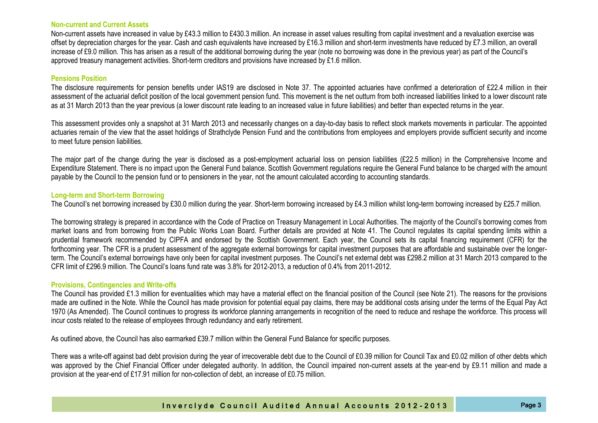#### **Non-current and Current Assets**

Non-current assets have increased in value by £43.3 million to £430.3 million. An increase in asset values resulting from capital investment and a revaluation exercise was offset by depreciation charges for the year. Cash and cash equivalents have increased by £16.3 million and short-term investments have reduced by £7.3 million, an overall increase of £9.0 million. This has arisen as a result of the additional borrowing during the year (note no borrowing was done in the previous year) as part of the Council's approved treasury management activities. Short-term creditors and provisions have increased by £1.6 million.

#### **Pensions Position**

The disclosure requirements for pension benefits under IAS19 are disclosed in Note 37. The appointed actuaries have confirmed a deterioration of £22.4 million in their assessment of the actuarial deficit position of the local government pension fund. This movement is the net outturn from both increased liabilities linked to a lower discount rate as at 31 March 2013 than the year previous (a lower discount rate leading to an increased value in future liabilities) and better than expected returns in the year.

This assessment provides only a snapshot at 31 March 2013 and necessarily changes on a day-to-day basis to reflect stock markets movements in particular. The appointed actuaries remain of the view that the asset holdings of Strathclyde Pension Fund and the contributions from employees and employers provide sufficient security and income to meet future pension liabilities.

The major part of the change during the year is disclosed as a post-employment actuarial loss on pension liabilities (£22.5 million) in the Comprehensive Income and Expenditure Statement. There is no impact upon the General Fund balance. Scottish Government regulations require the General Fund balance to be charged with the amount payable by the Council to the pension fund or to pensioners in the year, not the amount calculated according to accounting standards.

#### **Long-term and Short-term Borrowing**

The Council's net borrowing increased by £30.0 million during the year. Short-term borrowing increased by £4.3 million whilst long-term borrowing increased by £25.7 million.

The borrowing strategy is prepared in accordance with the Code of Practice on Treasury Management in Local Authorities. The majority of the Council's borrowing comes from market loans and from borrowing from the Public Works Loan Board. Further details are provided at Note 41. The Council regulates its capital spending limits within a prudential framework recommended by CIPFA and endorsed by the Scottish Government. Each year, the Council sets its capital financing requirement (CFR) for the forthcoming year. The CFR is a prudent assessment of the aggregate external borrowings for capital investment purposes that are affordable and sustainable over the longerterm. The Council's external borrowings have only been for capital investment purposes. The Council's net external debt was £298.2 million at 31 March 2013 compared to the CFR limit of £296.9 million. The Council's loans fund rate was 3.8% for 2012-2013, a reduction of 0.4% from 2011-2012.

#### **Provisions, Contingencies and Write-offs**

The Council has provided £1.3 million for eventualities which may have a material effect on the financial position of the Council (see Note 21). The reasons for the provisions made are outlined in the Note. While the Council has made provision for potential equal pay claims, there may be additional costs arising under the terms of the Equal Pay Act 1970 (As Amended). The Council continues to progress its workforce planning arrangements in recognition of the need to reduce and reshape the workforce. This process will incur costs related to the release of employees through redundancy and early retirement.

As outlined above, the Council has also earmarked £39.7 million within the General Fund Balance for specific purposes.

There was a write-off against bad debt provision during the year of irrecoverable debt due to the Council of £0.39 million for Council Tax and £0.02 million of other debts which was approved by the Chief Financial Officer under delegated authority. In addition, the Council impaired non-current assets at the year-end by £9.11 million and made a provision at the year-end of £17.91 million for non-collection of debt, an increase of £0.75 million.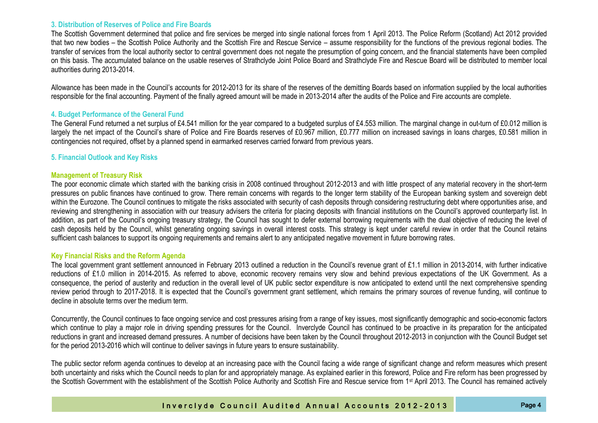#### **3. Distribution of Reserves of Police and Fire Boards**

The Scottish Government determined that police and fire services be merged into single national forces from 1 April 2013. The Police Reform (Scotland) Act 2012 provided that two new bodies – the Scottish Police Authority and the Scottish Fire and Rescue Service – assume responsibility for the functions of the previous regional bodies. The transfer of services from the local authority sector to central government does not negate the presumption of going concern, and the financial statements have been compiled on this basis. The accumulated balance on the usable reserves of Strathclyde Joint Police Board and Strathclyde Fire and Rescue Board will be distributed to member local authorities during 2013-2014.

Allowance has been made in the Council's accounts for 2012-2013 for its share of the reserves of the demitting Boards based on information supplied by the local authorities responsible for the final accounting. Payment of the finally agreed amount will be made in 2013-2014 after the audits of the Police and Fire accounts are complete.

#### **4. Budget Performance of the General Fund**

The General Fund returned a net surplus of £4.541 million for the year compared to a budgeted surplus of £4.553 million. The marginal change in out-turn of £0.012 million is largely the net impact of the Council's share of Police and Fire Boards reserves of £0.967 million, £0.777 million on increased savings in loans charges, £0.581 million in contingencies not required, offset by a planned spend in earmarked reserves carried forward from previous years.

#### **5. Financial Outlook and Key Risks**

#### **Management of Treasury Risk**

The poor economic climate which started with the banking crisis in 2008 continued throughout 2012-2013 and with little prospect of any material recovery in the short-term pressures on public finances have continued to grow. There remain concerns with regards to the longer term stability of the European banking system and sovereign debt within the Eurozone. The Council continues to mitigate the risks associated with security of cash deposits through considering restructuring debt where opportunities arise, and reviewing and strengthening in association with our treasury advisers the criteria for placing deposits with financial institutions on the Council's approved counterparty list. In addition, as part of the Council's ongoing treasury strategy, the Council has sought to defer external borrowing requirements with the dual objective of reducing the level of cash deposits held by the Council, whilst generating ongoing savings in overall interest costs. This strategy is kept under careful review in order that the Council retains sufficient cash balances to support its ongoing requirements and remains alert to any anticipated negative movement in future borrowing rates.

#### **Key Financial Risks and the Reform Agenda**

The local government grant settlement announced in February 2013 outlined a reduction in the Council's revenue grant of £1.1 million in 2013-2014, with further indicative reductions of £1.0 million in 2014-2015. As referred to above, economic recovery remains very slow and behind previous expectations of the UK Government. As a consequence, the period of austerity and reduction in the overall level of UK public sector expenditure is now anticipated to extend until the next comprehensive spending review period through to 2017-2018. It is expected that the Council's government grant settlement, which remains the primary sources of revenue funding, will continue to decline in absolute terms over the medium term.

Concurrently, the Council continues to face ongoing service and cost pressures arising from a range of key issues, most significantly demographic and socio-economic factors which continue to play a major role in driving spending pressures for the Council. Inverclyde Council has continued to be proactive in its preparation for the anticipated reductions in grant and increased demand pressures. A number of decisions have been taken by the Council throughout 2012-2013 in conjunction with the Council Budget set for the period 2013-2016 which will continue to deliver savings in future years to ensure sustainability.

The public sector reform agenda continues to develop at an increasing pace with the Council facing a wide range of significant change and reform measures which present both uncertainty and risks which the Council needs to plan for and appropriately manage. As explained earlier in this foreword, Police and Fire reform has been progressed by the Scottish Government with the establishment of the Scottish Police Authority and Scottish Fire and Rescue service from 1<sup>st</sup> April 2013. The Council has remained actively

### Inverclyde Council Audited Annual Accounts 2012-2013 Page 4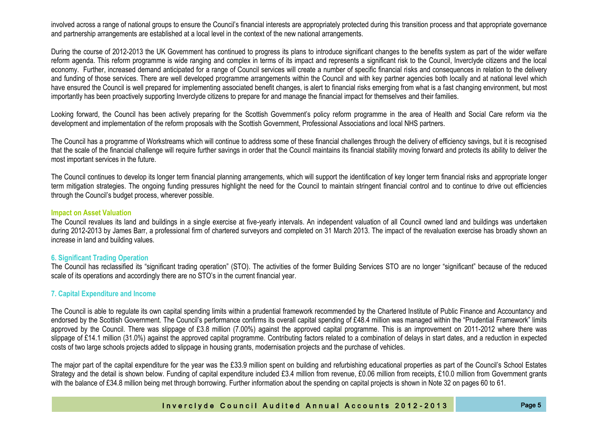involved across a range of national groups to ensure the Council's financial interests are appropriately protected during this transition process and that appropriate governance and partnership arrangements are established at a local level in the context of the new national arrangements.

During the course of 2012-2013 the UK Government has continued to progress its plans to introduce significant changes to the benefits system as part of the wider welfare reform agenda. This reform programme is wide ranging and complex in terms of its impact and represents a significant risk to the Council, Inverclyde citizens and the local economy. Further, increased demand anticipated for a range of Council services will create a number of specific financial risks and consequences in relation to the delivery and funding of those services. There are well developed programme arrangements within the Council and with key partner agencies both locally and at national level which have ensured the Council is well prepared for implementing associated benefit changes, is alert to financial risks emerging from what is a fast changing environment, but most importantly has been proactively supporting Inverclyde citizens to prepare for and manage the financial impact for themselves and their families.

Looking forward, the Council has been actively preparing for the Scottish Government's policy reform programme in the area of Health and Social Care reform via the development and implementation of the reform proposals with the Scottish Government, Professional Associations and local NHS partners.

The Council has a programme of Workstreams which will continue to address some of these financial challenges through the delivery of efficiency savings, but it is recognised that the scale of the financial challenge will require further savings in order that the Council maintains its financial stability moving forward and protects its ability to deliver the most important services in the future.

The Council continues to develop its longer term financial planning arrangements, which will support the identification of key longer term financial risks and appropriate longer term mitigation strategies. The ongoing funding pressures highlight the need for the Council to maintain stringent financial control and to continue to drive out efficiencies through the Council's budget process, wherever possible.

#### **Impact on Asset Valuation**

The Council revalues its land and buildings in a single exercise at five-yearly intervals. An independent valuation of all Council owned land and buildings was undertaken during 2012-2013 by James Barr, a professional firm of chartered surveyors and completed on 31 March 2013. The impact of the revaluation exercise has broadly shown an increase in land and building values.

#### **6. Significant Trading Operation**

The Council has reclassified its "significant trading operation" (STO). The activities of the former Building Services STO are no longer "significant" because of the reduced scale of its operations and accordingly there are no STO's in the current financial year.

#### **7. Capital Expenditure and Income**

The Council is able to regulate its own capital spending limits within a prudential framework recommended by the Chartered Institute of Public Finance and Accountancy and endorsed by the Scottish Government. The Council's performance confirms its overall capital spending of £48.4 million was managed within the "Prudential Framework" limits approved by the Council. There was slippage of £3.8 million (7.00%) against the approved capital programme. This is an improvement on 2011-2012 where there was slippage of £14.1 million (31.0%) against the approved capital programme. Contributing factors related to a combination of delays in start dates, and a reduction in expected costs of two large schools projects added to slippage in housing grants, modernisation projects and the purchase of vehicles.

The major part of the capital expenditure for the year was the £33.9 million spent on building and refurbishing educational properties as part of the Council's School Estates Strategy and the detail is shown below. Funding of capital expenditure included £3.4 million from revenue, £0.06 million from receipts, £10.0 million from Government grants with the balance of £34.8 million being met through borrowing. Further information about the spending on capital projects is shown in Note 32 on pages 60 to 61.

### Inverclyde Council Audited Annual Accounts 2012-2013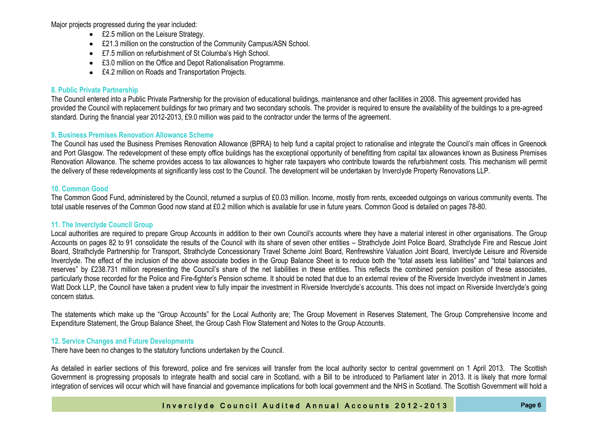Major projects progressed during the year included:

- £2.5 million on the Leisure Strategy.
- £21.3 million on the construction of the Community Campus/ASN School.
- £7.5 million on refurbishment of St Columba's High School.
- £3.0 million on the Office and Depot Rationalisation Programme.
- £4.2 million on Roads and Transportation Projects.

#### **8. Public Private Partnership**

The Council entered into a Public Private Partnership for the provision of educational buildings, maintenance and other facilities in 2008. This agreement provided has provided the Council with replacement buildings for two primary and two secondary schools. The provider is required to ensure the availability of the buildings to a pre-agreed standard. During the financial year 2012-2013, £9.0 million was paid to the contractor under the terms of the agreement.

#### **9. Business Premises Renovation Allowance Scheme**

The Council has used the Business Premises Renovation Allowance (BPRA) to help fund a capital project to rationalise and integrate the Council's main offices in Greenock and Port Glasgow. The redevelopment of these empty office buildings has the exceptional opportunity of benefitting from capital tax allowances known as Business Premises Renovation Allowance. The scheme provides access to tax allowances to higher rate taxpayers who contribute towards the refurbishment costs. This mechanism will permit the delivery of these redevelopments at significantly less cost to the Council. The development will be undertaken by Inverclyde Property Renovations LLP.

#### **10. Common Good**

The Common Good Fund, administered by the Council, returned a surplus of £0.03 million. Income, mostly from rents, exceeded outgoings on various community events. The total usable reserves of the Common Good now stand at £0.2 million which is available for use in future years. Common Good is detailed on pages 78-80.

#### **11. The Inverclyde Council Group**

Local authorities are required to prepare Group Accounts in addition to their own Council's accounts where they have a material interest in other organisations. The Group Accounts on pages 82 to 91 consolidate the results of the Council with its share of seven other entities – Strathclyde Joint Police Board, Strathclyde Fire and Rescue Joint Board, Strathclyde Partnership for Transport, Strathclyde Concessionary Travel Scheme Joint Board, Renfrewshire Valuation Joint Board, Inverclyde Leisure and Riverside Inverclyde. The effect of the inclusion of the above associate bodies in the Group Balance Sheet is to reduce both the "total assets less liabilities" and "total balances and reserves" by £238.731 million representing the Council's share of the net liabilities in these entities. This reflects the combined pension position of these associates, particularly those recorded for the Police and Fire-fighter's Pension scheme. It should be noted that due to an external review of the Riverside Inverclyde investment in James Watt Dock LLP, the Council have taken a prudent view to fully impair the investment in Riverside Inverclyde's accounts. This does not impact on Riverside Inverclyde's going concern status.

The statements which make up the "Group Accounts" for the Local Authority are; The Group Movement in Reserves Statement, The Group Comprehensive Income and Expenditure Statement, the Group Balance Sheet, the Group Cash Flow Statement and Notes to the Group Accounts.

#### **12. Service Changes and Future Developments**

There have been no changes to the statutory functions undertaken by the Council.

As detailed in earlier sections of this foreword, police and fire services will transfer from the local authority sector to central government on 1 April 2013. The Scottish Government is progressing proposals to integrate health and social care in Scotland, with a Bill to be introduced to Parliament later in 2013. It is likely that more formal integration of services will occur which will have financial and governance implications for both local government and the NHS in Scotland. The Scottish Government will hold a

Inverclyde Council Audited Annual Accounts 2012-2013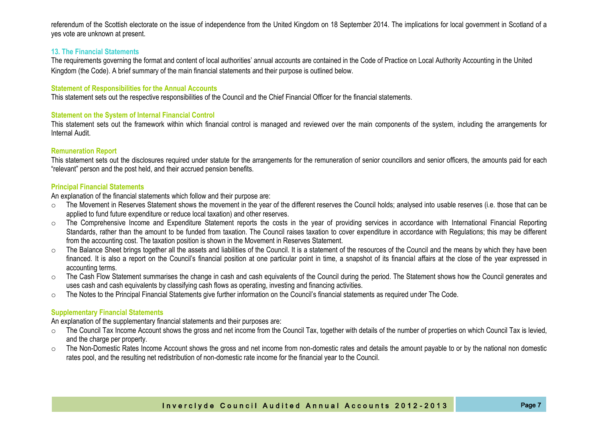referendum of the Scottish electorate on the issue of independence from the United Kingdom on 18 September 2014. The implications for local government in Scotland of a yes vote are unknown at present.

#### **13. The Financial Statements**

The requirements governing the format and content of local authorities' annual accounts are contained in the Code of Practice on Local Authority Accounting in the United Kingdom (the Code). A brief summary of the main financial statements and their purpose is outlined below.

#### **Statement of Responsibilities for the Annual Accounts**

This statement sets out the respective responsibilities of the Council and the Chief Financial Officer for the financial statements.

#### **Statement on the System of Internal Financial Control**

This statement sets out the framework within which financial control is managed and reviewed over the main components of the system, including the arrangements for Internal Audit.

#### **Remuneration Report**

This statement sets out the disclosures required under statute for the arrangements for the remuneration of senior councillors and senior officers, the amounts paid for each "relevant" person and the post held, and their accrued pension benefits.

#### **Principal Financial Statements**

An explanation of the financial statements which follow and their purpose are:

- o The Movement in Reserves Statement shows the movement in the year of the different reserves the Council holds; analysed into usable reserves (i.e. those that can be applied to fund future expenditure or reduce local taxation) and other reserves.
- o The Comprehensive Income and Expenditure Statement reports the costs in the year of providing services in accordance with International Financial Reporting Standards, rather than the amount to be funded from taxation. The Council raises taxation to cover expenditure in accordance with Regulations; this may be different from the accounting cost. The taxation position is shown in the Movement in Reserves Statement.
- o The Balance Sheet brings together all the assets and liabilities of the Council. It is a statement of the resources of the Council and the means by which they have been financed. It is also a report on the Council's financial position at one particular point in time, a snapshot of its financial affairs at the close of the year expressed in accounting terms.
- o The Cash Flow Statement summarises the change in cash and cash equivalents of the Council during the period. The Statement shows how the Council generates and uses cash and cash equivalents by classifying cash flows as operating, investing and financing activities.
- o The Notes to the Principal Financial Statements give further information on the Council's financial statements as required under The Code.

#### **Supplementary Financial Statements**

An explanation of the supplementary financial statements and their purposes are:

- o The Council Tax Income Account shows the gross and net income from the Council Tax, together with details of the number of properties on which Council Tax is levied, and the charge per property.
- o The Non-Domestic Rates Income Account shows the gross and net income from non-domestic rates and details the amount payable to or by the national non domestic rates pool, and the resulting net redistribution of non-domestic rate income for the financial year to the Council.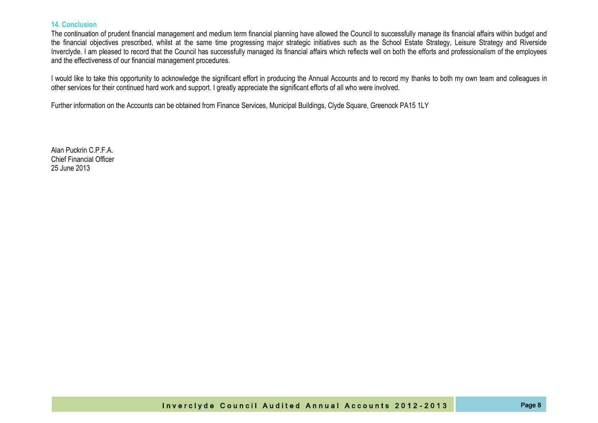#### **14. Conclusion**

The continuation of prudent financial management and medium term financial planning have allowed the Council to successfully manage its financial affairs within budget and the financial objectives prescribed, whilst at the same time progressing major strategic initiatives such as the School Estate Strategy, Leisure Strategy and Riverside Inverclyde. I am pleased to record that the Council has successfully managed its financial affairs which reflects well on both the efforts and professionalism of the employees and the effectiveness of our financial management procedures.

I would like to take this opportunity to acknowledge the significant effort in producing the Annual Accounts and to record my thanks to both my own team and colleagues in other services for their continued hard work and support. I greatly appreciate the significant efforts of all who were involved.

Further information on the Accounts can be obtained from Finance Services, Municipal Buildings, Clyde Square, Greenock PA15 1LY

Alan Puckrin C.P.F.A. Chief Financial Officer 25 June 2013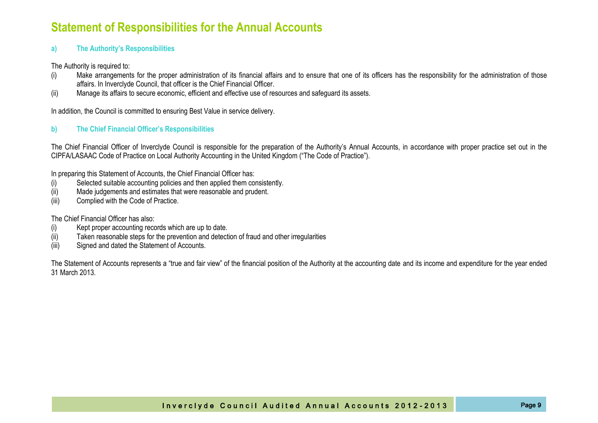## **Statement of Responsibilities for the Annual Accounts**

#### **a) The Authority's Responsibilities**

The Authority is required to:

- (i) Make arrangements for the proper administration of its financial affairs and to ensure that one of its officers has the responsibility for the administration of those affairs. In Inverclyde Council, that officer is the Chief Financial Officer.
- (ii) Manage its affairs to secure economic, efficient and effective use of resources and safeguard its assets.

In addition, the Council is committed to ensuring Best Value in service delivery.

#### **b) The Chief Financial Officer's Responsibilities**

The Chief Financial Officer of Inverclyde Council is responsible for the preparation of the Authority's Annual Accounts, in accordance with proper practice set out in the CIPFA/LASAAC Code of Practice on Local Authority Accounting in the United Kingdom ("The Code of Practice").

In preparing this Statement of Accounts, the Chief Financial Officer has:

- (i) Selected suitable accounting policies and then applied them consistently.
- (ii) Made judgements and estimates that were reasonable and prudent.
- (iii) Complied with the Code of Practice.

The Chief Financial Officer has also:

- (i) Kept proper accounting records which are up to date.
- (ii) Taken reasonable steps for the prevention and detection of fraud and other irregularities
- (iii) Signed and dated the Statement of Accounts.

The Statement of Accounts represents a "true and fair view" of the financial position of the Authority at the accounting date and its income and expenditure for the year ended 31 March 2013.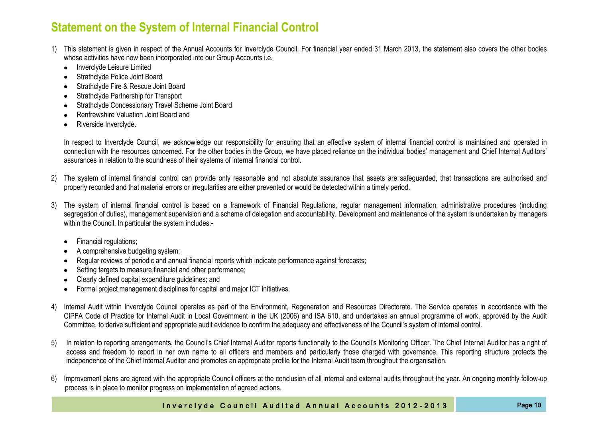## **Statement on the System of Internal Financial Control**

- 1) This statement is given in respect of the Annual Accounts for Inverclyde Council. For financial year ended 31 March 2013, the statement also covers the other bodies whose activities have now been incorporated into our Group Accounts i.e.
	- Inverclyde Leisure Limited
	- Strathclyde Police Joint Board
	- Strathclyde Fire & Rescue Joint Board  $\bullet$
	- Strathclyde Partnership for Transport
	- Strathclyde Concessionary Travel Scheme Joint Board  $\bullet$
	- Renfrewshire Valuation Joint Board and
	- Riverside Inverclyde.

In respect to Inverclyde Council, we acknowledge our responsibility for ensuring that an effective system of internal financial control is maintained and operated in connection with the resources concerned. For the other bodies in the Group, we have placed reliance on the individual bodies' management and Chief Internal Auditors' assurances in relation to the soundness of their systems of internal financial control.

- 2) The system of internal financial control can provide only reasonable and not absolute assurance that assets are safeguarded, that transactions are authorised and properly recorded and that material errors or irregularities are either prevented or would be detected within a timely period.
- 3) The system of internal financial control is based on a framework of Financial Regulations, regular management information, administrative procedures (including segregation of duties), management supervision and a scheme of delegation and accountability. Development and maintenance of the system is undertaken by managers within the Council. In particular the system includes:-
	- Financial regulations;  $\bullet$
	- A comprehensive budgeting system;
	- Regular reviews of periodic and annual financial reports which indicate performance against forecasts;
	- Setting targets to measure financial and other performance;
	- Clearly defined capital expenditure guidelines; and  $\bullet$
	- Formal project management disciplines for capital and major ICT initiatives.
- 4) Internal Audit within Inverclyde Council operates as part of the Environment, Regeneration and Resources Directorate. The Service operates in accordance with the CIPFA Code of Practice for Internal Audit in Local Government in the UK (2006) and ISA 610, and undertakes an annual programme of work, approved by the Audit Committee, to derive sufficient and appropriate audit evidence to confirm the adequacy and effectiveness of the Council's system of internal control.
- 5) In relation to reporting arrangements, the Council's Chief Internal Auditor reports functionally to the Council's Monitoring Officer. The Chief Internal Auditor has a right of access and freedom to report in her own name to all officers and members and particularly those charged with governance. This reporting structure protects the independence of the Chief Internal Auditor and promotes an appropriate profile for the Internal Audit team throughout the organisation.
- 6) Improvement plans are agreed with the appropriate Council officers at the conclusion of all internal and external audits throughout the year. An ongoing monthly follow-up process is in place to monitor progress on implementation of agreed actions.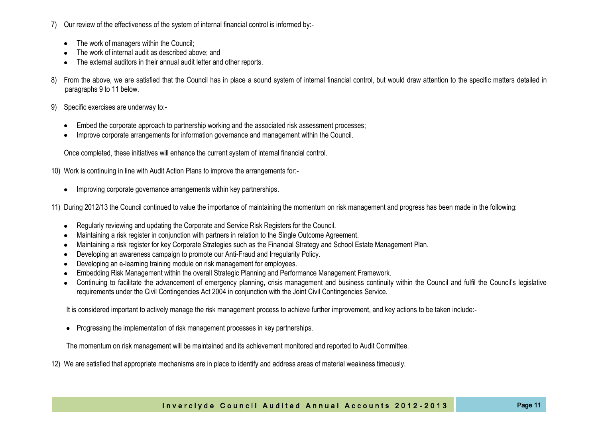- 7) Our review of the effectiveness of the system of internal financial control is informed by:-
	- The work of managers within the Council;
	- The work of internal audit as described above; and
	- The external auditors in their annual audit letter and other reports.
- 8) From the above, we are satisfied that the Council has in place a sound system of internal financial control, but would draw attention to the specific matters detailed in paragraphs 9 to 11 below.
- 9) Specific exercises are underway to:-
	- Embed the corporate approach to partnership working and the associated risk assessment processes;  $\bullet$
	- Improve corporate arrangements for information governance and management within the Council.

Once completed, these initiatives will enhance the current system of internal financial control.

- 10) Work is continuing in line with Audit Action Plans to improve the arrangements for:-
	- Improving corporate governance arrangements within key partnerships.
- 11) During 2012/13 the Council continued to value the importance of maintaining the momentum on risk management and progress has been made in the following:
	- Regularly reviewing and updating the Corporate and Service Risk Registers for the Council.
	- Maintaining a risk register in conjunction with partners in relation to the Single Outcome Agreement.
	- Maintaining a risk register for key Corporate Strategies such as the Financial Strategy and School Estate Management Plan.  $\bullet$
	- Developing an awareness campaign to promote our Anti-Fraud and Irregularity Policy.  $\bullet$
	- Developing an e-learning training module on risk management for employees.  $\bullet$
	- Embedding Risk Management within the overall Strategic Planning and Performance Management Framework.
	- Continuing to facilitate the advancement of emergency planning, crisis management and business continuity within the Council and fulfil the Council's legislative requirements under the Civil Contingencies Act 2004 in conjunction with the Joint Civil Contingencies Service.

It is considered important to actively manage the risk management process to achieve further improvement, and key actions to be taken include:-

• Progressing the implementation of risk management processes in key partnerships.

The momentum on risk management will be maintained and its achievement monitored and reported to Audit Committee.

12) We are satisfied that appropriate mechanisms are in place to identify and address areas of material weakness timeously.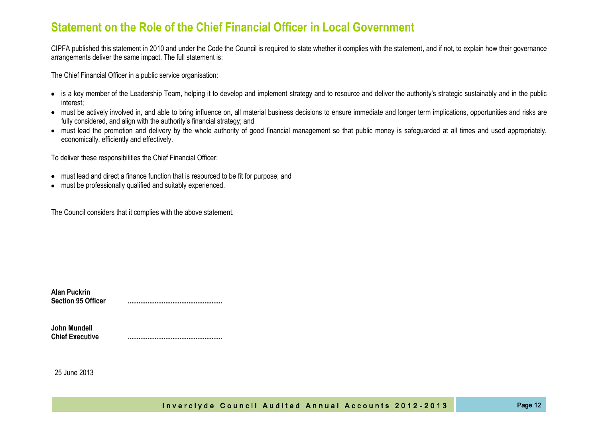## **Statement on the Role of the Chief Financial Officer in Local Government**

CIPFA published this statement in 2010 and under the Code the Council is required to state whether it complies with the statement, and if not, to explain how their governance arrangements deliver the same impact. The full statement is:

The Chief Financial Officer in a public service organisation:

- is a key member of the Leadership Team, helping it to develop and implement strategy and to resource and deliver the authority's strategic sustainably and in the public interest;
- must be actively involved in, and able to bring influence on, all material business decisions to ensure immediate and longer term implications, opportunities and risks are fully considered, and align with the authority's financial strategy; and
- must lead the promotion and delivery by the whole authority of good financial management so that public money is safeguarded at all times and used appropriately, economically, efficiently and effectively.

To deliver these responsibilities the Chief Financial Officer:

- must lead and direct a finance function that is resourced to be fit for purpose; and
- must be professionally qualified and suitably experienced.

The Council considers that it complies with the above statement.

**Alan Puckrin Section 95 Officer .....................................................**

| John Mundell           |  |
|------------------------|--|
| <b>Chief Executive</b> |  |

25 June 2013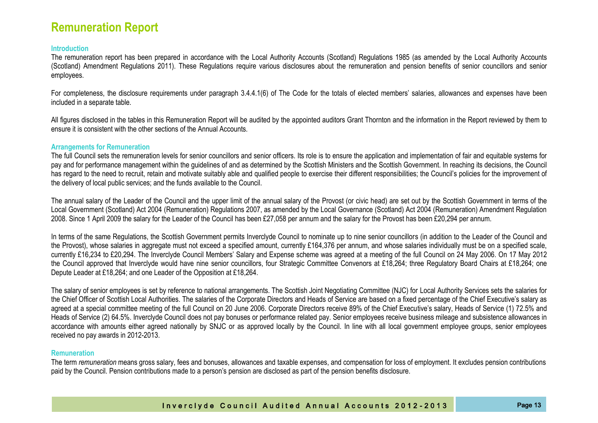### **Remuneration Report**

#### **Introduction**

The remuneration report has been prepared in accordance with the Local Authority Accounts (Scotland) Regulations 1985 (as amended by the Local Authority Accounts (Scotland) Amendment Regulations 2011). These Regulations require various disclosures about the remuneration and pension benefits of senior councillors and senior employees.

For completeness, the disclosure requirements under paragraph 3.4.4.1(6) of The Code for the totals of elected members' salaries, allowances and expenses have been included in a separate table.

All figures disclosed in the tables in this Remuneration Report will be audited by the appointed auditors Grant Thornton and the information in the Report reviewed by them to ensure it is consistent with the other sections of the Annual Accounts.

#### **Arrangements for Remuneration**

The full Council sets the remuneration levels for senior councillors and senior officers. Its role is to ensure the application and implementation of fair and equitable systems for pay and for performance management within the guidelines of and as determined by the Scottish Ministers and the Scottish Government. In reaching its decisions, the Council has regard to the need to recruit, retain and motivate suitably able and qualified people to exercise their different responsibilities; the Council's policies for the improvement of the delivery of local public services; and the funds available to the Council.

The annual salary of the Leader of the Council and the upper limit of the annual salary of the Provost (or civic head) are set out by the Scottish Government in terms of the Local Government (Scotland) Act 2004 (Remuneration) Regulations 2007, as amended by the Local Governance (Scotland) Act 2004 (Remuneration) Amendment Regulation 2008. Since 1 April 2009 the salary for the Leader of the Council has been £27,058 per annum and the salary for the Provost has been £20,294 per annum.

In terms of the same Regulations, the Scottish Government permits Inverclyde Council to nominate up to nine senior councillors (in addition to the Leader of the Council and the Provost), whose salaries in aggregate must not exceed a specified amount, currently £164,376 per annum, and whose salaries individually must be on a specified scale, currently £16,234 to £20,294. The Inverclyde Council Members' Salary and Expense scheme was agreed at a meeting of the full Council on 24 May 2006. On 17 May 2012 the Council approved that Inverclyde would have nine senior councillors, four Strategic Committee Convenors at £18,264; three Regulatory Board Chairs at £18,264; one Depute Leader at £18,264; and one Leader of the Opposition at £18,264.

The salary of senior employees is set by reference to national arrangements. The Scottish Joint Negotiating Committee (NJC) for Local Authority Services sets the salaries for the Chief Officer of Scottish Local Authorities. The salaries of the Corporate Directors and Heads of Service are based on a fixed percentage of the Chief Executive's salary as agreed at a special committee meeting of the full Council on 20 June 2006. Corporate Directors receive 89% of the Chief Executive's salary, Heads of Service (1) 72.5% and Heads of Service (2) 64.5%. Inverclyde Council does not pay bonuses or performance related pay. Senior employees receive business mileage and subsistence allowances in accordance with amounts either agreed nationally by SNJC or as approved locally by the Council. In line with all local government employee groups, senior employees received no pay awards in 2012-2013.

#### **Remuneration**

The term *remuneration* means gross salary, fees and bonuses, allowances and taxable expenses, and compensation for loss of employment. It excludes pension contributions paid by the Council. Pension contributions made to a person's pension are disclosed as part of the pension benefits disclosure.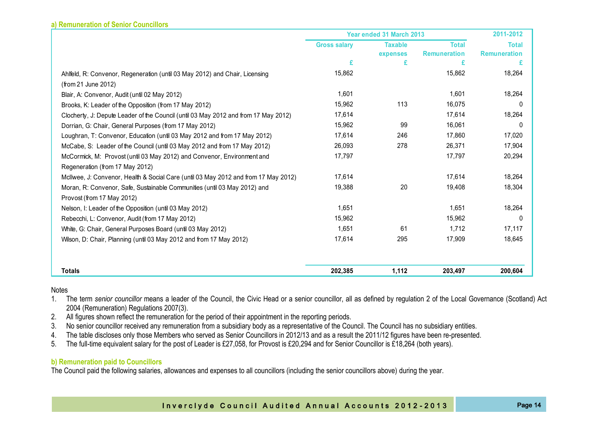|                                                                                     | Year ended 31 March 2013 | 2011-2012      |                     |                     |
|-------------------------------------------------------------------------------------|--------------------------|----------------|---------------------|---------------------|
|                                                                                     | <b>Gross salary</b>      | <b>Taxable</b> | <b>Total</b>        | <b>Total</b>        |
|                                                                                     |                          | expenses       | <b>Remuneration</b> | <b>Remuneration</b> |
|                                                                                     | £                        | £              | £                   |                     |
| Ahlfeld, R: Convenor, Regeneration (until 03 May 2012) and Chair, Licensing         | 15,862                   |                | 15,862              | 18,264              |
| (from 21 June 2012)                                                                 |                          |                |                     |                     |
| Blair, A: Convenor, Audit (until 02 May 2012)                                       | 1,601                    |                | 1,601               | 18,264              |
| Brooks, K: Leader of the Opposition (from 17 May 2012)                              | 15,962                   | 113            | 16,075              |                     |
| Clocherty, J: Depute Leader of the Council (until 03 May 2012 and from 17 May 2012) | 17,614                   |                | 17,614              | 18,264              |
| Dorrian, G: Chair, General Purposes (from 17 May 2012)                              | 15,962                   | 99             | 16,061              | 0                   |
| Loughran, T: Convenor, Education (until 03 May 2012 and from 17 May 2012)           | 17,614                   | 246            | 17,860              | 17,020              |
| McCabe, S: Leader of the Council (until 03 May 2012 and from 17 May 2012)           | 26,093                   | 278            | 26,371              | 17,904              |
| McCormick, M: Provost (until 03 May 2012) and Convenor, Environment and             | 17,797                   |                | 17,797              | 20,294              |
| Regeneration (from 17 May 2012)                                                     |                          |                |                     |                     |
| McIlwee, J: Convenor, Health & Social Care (until 03 May 2012 and from 17 May 2012) | 17,614                   |                | 17,614              | 18,264              |
| Moran, R: Convenor, Safe, Sustainable Communities (until 03 May 2012) and           | 19,388                   | 20             | 19,408              | 18,304              |
| Provost (from 17 May 2012)                                                          |                          |                |                     |                     |
| Nelson, I: Leader of the Opposition (until 03 May 2012)                             | 1,651                    |                | 1,651               | 18,264              |
| Rebecchi, L: Convenor, Audit (from 17 May 2012)                                     | 15,962                   |                | 15,962              | 0                   |
| White, G: Chair, General Purposes Board (until 03 May 2012)                         | 1,651                    | 61             | 1,712               | 17,117              |
| Wilson, D: Chair, Planning (until 03 May 2012 and from 17 May 2012)                 | 17,614                   | 295            | 17,909              | 18,645              |
|                                                                                     |                          |                |                     |                     |
| <b>Totals</b>                                                                       | 202,385                  | 1,112          | 203,497             | 200,604             |

#### **a) Remuneration of Senior Councillors**

#### **Notes**

- 1. The term *senior councillor* means a leader of the Council, the Civic Head or a senior councillor, all as defined by regulation 2 of the Local Governance (Scotland) Act 2004 (Remuneration) Regulations 2007(3).
- 2. All figures shown reflect the remuneration for the period of their appointment in the reporting periods.
- 3. No senior councillor received any remuneration from a subsidiary body as a representative of the Council. The Council has no subsidiary entities.
- 4. The table discloses only those Members who served as Senior Councillors in 2012/13 and as a result the 2011/12 figures have been re-presented.
- 5. The full-time equivalent salary for the post of Leader is £27,058, for Provost is £20,294 and for Senior Councillor is £18,264 (both years).

#### **b) Remuneration paid to Councillors**

The Council paid the following salaries, allowances and expenses to all councillors (including the senior councillors above) during the year.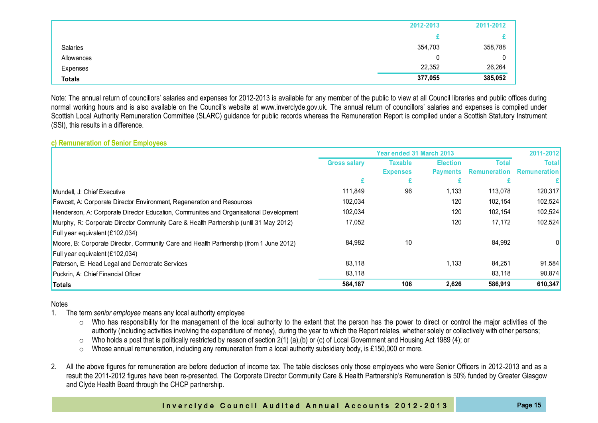|               | 2012-2013 | 2011-2012 |
|---------------|-----------|-----------|
|               |           |           |
| Salaries      | 354,703   | 358,788   |
| Allowances    |           |           |
| Expenses      | 22,352    | 26,264    |
| <b>Totals</b> | 377,055   | 385,052   |

Note: The annual return of councillors' salaries and expenses for 2012-2013 is available for any member of the public to view at all Council libraries and public offices during normal working hours and is also available on the Council's website at www.inverclyde.gov.uk. The annual return of councillors' salaries and expenses is compiled under Scottish Local Authority Remuneration Committee (SLARC) quidance for public records whereas the Remuneration Report is compiled under a Scottish Statutory Instrument (SSI), this results in a difference.

#### **c) Remuneration of Senior Employees**

|                                                                                        | <b>Year ended 31 March 2013</b> |                 |                 |              | 2011-2012     |
|----------------------------------------------------------------------------------------|---------------------------------|-----------------|-----------------|--------------|---------------|
|                                                                                        | <b>Gross salary</b>             | <b>Taxable</b>  | <b>Election</b> | <b>Total</b> | <b>Totall</b> |
|                                                                                        |                                 | <b>Expenses</b> | <b>Payments</b> | Remuneration | Remuneration  |
|                                                                                        |                                 |                 |                 |              |               |
| Mundell, J: Chief Executive                                                            | 111,849                         | 96              | 1,133           | 113,078      | 120,317       |
| Fawcett, A: Corporate Director Environment, Regeneration and Resources                 | 102,034                         |                 | 120             | 102,154      | 102,524       |
| Henderson, A: Corporate Director Education, Communities and Organisational Development | 102,034                         |                 | 120             | 102,154      | 102,524       |
| Murphy, R: Corporate Director Community Care & Health Partnership (until 31 May 2012)  | 17,052                          |                 | 120             | 17,172       | 102,524       |
| Full year equivalent $(E102,034)$                                                      |                                 |                 |                 |              |               |
| Moore, B: Corporate Director, Community Care and Health Partnership (from 1 June 2012) | 84,982                          | 10              |                 | 84,992       | 0             |
| Full year equivalent $(E102,034)$                                                      |                                 |                 |                 |              |               |
| Paterson, E: Head Legal and Democratic Services                                        | 83,118                          |                 | 1,133           | 84,251       | 91,584        |
| Puckrin, A: Chief Financial Officer                                                    | 83,118                          |                 |                 | 83,118       | 90,874        |
| Totals                                                                                 | 584,187                         | 106             | 2,626           | 586,919      | 610,347       |

#### **Notes**

- 1. The term *senior employee* means any local authority employee
	- o Who has responsibility for the management of the local authority to the extent that the person has the power to direct or control the major activities of the authority (including activities involving the expenditure of money), during the year to which the Report relates, whether solely or collectively with other persons;
	- o Who holds a post that is politically restricted by reason of section 2(1) (a),(b) or (c) of Local Government and Housing Act 1989 (4); or
	- o Whose annual remuneration, including any remuneration from a local authority subsidiary body, is £150,000 or more.
- 2. All the above figures for remuneration are before deduction of income tax. The table discloses only those employees who were Senior Officers in 2012-2013 and as a result the 2011-2012 figures have been re-presented. The Corporate Director Community Care & Health Partnership's Remuneration is 50% funded by Greater Glasgow and Clyde Health Board through the CHCP partnership.

#### Inverclyde Council Audited Annual Accounts 2012-2013 Page 15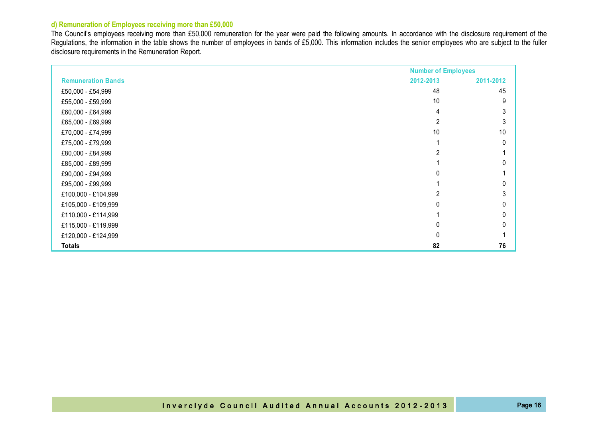#### **d) Remuneration of Employees receiving more than £50,000**

The Council's employees receiving more than £50,000 remuneration for the year were paid the following amounts. In accordance with the disclosure requirement of the Regulations, the information in the table shows the number of employees in bands of £5,000. This information includes the senior employees who are subject to the fuller disclosure requirements in the Remuneration Report.

|                           | <b>Number of Employees</b> |           |
|---------------------------|----------------------------|-----------|
| <b>Remuneration Bands</b> | 2012-2013                  | 2011-2012 |
| £50,000 - £54,999         | 48                         | 45        |
| £55,000 - £59,999         | 10                         | 9         |
| £60,000 - £64,999         | 4                          |           |
| £65,000 - £69,999         | 2                          |           |
| £70,000 - £74,999         | 10                         | 10        |
| £75,000 - £79,999         |                            |           |
| £80,000 - £84,999         |                            |           |
| £85,000 - £89,999         |                            |           |
| £90,000 - £94,999         |                            |           |
| £95,000 - £99,999         |                            |           |
| £100,000 - £104,999       |                            |           |
| £105,000 - £109,999       |                            |           |
| £110,000 - £114,999       |                            |           |
| £115,000 - £119,999       |                            |           |
| £120,000 - £124,999       | 0                          |           |
| <b>Totals</b>             | 82                         | 76        |

### Inverclyde Council Audited Annual Accounts 2012-2013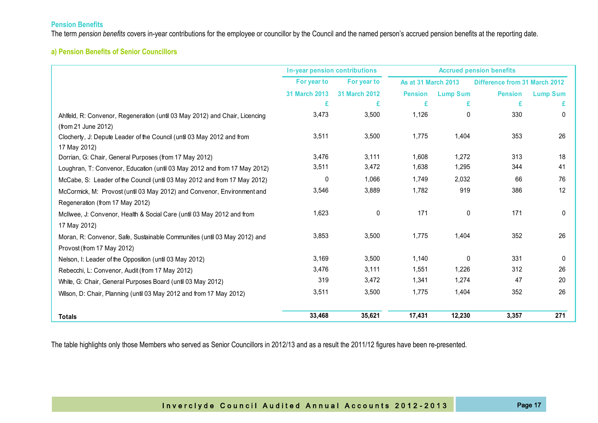#### **Pension Benefits**

The term *pension benefits* covers in-year contributions for the employee or councillor by the Council and the named person's accrued pension benefits at the reporting date.

#### **a) Pension Benefits of Senior Councillors**

|                                                                             | <b>In-year pension contributions</b> |               | <b>Accrued pension benefits</b> |                 |                                      |                 |
|-----------------------------------------------------------------------------|--------------------------------------|---------------|---------------------------------|-----------------|--------------------------------------|-----------------|
|                                                                             | For year to<br>For year to           |               | <b>As at 31 March 2013</b>      |                 | <b>Difference from 31 March 2012</b> |                 |
|                                                                             | <b>31 March 2013</b>                 | 31 March 2012 | <b>Pension</b>                  | <b>Lump Sum</b> | <b>Pension</b>                       | <b>Lump Sum</b> |
|                                                                             |                                      | £             | £                               | £               |                                      |                 |
| Ahlfeld, R: Convenor, Regeneration (until 03 May 2012) and Chair, Licencing | 3,473                                | 3,500         | 1,126                           | 0               | 330                                  | 0               |
| (from 21 June 2012)                                                         |                                      |               |                                 |                 |                                      |                 |
| Clocherty, J: Depute Leader of the Council (until 03 May 2012 and from      | 3,511                                | 3,500         | 1,775                           | 1,404           | 353                                  | 26              |
| 17 May 2012)                                                                |                                      |               |                                 |                 |                                      |                 |
| Dorrian, G: Chair, General Purposes (from 17 May 2012)                      | 3,476                                | 3,111         | 1,608                           | 1,272           | 313                                  | 18              |
| Loughran, T: Convenor, Education (until 03 May 2012 and from 17 May 2012)   | 3,511                                | 3,472         | 1,638                           | 1,295           | 344                                  | 41              |
| McCabe, S: Leader of the Council (until 03 May 2012 and from 17 May 2012)   | 0                                    | 1,066         | 1,749                           | 2,032           | 66                                   | 76              |
| McCormick, M: Provost (until 03 May 2012) and Convenor, Environment and     | 3,546                                | 3,889         | 1,782                           | 919             | 386                                  | 12              |
| Regeneration (from 17 May 2012)                                             |                                      |               |                                 |                 |                                      |                 |
| McIlwee, J: Convenor, Health & Social Care (until 03 May 2012 and from      | 1,623                                | 0             | 171                             | 0               | 171                                  | 0               |
| 17 May 2012)                                                                |                                      |               |                                 |                 |                                      |                 |
| Moran, R: Convenor, Safe, Sustainable Communities (until 03 May 2012) and   | 3,853                                | 3,500         | 1,775                           | 1,404           | 352                                  | 26              |
| Provost (from 17 May 2012)                                                  |                                      |               |                                 |                 |                                      |                 |
| Nelson, I: Leader of the Opposition (until 03 May 2012)                     | 3,169                                | 3,500         | 1,140                           | $\mathbf{0}$    | 331                                  | 0               |
| Rebecchi, L: Convenor, Audit (from 17 May 2012)                             | 3,476                                | 3,111         | 1,551                           | 1,226           | 312                                  | 26              |
| White, G: Chair, General Purposes Board (until 03 May 2012)                 | 319                                  | 3,472         | 1,341                           | 1,274           | 47                                   | 20              |
| Wilson, D: Chair, Planning (until 03 May 2012 and from 17 May 2012)         | 3,511                                | 3,500         | 1,775                           | 1,404           | 352                                  | 26              |
| <b>Totals</b>                                                               | 33,468                               | 35,621        | 17,431                          | 12,230          | 3,357                                | 271             |

The table highlights only those Members who served as Senior Councillors in 2012/13 and as a result the 2011/12 figures have been re-presented.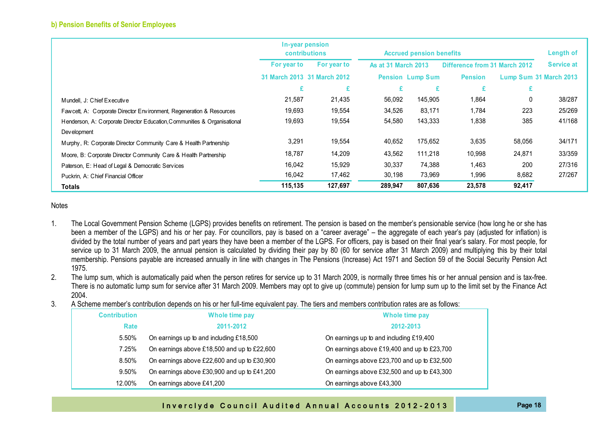|                                                                          |             | In-year pension<br><b>contributions</b> | <b>Accrued pension benefits</b> |                         |                               |        | <b>Length of</b>       |
|--------------------------------------------------------------------------|-------------|-----------------------------------------|---------------------------------|-------------------------|-------------------------------|--------|------------------------|
|                                                                          | For year to | For year to                             | <b>As at 31 March 2013</b>      |                         | Difference from 31 March 2012 |        | <b>Service at</b>      |
|                                                                          |             | 31 March 2013 31 March 2012             |                                 | <b>Pension Lump Sum</b> | <b>Pension</b>                |        | Lump Sum 31 March 2013 |
|                                                                          | £           | £                                       | £                               | £                       | £                             | £      |                        |
| Mundell, J: Chief Executive                                              | 21,587      | 21,435                                  | 56,092                          | 145,905                 | 1,864                         | 0      | 38/287                 |
| Fawcett, A: Corporate Director Environment, Regeneration & Resources     | 19,693      | 19,554                                  | 34,526                          | 83,171                  | 1,784                         | 223    | 25/269                 |
| Henderson, A: Corporate Director Education, Communities & Organisational | 19,693      | 19,554                                  | 54,580                          | 143,333                 | 1,838                         | 385    | 41/168                 |
| Dev elopment                                                             |             |                                         |                                 |                         |                               |        |                        |
| Murphy, R: Corporate Director Community Care & Health Partnership        | 3,291       | 19,554                                  | 40,652                          | 175,652                 | 3,635                         | 58,056 | 34/171                 |
| Moore, B: Corporate Director Community Care & Health Partnership         | 18,787      | 14,209                                  | 43,562                          | 111,218                 | 10,998                        | 24,871 | 33/359                 |
| Paterson, E: Head of Legal & Democratic Services                         | 16,042      | 15,929                                  | 30,337                          | 74,388                  | 1,463                         | 200    | 27/316                 |
| Puckrin, A: Chief Financial Officer                                      | 16,042      | 17,462                                  | 30,198                          | 73,969                  | 1,996                         | 8,682  | 27/267                 |
| Totals                                                                   | 115.135     | 127.697                                 | 289.947                         | 807.636                 | 23,578                        | 92,417 |                        |

**Notes** 

- 1. The Local Government Pension Scheme (LGPS) provides benefits on retirement. The pension is based on the member's pensionable service (how long he or she has been a member of the LGPS) and his or her pay. For councillors, pay is based on a "career average" – the aggregate of each year's pay (adjusted for inflation) is divided by the total number of years and part years they have been a member of the LGPS. For officers, pay is based on their final year's salary. For most people, for service up to 31 March 2009, the annual pension is calculated by dividing their pay by 80 (60 for service after 31 March 2009) and multiplying this by their total membership. Pensions payable are increased annually in line with changes in The Pensions (Increase) Act 1971 and Section 59 of the Social Security Pension Act 1975.
- 2. The lump sum, which is automatically paid when the person retires for service up to 31 March 2009, is normally three times his or her annual pension and is tax-free. There is no automatic lump sum for service after 31 March 2009. Members may opt to give up (commute) pension for lump sum up to the limit set by the Finance Act 2004.
- 3. A Scheme member's contribution depends on his or her full-time equivalent pay. The tiers and members contribution rates are as follows:

| Contribution | Whole time pay                              | Whole time pay                              |
|--------------|---------------------------------------------|---------------------------------------------|
| Rate         | 2011-2012                                   | 2012-2013                                   |
| 5.50%        | On earnings up to and including £18,500     | On earnings up to and including £19,400     |
| 7.25%        | On earnings above £18,500 and up to £22,600 | On earnings above £19,400 and up to £23,700 |
| 8.50%        | On earnings above £22,600 and up to £30,900 | On earnings above £23,700 and up to £32,500 |
| 9.50%        | On earnings above £30,900 and up to £41,200 | On earnings above £32,500 and up to £43,300 |
| 12.00%       | On earnings above £41,200                   | On earnings above £43,300                   |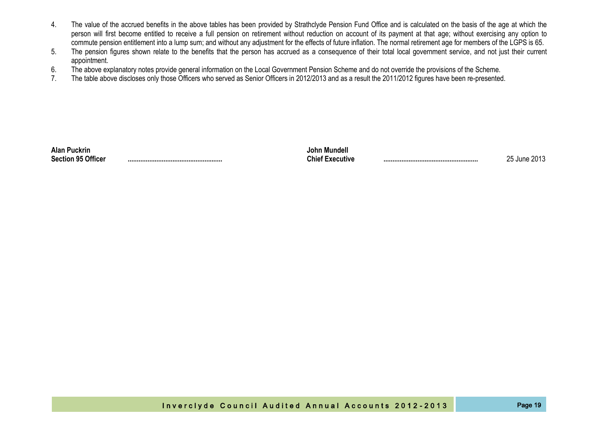- 4. The value of the accrued benefits in the above tables has been provided by Strathclyde Pension Fund Office and is calculated on the basis of the age at which the person will first become entitled to receive a full pension on retirement without reduction on account of its payment at that age; without exercising any option to commute pension entitlement into a lump sum; and without any adjustment for the effects of future inflation. The normal retirement age for members of the LGPS is 65.
- 5. The pension figures shown relate to the benefits that the person has accrued as a consequence of their total local government service, and not just their current appointment.
- 6. The above explanatory notes provide general information on the Local Government Pension Scheme and do not override the provisions of the Scheme.<br>7. The table above discloses only those Officers who served as Senior Offi
- The table above discloses only those Officers who served as Senior Officers in 2012/2013 and as a result the 2011/2012 figures have been re-presented.

| Alan          |  |   |
|---------------|--|---|
| <b>Sectio</b> |  | m |

**John Mundell**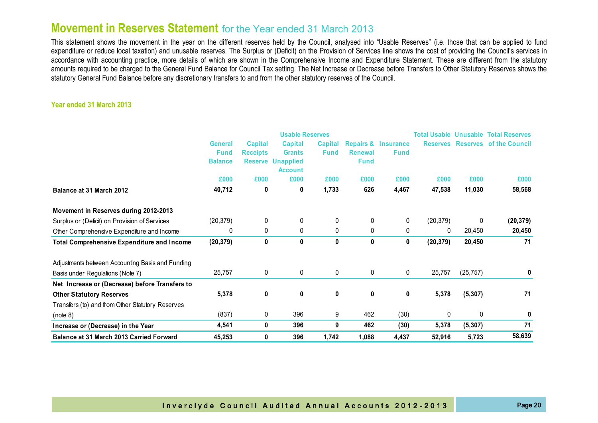## **Movement in Reserves Statement** for the Year ended 31 March 2013

This statement shows the movement in the year on the different reserves held by the Council, analysed into "Usable Reserves" (i.e. those that can be applied to fund expenditure or reduce local taxation) and unusable reserves. The Surplus or (Deficit) on the Provision of Services line shows the cost of providing the Council's services in accordance with accounting practice, more details of which are shown in the Comprehensive Income and Expenditure Statement. These are different from the statutory amounts required to be charged to the General Fund Balance for Council Tax setting. The Net Increase or Decrease before Transfers to Other Statutory Reserves shows the statutory General Fund Balance before any discretionary transfers to and from the other statutory reserves of the Council.

#### **Year ended 31 March 2013**

|                                                   | <b>Usable Reserves</b> |                 |                                            |                |                |                                |           | <b>Total Usable Unusable Total Reserves</b> |                                  |
|---------------------------------------------------|------------------------|-----------------|--------------------------------------------|----------------|----------------|--------------------------------|-----------|---------------------------------------------|----------------------------------|
|                                                   | <b>General</b>         | <b>Capital</b>  | <b>Capital</b>                             | <b>Capital</b> |                | <b>Repairs &amp; Insurance</b> |           |                                             | Reserves Reserves of the Council |
|                                                   | <b>Fund</b>            | <b>Receipts</b> | <b>Grants</b>                              | Fund           | <b>Renewal</b> | <b>Fund</b>                    |           |                                             |                                  |
|                                                   | <b>Balance</b>         |                 | <b>Reserve Unapplied</b><br><b>Account</b> |                | <b>Fund</b>    |                                |           |                                             |                                  |
|                                                   | £000                   | £000            | £000                                       | £000           | £000           | £000                           | £000      | £000                                        | £000                             |
| Balance at 31 March 2012                          | 40,712                 | 0               | 0                                          | 1,733          | 626            | 4,467                          | 47,538    | 11,030                                      | 58,568                           |
| Movement in Reserves during 2012-2013             |                        |                 |                                            |                |                |                                |           |                                             |                                  |
| Surplus or (Deficit) on Provision of Services     | (20, 379)              | 0               | 0                                          | 0              | 0              | 0                              | (20, 379) | 0                                           | (20, 379)                        |
| Other Comprehensive Expenditure and Income        | 0                      | 0               | 0                                          | 0              | 0              | 0                              | 0         | 20,450                                      | 20,450                           |
| <b>Total Comprehensive Expenditure and Income</b> | (20, 379)              | $\pmb{0}$       | $\pmb{0}$                                  | $\pmb{0}$      | 0              | 0                              | (20, 379) | 20,450                                      | 71                               |
| Adjustments between Accounting Basis and Funding  |                        |                 |                                            |                |                |                                |           |                                             |                                  |
| Basis under Regulations (Note 7)                  | 25,757                 | 0               | 0                                          | 0              | 0              | 0                              | 25,757    | (25, 757)                                   | 0                                |
| Net Increase or (Decrease) before Transfers to    |                        |                 |                                            |                |                |                                |           |                                             |                                  |
| <b>Other Statutory Reserves</b>                   | 5,378                  | 0               | 0                                          | 0              | 0              | 0                              | 5,378     | (5, 307)                                    | 71                               |
| Transfers (to) and from Other Statutory Reserves  |                        |                 |                                            |                |                |                                |           |                                             |                                  |
| (note 8)                                          | (837)                  | 0               | 396                                        | 9              | 462            | (30)                           | 0         | 0                                           | 0                                |
| Increase or (Decrease) in the Year                | 4,541                  | $\mathbf 0$     | 396                                        | 9              | 462            | (30)                           | 5,378     | (5, 307)                                    | 71                               |
| <b>Balance at 31 March 2013 Carried Forward</b>   | 45,253                 | 0               | 396                                        | 1,742          | 1,088          | 4,437                          | 52,916    | 5,723                                       | 58,639                           |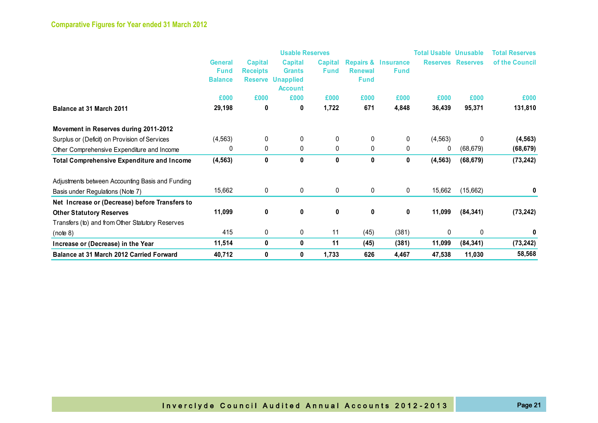|                                                   |                | <b>Usable Reserves</b> |                          |                |                      |                  | <b>Total Usable Unusable</b> |                          | <b>Total Reserves</b> |
|---------------------------------------------------|----------------|------------------------|--------------------------|----------------|----------------------|------------------|------------------------------|--------------------------|-----------------------|
|                                                   | <b>General</b> | <b>Capital</b>         | <b>Capital</b>           | <b>Capital</b> | <b>Repairs &amp;</b> | <b>Insurance</b> |                              | <b>Reserves Reserves</b> | of the Council        |
|                                                   | <b>Fund</b>    | <b>Receipts</b>        | <b>Grants</b>            | <b>Fund</b>    | <b>Renewal</b>       | <b>Fund</b>      |                              |                          |                       |
|                                                   | <b>Balance</b> |                        | <b>Reserve Unapplied</b> |                | <b>Fund</b>          |                  |                              |                          |                       |
|                                                   |                |                        | <b>Account</b>           |                |                      |                  |                              |                          |                       |
|                                                   | £000           | £000                   | £000                     | £000           | £000                 | £000             | £000                         | £000                     | £000                  |
| Balance at 31 March 2011                          | 29,198         | 0                      | 0                        | 1,722          | 671                  | 4,848            | 36,439                       | 95,371                   | 131,810               |
| Movement in Reserves during 2011-2012             |                |                        |                          |                |                      |                  |                              |                          |                       |
| Surplus or (Deficit) on Provision of Services     | (4, 563)       | 0                      | 0                        | 0              | 0                    | 0                | (4, 563)                     | 0                        | (4, 563)              |
| Other Comprehensive Expenditure and Income        | 0              | 0                      | 0                        | 0              | 0                    | 0                | 0                            | (68, 679)                | (68, 679)             |
| <b>Total Comprehensive Expenditure and Income</b> | (4, 563)       | 0                      | 0                        | 0              | 0                    | 0                | (4, 563)                     | (68, 679)                | (73, 242)             |
| Adjustments between Accounting Basis and Funding  |                |                        |                          |                |                      |                  |                              |                          |                       |
| Basis under Regulations (Note 7)                  | 15,662         | 0                      | 0                        | 0              | $\mathbf 0$          | 0                | 15,662                       | (15,662)                 | 0                     |
| Net Increase or (Decrease) before Transfers to    |                |                        |                          |                |                      |                  |                              |                          |                       |
| <b>Other Statutory Reserves</b>                   | 11,099         | 0                      | 0                        | 0              | 0                    | 0                | 11,099                       | (84, 341)                | (73, 242)             |
| Transfers (to) and from Other Statutory Reserves  |                |                        |                          |                |                      |                  |                              |                          |                       |
| (note 8)                                          | 415            | 0                      | 0                        | 11             | (45)                 | (381)            | 0                            | 0                        | 0                     |
| Increase or (Decrease) in the Year                | 11,514         | 0                      | 0                        | 11             | (45)                 | (381)            | 11,099                       | (84, 341)                | (73,242)              |
| Balance at 31 March 2012 Carried Forward          | 40,712         | 0                      | 0                        | 1,733          | 626                  | 4,467            | 47,538                       | 11,030                   | 58,568                |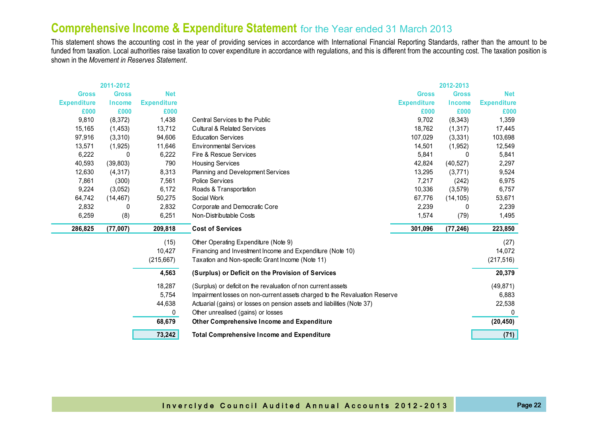### **Comprehensive Income & Expenditure Statement** for the Year ended 31 March 2013

This statement shows the accounting cost in the year of providing services in accordance with International Financial Reporting Standards, rather than the amount to be funded from taxation. Local authorities raise taxation to cover expenditure in accordance with regulations, and this is different from the accounting cost. The taxation position is shown in the *Movement in Reserves Statement*.

|                    | 2011-2012     |                    |                                                                            |                    | 2012-2013    |                    |
|--------------------|---------------|--------------------|----------------------------------------------------------------------------|--------------------|--------------|--------------------|
| <b>Gross</b>       | <b>Gross</b>  | <b>Net</b>         |                                                                            | <b>Gross</b>       | <b>Gross</b> | <b>Net</b>         |
| <b>Expenditure</b> | <b>Income</b> | <b>Expenditure</b> |                                                                            | <b>Expenditure</b> | Income       | <b>Expenditure</b> |
| £000               | £000          | £000               |                                                                            | £000               | £000         | £000               |
| 9,810              | (8,372)       | 1,438              | Central Services to the Public                                             | 9,702              | (8, 343)     | 1,359              |
| 15,165             | (1, 453)      | 13,712             | <b>Cultural &amp; Related Services</b>                                     | 18,762             | (1, 317)     | 17,445             |
| 97,916             | (3,310)       | 94,606             | <b>Education Services</b>                                                  | 107,029            | (3, 331)     | 103,698            |
| 13,571             | (1, 925)      | 11,646             | <b>Environmental Services</b>                                              | 14,501             | (1, 952)     | 12,549             |
| 6,222              |               | 6,222              | Fire & Rescue Services                                                     | 5,841              | 0            | 5,841              |
| 40,593             | (39, 803)     | 790                | <b>Housing Services</b>                                                    | 42,824             | (40, 527)    | 2,297              |
| 12,630             | (4, 317)      | 8,313              | Planning and Development Services                                          | 13,295             | (3,771)      | 9,524              |
| 7,861              | (300)         | 7,561              | <b>Police Services</b>                                                     | 7,217              | (242)        | 6,975              |
| 9,224              | (3,052)       | 6,172              | Roads & Transportation                                                     | 10,336             | (3, 579)     | 6,757              |
| 64,742             | (14, 467)     | 50,275             | Social Work                                                                | 67,776             | (14, 105)    | 53,671             |
| 2,832              | $\Omega$      | 2,832              | Corporate and Democratic Core                                              | 2,239              | 0            | 2,239              |
| 6,259              | (8)           | 6,251              | Non-Distributable Costs                                                    | 1,574              | (79)         | 1,495              |
| 286,825            | (77,007)      | 209,818            | <b>Cost of Services</b>                                                    | 301,096            | (77, 246)    | 223,850            |
|                    |               | (15)               | Other Operating Expenditure (Note 9)                                       |                    |              | (27)               |
|                    |               | 10,427             | Financing and Investment Income and Expenditure (Note 10)                  |                    |              | 14,072             |
|                    |               | (215, 667)         | Taxation and Non-specific Grant Income (Note 11)                           |                    |              | (217, 516)         |
|                    |               | 4,563              | (Surplus) or Deficit on the Provision of Services                          |                    |              | 20,379             |
|                    |               | 18,287             | (Surplus) or deficit on the revaluation of non current assets              |                    |              | (49, 871)          |
|                    |               | 5,754              | Impairment losses on non-current assets charged to the Revaluation Reserve |                    |              | 6,883              |
|                    |               | 44,638             | Actuarial (gains) or losses on pension assets and liabilities (Note 37)    |                    |              | 22,538             |
|                    |               | 0                  | Other unrealised (gains) or losses                                         |                    |              | 0                  |
|                    |               | 68,679             | Other Comprehensive Income and Expenditure                                 |                    |              | (20, 450)          |
|                    |               | 73,242             | <b>Total Comprehensive Income and Expenditure</b>                          |                    |              | (71)               |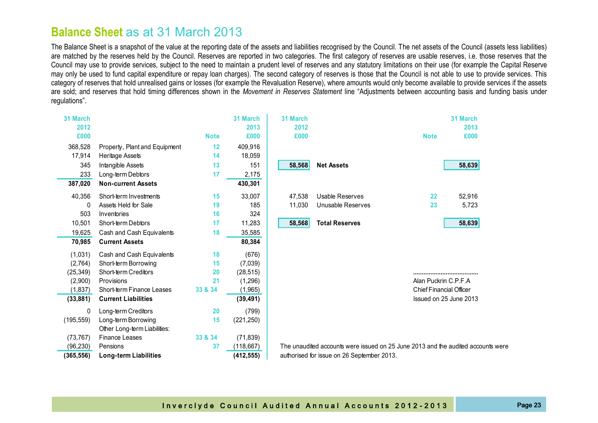## **Balance Sheet** as at 31 March 2013

The Balance Sheet is a snapshot of the value at the reporting date of the assets and liabilities recognised by the Council. The net assets of the Council (assets less liabilities) are matched by the reserves held by the Council. Reserves are reported in two categories. The first category of reserves are usable reserves, i.e. those reserves that the Council may use to provide services, subject to the need to maintain a prudent level of reserves and any statutory limitations on their use (for example the Capital Reserve may only be used to fund capital expenditure or repay loan charges). The second category of reserves is those that the Council is not able to use to provide services. This category of reserves that hold unrealised gains or losses (for example the Revaluation Reserve), where amounts would only become available to provide services if the assets are sold; and reserves that hold timing differences shown in the *Movement in Reserves Statement* line "Adjustments between accounting basis and funding basis under regulations".

| 31 March<br>2012<br>£000 |                               | <b>Note</b> | 31 March<br>2013<br>£000 | 31 March<br>2012<br>£000 |                                                                                  | <b>Note</b>                    | 31 March<br>2013<br>£000 |
|--------------------------|-------------------------------|-------------|--------------------------|--------------------------|----------------------------------------------------------------------------------|--------------------------------|--------------------------|
| 368,528                  | Property, Plant and Equipment | 12          | 409,916                  |                          |                                                                                  |                                |                          |
| 17,914                   | Heritage Assets               | 14          | 18,059                   |                          |                                                                                  |                                |                          |
| 345                      | Intangible Assets             | 13          | 151                      | 58,568                   | <b>Net Assets</b>                                                                |                                | 58,639                   |
| 233                      | Long-term Debtors             | 17          | 2,175                    |                          |                                                                                  |                                |                          |
| 387,020                  | <b>Non-current Assets</b>     |             | 430,301                  |                          |                                                                                  |                                |                          |
|                          |                               |             |                          |                          |                                                                                  |                                |                          |
| 40,356                   | Short-term Investments        | 15          | 33,007                   | 47,538                   | <b>Usable Reserves</b>                                                           | 22                             | 52,916                   |
| 0                        | Assets Held for Sale          | 19          | 185                      | 11,030                   | Unusable Reserves                                                                | 23                             | 5,723                    |
| 503                      | Inventories                   | 16          | 324                      |                          |                                                                                  |                                |                          |
| 10,501                   | Short-term Debtors            | 17          | 11,283                   | 58,568                   | <b>Total Reserves</b>                                                            |                                | 58,639                   |
| 19,625                   | Cash and Cash Equivalents     | 18          | 35,585                   |                          |                                                                                  |                                |                          |
| 70,985                   | <b>Current Assets</b>         |             | 80,384                   |                          |                                                                                  |                                |                          |
| (1,031)                  | Cash and Cash Equivalents     | 18          | (676)                    |                          |                                                                                  |                                |                          |
| (2,764)                  | Short-term Borrowing          | 15          | (7,039)                  |                          |                                                                                  |                                |                          |
| (25, 349)                | Short-term Creditors          | 20          | (28, 515)                |                          |                                                                                  |                                |                          |
| (2,900)                  | Provisions                    | 21          | (1,296)                  |                          |                                                                                  | Alan Puckrin C.P.F.A           |                          |
| (1,837)                  | Short-term Finance Leases     | 33 & 34     | (1, 965)                 |                          |                                                                                  | <b>Chief Financial Officer</b> |                          |
| (33, 881)                | <b>Current Liabilities</b>    |             | (39, 491)                |                          |                                                                                  |                                | Issued on 25 June 2013   |
| 0                        | Long-term Creditors           | 20          | (799)                    |                          |                                                                                  |                                |                          |
| (195, 559)               | Long-term Borrowing           | 15          | (221, 250)               |                          |                                                                                  |                                |                          |
|                          | Other Long-term Liabilities:  |             |                          |                          |                                                                                  |                                |                          |
| (73, 767)                | <b>Finance Leases</b>         | 33 & 34     | (71, 839)                |                          |                                                                                  |                                |                          |
| (96, 230)                | Pensions                      | 37          | (118, 667)               |                          | The unaudited accounts were issued on 25 June 2013 and the audited accounts were |                                |                          |
| (365, 556)               | <b>Long-term Liabilities</b>  |             | (412, 555)               |                          | authorised for issue on 26 September 2013.                                       |                                |                          |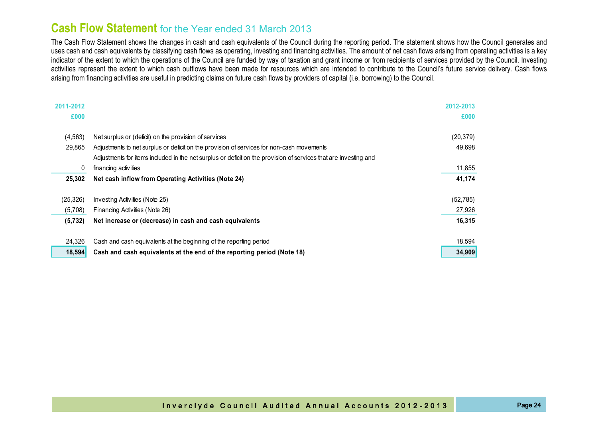## **Cash Flow Statement** for the Year ended 31 March 2013

The Cash Flow Statement shows the changes in cash and cash equivalents of the Council during the reporting period. The statement shows how the Council generates and uses cash and cash equivalents by classifying cash flows as operating, investing and financing activities. The amount of net cash flows arising from operating activities is a key indicator of the extent to which the operations of the Council are funded by way of taxation and grant income or from recipients of services provided by the Council. Investing activities represent the extent to which cash outflows have been made for resources which are intended to contribute to the Council's future service delivery. Cash flows arising from financing activities are useful in predicting claims on future cash flows by providers of capital (i.e. borrowing) to the Council.

| 2011-2012 |                                                                                                                  | 2012-2013 |
|-----------|------------------------------------------------------------------------------------------------------------------|-----------|
| £000      |                                                                                                                  | £000      |
|           |                                                                                                                  |           |
| (4, 563)  | Net surplus or (deficit) on the provision of services                                                            | (20, 379) |
| 29,865    | Adjustments to net surplus or deficit on the provision of services for non-cash movements                        | 49,698    |
|           | Adjustments for items included in the net surplus or deficit on the provision of services that are investing and |           |
| 0         | financing activities                                                                                             | 11,855    |
| 25,302    | Net cash inflow from Operating Activities (Note 24)                                                              | 41,174    |
| (25, 326) | Investing Activities (Note 25)                                                                                   | (52, 785) |
| (5,708)   | Financing Activities (Note 26)                                                                                   | 27,926    |
| (5, 732)  | Net increase or (decrease) in cash and cash equivalents                                                          | 16,315    |
| 24,326    | Cash and cash equivalents at the beginning of the reporting period                                               | 18,594    |
| 18,594    | Cash and cash equivalents at the end of the reporting period (Note 18)                                           | 34,909    |

### Inverclyde Council Audited Annual Accounts 2012-2013 Page 24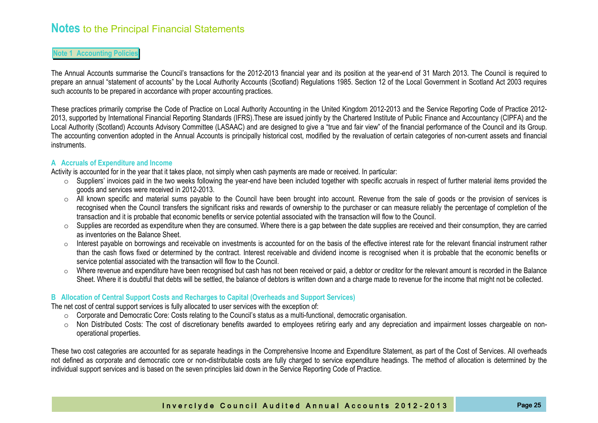### **Notes** to the Principal Financial Statements

#### **Note 1 Accounting Policies**

The Annual Accounts summarise the Council's transactions for the 2012-2013 financial year and its position at the year-end of 31 March 2013. The Council is required to prepare an annual "statement of accounts" by the Local Authority Accounts (Scotland) Regulations 1985. Section 12 of the Local Government in Scotland Act 2003 requires such accounts to be prepared in accordance with proper accounting practices.

These practices primarily comprise the Code of Practice on Local Authority Accounting in the United Kingdom 2012-2013 and the Service Reporting Code of Practice 2012- 2013, supported by International Financial Reporting Standards (IFRS). These are issued jointly by the Chartered Institute of Public Finance and Accountancy (CIPFA) and the Local Authority (Scotland) Accounts Advisory Committee (LASAAC) and are designed to give a "true and fair view" of the financial performance of the Council and its Group. The accounting convention adopted in the Annual Accounts is principally historical cost, modified by the revaluation of certain categories of non-current assets and financial instruments.

#### **A Accruals of Expenditure and Income**

Activity is accounted for in the year that it takes place, not simply when cash payments are made or received. In particular:

- $\circ$  Suppliers' invoices paid in the two weeks following the year-end have been included together with specific accruals in respect of further material items provided the goods and services were received in 2012-2013.
- $\circ$  All known specific and material sums payable to the Council have been brought into account. Revenue from the sale of goods or the provision of services is recognised when the Council transfers the significant risks and rewards of ownership to the purchaser or can measure reliably the percentage of completion of the transaction and it is probable that economic benefits or service potential associated with the transaction will flow to the Council.
- $\circ$  Supplies are recorded as expenditure when they are consumed. Where there is a gap between the date supplies are received and their consumption, they are carried as inventories on the Balance Sheet.
- $\circ$  Interest payable on borrowings and receivable on investments is accounted for on the basis of the effective interest rate for the relevant financial instrument rather than the cash flows fixed or determined by the contract. Interest receivable and dividend income is recognised when it is probable that the economic benefits or service potential associated with the transaction will flow to the Council.
- o Where revenue and expenditure have been recognised but cash has not been received or paid, a debtor or creditor for the relevant amount is recorded in the Balance Sheet. Where it is doubtful that debts will be settled, the balance of debtors is written down and a charge made to revenue for the income that might not be collected.

#### **B Allocation of Central Support Costs and Recharges to Capital (Overheads and Support Services)**

The net cost of central support services is fully allocated to user services with the exception of:

- o Corporate and Democratic Core: Costs relating to the Council's status as a multi-functional, democratic organisation.
- o Non Distributed Costs: The cost of discretionary benefits awarded to employees retiring early and any depreciation and impairment losses chargeable on nonoperational properties.

These two cost categories are accounted for as separate headings in the Comprehensive Income and Expenditure Statement, as part of the Cost of Services. All overheads not defined as corporate and democratic core or non-distributable costs are fully charged to service expenditure headings. The method of allocation is determined by the individual support services and is based on the seven principles laid down in the Service Reporting Code of Practice.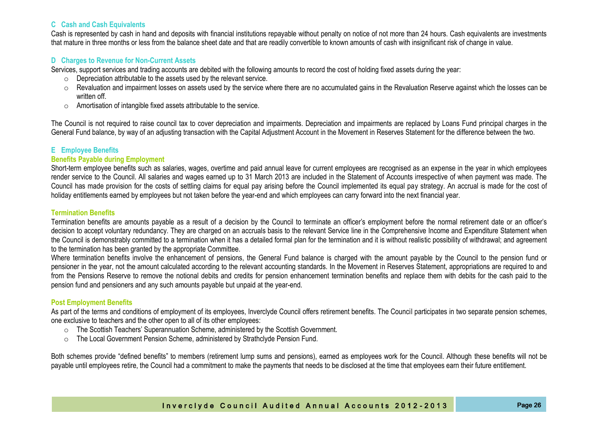#### **C Cash and Cash Equivalents**

Cash is represented by cash in hand and deposits with financial institutions repayable without penalty on notice of not more than 24 hours. Cash equivalents are investments that mature in three months or less from the balance sheet date and that are readily convertible to known amounts of cash with insignificant risk of change in value.

#### **D Charges to Revenue for Non-Current Assets**

Services, support services and trading accounts are debited with the following amounts to record the cost of holding fixed assets during the year:

- $\circ$  Depreciation attributable to the assets used by the relevant service.
- $\circ$  Revaluation and impairment losses on assets used by the service where there are no accumulated gains in the Revaluation Reserve against which the losses can be written off.
- o Amortisation of intangible fixed assets attributable to the service.

The Council is not required to raise council tax to cover depreciation and impairments. Depreciation and impairments are replaced by Loans Fund principal charges in the General Fund balance, by way of an adjusting transaction with the Capital Adjustment Account in the Movement in Reserves Statement for the difference between the two.

#### **E Employee Benefits**

#### **Benefits Payable during Employment**

Short-term employee benefits such as salaries, wages, overtime and paid annual leave for current employees are recognised as an expense in the year in which employees render service to the Council. All salaries and wages earned up to 31 March 2013 are included in the Statement of Accounts irrespective of when payment was made. The Council has made provision for the costs of settling claims for equal pay arising before the Council implemented its equal pay strategy. An accrual is made for the cost of holiday entitlements earned by employees but not taken before the year-end and which employees can carry forward into the next financial year.

#### **Termination Benefits**

Termination benefits are amounts payable as a result of a decision by the Council to terminate an officer's employment before the normal retirement date or an officer's decision to accept voluntary redundancy. They are charged on an accruals basis to the relevant Service line in the Comprehensive Income and Expenditure Statement when the Council is demonstrably committed to a termination when it has a detailed formal plan for the termination and it is without realistic possibility of withdrawal; and agreement to the termination has been granted by the appropriate Committee.

Where termination benefits involve the enhancement of pensions, the General Fund balance is charged with the amount payable by the Council to the pension fund or pensioner in the year, not the amount calculated according to the relevant accounting standards. In the Movement in Reserves Statement, appropriations are required to and from the Pensions Reserve to remove the notional debits and credits for pension enhancement termination benefits and replace them with debits for the cash paid to the pension fund and pensioners and any such amounts payable but unpaid at the year-end.

#### **Post Employment Benefits**

As part of the terms and conditions of employment of its employees, Inverclyde Council offers retirement benefits. The Council participates in two separate pension schemes, one exclusive to teachers and the other open to all of its other employees:

- o The Scottish Teachers' Superannuation Scheme, administered by the Scottish Government.
- o The Local Government Pension Scheme, administered by Strathclyde Pension Fund.

Both schemes provide "defined benefits" to members (retirement lump sums and pensions), earned as employees work for the Council. Although these benefits will not be payable until employees retire, the Council had a commitment to make the payments that needs to be disclosed at the time that employees earn their future entitlement.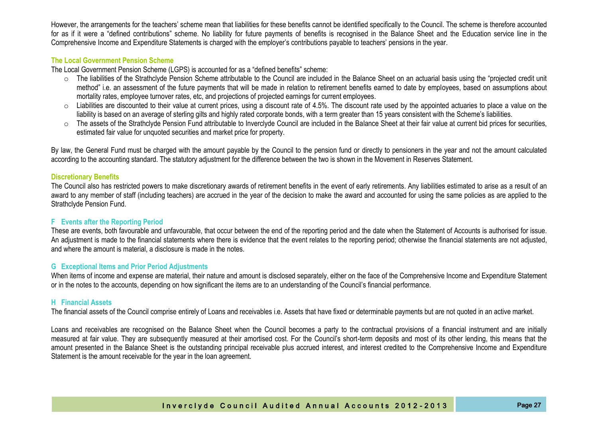However, the arrangements for the teachers' scheme mean that liabilities for these benefits cannot be identified specifically to the Council. The scheme is therefore accounted for as if it were a "defined contributions" scheme. No liability for future payments of benefits is recognised in the Balance Sheet and the Education service line in the Comprehensive Income and Expenditure Statements is charged with the employer's contributions payable to teachers' pensions in the year.

#### **The Local Government Pension Scheme**

The Local Government Pension Scheme (LGPS) is accounted for as a "defined benefits" scheme:

- o The liabilities of the Strathclyde Pension Scheme attributable to the Council are included in the Balance Sheet on an actuarial basis using the "projected credit unit method" i.e. an assessment of the future payments that will be made in relation to retirement benefits earned to date by employees, based on assumptions about mortality rates, employee turnover rates, etc, and projections of projected earnings for current employees.
- $\circ$  Liabilities are discounted to their value at current prices, using a discount rate of 4.5%. The discount rate used by the appointed actuaries to place a value on the liability is based on an average of sterling gilts and highly rated corporate bonds, with a term greater than 15 years consistent with the Scheme's liabilities.
- o The assets of the Strathclyde Pension Fund attributable to Inverclyde Council are included in the Balance Sheet at their fair value at current bid prices for securities, estimated fair value for unquoted securities and market price for property.

By law, the General Fund must be charged with the amount payable by the Council to the pension fund or directly to pensioners in the year and not the amount calculated according to the accounting standard. The statutory adjustment for the difference between the two is shown in the Movement in Reserves Statement.

#### **Discretionary Benefits**

The Council also has restricted powers to make discretionary awards of retirement benefits in the event of early retirements. Any liabilities estimated to arise as a result of an award to any member of staff (including teachers) are accrued in the year of the decision to make the award and accounted for using the same policies as are applied to the Strathclyde Pension Fund.

#### **F Events after the Reporting Period**

These are events, both favourable and unfavourable, that occur between the end of the reporting period and the date when the Statement of Accounts is authorised for issue. An adjustment is made to the financial statements where there is evidence that the event relates to the reporting period; otherwise the financial statements are not adjusted, and where the amount is material, a disclosure is made in the notes.

#### **G Exceptional Items and Prior Period Adjustments**

When items of income and expense are material, their nature and amount is disclosed separately, either on the face of the Comprehensive Income and Expenditure Statement or in the notes to the accounts, depending on how significant the items are to an understanding of the Council's financial performance.

#### **H Financial Assets**

The financial assets of the Council comprise entirely of Loans and receivables i.e. Assets that have fixed or determinable payments but are not quoted in an active market.

Loans and receivables are recognised on the Balance Sheet when the Council becomes a party to the contractual provisions of a financial instrument and are initially measured at fair value. They are subsequently measured at their amortised cost. For the Council's short-term deposits and most of its other lending, this means that the amount presented in the Balance Sheet is the outstanding principal receivable plus accrued interest, and interest credited to the Comprehensive Income and Expenditure Statement is the amount receivable for the year in the loan agreement.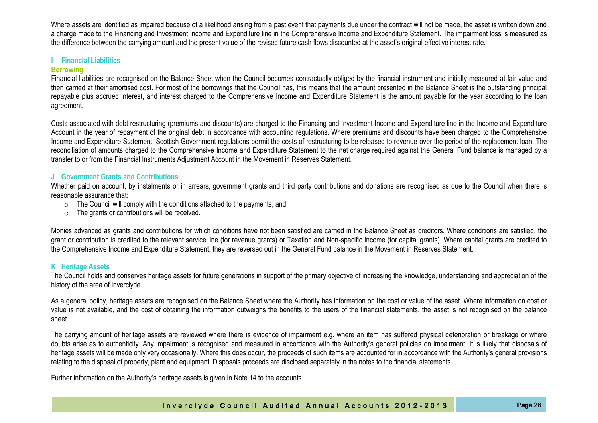Where assets are identified as impaired because of a likelihood arising from a past event that payments due under the contract will not be made, the asset is written down and a charge made to the Financing and Investment Income and Expenditure line in the Comprehensive Income and Expenditure Statement. The impairment loss is measured as the difference between the carrying amount and the present value of the revised future cash flows discounted at the asset's original effective interest rate.

#### **I Financial Liabilities**

#### **Borrowing**

Financial liabilities are recognised on the Balance Sheet when the Council becomes contractually obliged by the financial instrument and initially measured at fair value and then carried at their amortised cost. For most of the borrowings that the Council has, this means that the amount presented in the Balance Sheet is the outstanding principal repayable plus accrued interest, and interest charged to the Comprehensive Income and Expenditure Statement is the amount payable for the year according to the loan agreement.

Costs associated with debt restructuring (premiums and discounts) are charged to the Financing and Investment Income and Expenditure line in the Income and Expenditure Account in the year of repayment of the original debt in accordance with accounting regulations. Where premiums and discounts have been charged to the Comprehensive Income and Expenditure Statement, Scottish Government regulations permit the costs of restructuring to be released to revenue over the period of the replacement loan. The reconciliation of amounts charged to the Comprehensive Income and Expenditure Statement to the net charge required against the General Fund balance is managed by a transfer to or from the Financial Instruments Adjustment Account in the Movement in Reserves Statement.

#### **J Government Grants and Contributions**

Whether paid on account, by instalments or in arrears, government grants and third party contributions and donations are recognised as due to the Council when there is reasonable assurance that:

- o The Council will comply with the conditions attached to the payments, and
- o The grants or contributions will be received.

Monies advanced as grants and contributions for which conditions have not been satisfied are carried in the Balance Sheet as creditors. Where conditions are satisfied, the grant or contribution is credited to the relevant service line (for revenue grants) or Taxation and Non-specific Income (for capital grants). Where capital grants are credited to the Comprehensive Income and Expenditure Statement, they are reversed out in the General Fund balance in the Movement in Reserves Statement.

#### **K Heritage Assets**

The Council holds and conserves heritage assets for future generations in support of the primary objective of increasing the knowledge, understanding and appreciation of the history of the area of Inverclyde.

As a general policy, heritage assets are recognised on the Balance Sheet where the Authority has information on the cost or value of the asset. Where information on cost or value is not available, and the cost of obtaining the information outweighs the benefits to the users of the financial statements, the asset is not recognised on the balance sheet.

The carrying amount of heritage assets are reviewed where there is evidence of impairment e.g. where an item has suffered physical deterioration or breakage or where doubts arise as to authenticity. Any impairment is recognised and measured in accordance with the Authority's general policies on impairment. It is likely that disposals of heritage assets will be made only very occasionally. Where this does occur, the proceeds of such items are accounted for in accordance with the Authority's general provisions relating to the disposal of property, plant and equipment. Disposals proceeds are disclosed separately in the notes to the financial statements.

Further information on the Authority's heritage assets is given in Note 14 to the accounts.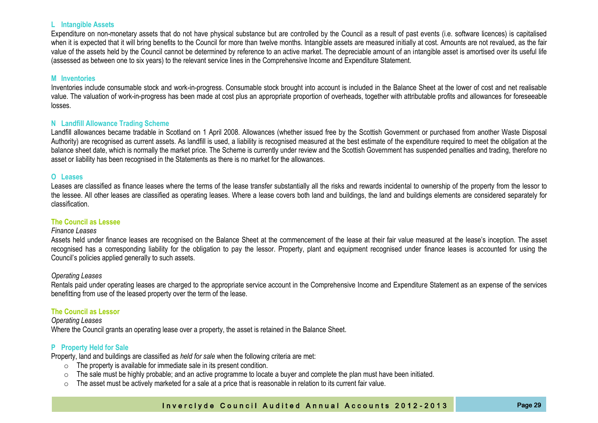#### **L Intangible Assets**

Expenditure on non-monetary assets that do not have physical substance but are controlled by the Council as a result of past events (i.e. software licences) is capitalised when it is expected that it will bring benefits to the Council for more than twelve months. Intangible assets are measured initially at cost. Amounts are not revalued, as the fair value of the assets held by the Council cannot be determined by reference to an active market. The depreciable amount of an intangible asset is amortised over its useful life (assessed as between one to six years) to the relevant service lines in the Comprehensive Income and Expenditure Statement.

#### **M Inventories**

Inventories include consumable stock and work-in-progress. Consumable stock brought into account is included in the Balance Sheet at the lower of cost and net realisable value. The valuation of work-in-progress has been made at cost plus an appropriate proportion of overheads, together with attributable profits and allowances for foreseeable losses.

#### **N Landfill Allowance Trading Scheme**

Landfill allowances became tradable in Scotland on 1 April 2008. Allowances (whether issued free by the Scottish Government or purchased from another Waste Disposal Authority) are recognised as current assets. As landfill is used, a liability is recognised measured at the best estimate of the expenditure required to meet the obligation at the balance sheet date, which is normally the market price. The Scheme is currently under review and the Scottish Government has suspended penalties and trading, therefore no asset or liability has been recognised in the Statements as there is no market for the allowances.

#### **O Leases**

Leases are classified as finance leases where the terms of the lease transfer substantially all the risks and rewards incidental to ownership of the property from the lessor to the lessee. All other leases are classified as operating leases. Where a lease covers both land and buildings, the land and buildings elements are considered separately for classification.

#### **The Council as Lessee**

#### *Finance Leases*

Assets held under finance leases are recognised on the Balance Sheet at the commencement of the lease at their fair value measured at the lease's inception. The asset recognised has a corresponding liability for the obligation to pay the lessor. Property, plant and equipment recognised under finance leases is accounted for using the Council's policies applied generally to such assets.

#### *Operating Leases*

Rentals paid under operating leases are charged to the appropriate service account in the Comprehensive Income and Expenditure Statement as an expense of the services benefitting from use of the leased property over the term of the lease.

#### **The Council as Lessor**

*Operating Leases* Where the Council grants an operating lease over a property, the asset is retained in the Balance Sheet.

#### **P Property Held for Sale**

Property, land and buildings are classified as *held for sale* when the following criteria are met:

- $\circ$  The property is available for immediate sale in its present condition.
- The sale must be highly probable; and an active programme to locate a buyer and complete the plan must have been initiated.
- $\circ$  The asset must be actively marketed for a sale at a price that is reasonable in relation to its current fair value.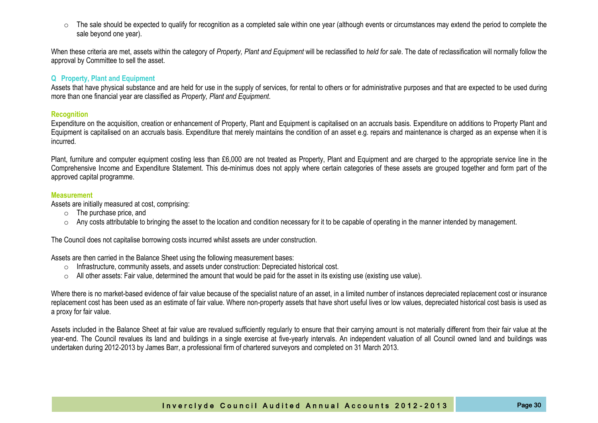$\circ$  The sale should be expected to qualify for recognition as a completed sale within one year (although events or circumstances may extend the period to complete the sale beyond one year).

When these criteria are met, assets within the category of *Property, Plant and Equipment* will be reclassified to *held for sale*. The date of reclassification will normally follow the approval by Committee to sell the asset.

#### **Q Property, Plant and Equipment**

Assets that have physical substance and are held for use in the supply of services, for rental to others or for administrative purposes and that are expected to be used during more than one financial year are classified as *Property, Plant and Equipment*.

#### **Recognition**

Expenditure on the acquisition, creation or enhancement of Property, Plant and Equipment is capitalised on an accruals basis. Expenditure on additions to Property Plant and Equipment is capitalised on an accruals basis. Expenditure that merely maintains the condition of an asset e.g. repairs and maintenance is charged as an expense when it is incurred.

Plant, furniture and computer equipment costing less than £6,000 are not treated as Property, Plant and Equipment and are charged to the appropriate service line in the Comprehensive Income and Expenditure Statement. This de-minimus does not apply where certain categories of these assets are grouped together and form part of the approved capital programme.

#### **Measurement**

Assets are initially measured at cost, comprising:

- o The purchase price, and
- $\circ$  Any costs attributable to bringing the asset to the location and condition necessary for it to be capable of operating in the manner intended by management.

The Council does not capitalise borrowing costs incurred whilst assets are under construction.

Assets are then carried in the Balance Sheet using the following measurement bases:

- o Infrastructure, community assets, and assets under construction: Depreciated historical cost.
- $\circ$  All other assets: Fair value, determined the amount that would be paid for the asset in its existing use (existing use value).

Where there is no market-based evidence of fair value because of the specialist nature of an asset, in a limited number of instances depreciated replacement cost or insurance replacement cost has been used as an estimate of fair value. Where non-property assets that have short useful lives or low values, depreciated historical cost basis is used as a proxy for fair value.

Assets included in the Balance Sheet at fair value are revalued sufficiently regularly to ensure that their carrying amount is not materially different from their fair value at the year-end. The Council revalues its land and buildings in a single exercise at five-yearly intervals. An independent valuation of all Council owned land and buildings was undertaken during 2012-2013 by James Barr, a professional firm of chartered surveyors and completed on 31 March 2013.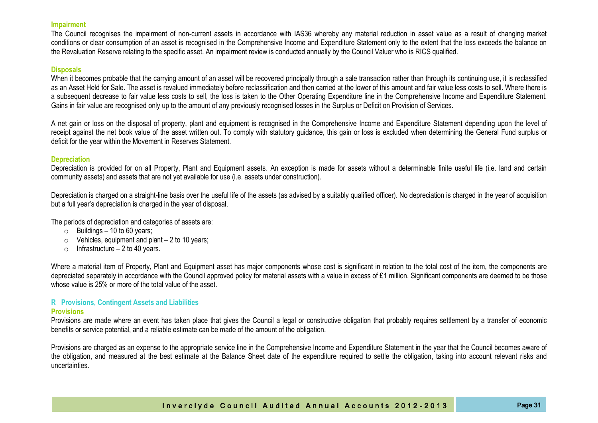#### **Impairment**

The Council recognises the impairment of non-current assets in accordance with IAS36 whereby any material reduction in asset value as a result of changing market conditions or clear consumption of an asset is recognised in the Comprehensive Income and Expenditure Statement only to the extent that the loss exceeds the balance on the Revaluation Reserve relating to the specific asset. An impairment review is conducted annually by the Council Valuer who is RICS qualified.

#### **Disposals**

When it becomes probable that the carrying amount of an asset will be recovered principally through a sale transaction rather than through its continuing use, it is reclassified as an Asset Held for Sale. The asset is revalued immediately before reclassification and then carried at the lower of this amount and fair value less costs to sell. Where there is a subsequent decrease to fair value less costs to sell, the loss is taken to the Other Operating Expenditure line in the Comprehensive Income and Expenditure Statement. Gains in fair value are recognised only up to the amount of any previously recognised losses in the Surplus or Deficit on Provision of Services.

A net gain or loss on the disposal of property, plant and equipment is recognised in the Comprehensive Income and Expenditure Statement depending upon the level of receipt against the net book value of the asset written out. To comply with statutory guidance, this gain or loss is excluded when determining the General Fund surplus or deficit for the year within the Movement in Reserves Statement.

#### **Depreciation**

Depreciation is provided for on all Property, Plant and Equipment assets. An exception is made for assets without a determinable finite useful life (i.e. land and certain community assets) and assets that are not yet available for use (i.e. assets under construction).

Depreciation is charged on a straight-line basis over the useful life of the assets (as advised by a suitably qualified officer). No depreciation is charged in the year of acquisition but a full year's depreciation is charged in the year of disposal.

The periods of depreciation and categories of assets are:

- $\circ$  Buildings 10 to 60 years;
- $\circ$  Vehicles, equipment and plant 2 to 10 years;
- $\circ$  Infrastructure 2 to 40 years.

Where a material item of Property, Plant and Equipment asset has major components whose cost is significant in relation to the total cost of the item, the components are depreciated separately in accordance with the Council approved policy for material assets with a value in excess of £1 million. Significant components are deemed to be those whose value is 25% or more of the total value of the asset.

### **R Provisions, Contingent Assets and Liabilities**

#### **Provisions**

Provisions are made where an event has taken place that gives the Council a legal or constructive obligation that probably requires settlement by a transfer of economic benefits or service potential, and a reliable estimate can be made of the amount of the obligation.

Provisions are charged as an expense to the appropriate service line in the Comprehensive Income and Expenditure Statement in the year that the Council becomes aware of the obligation, and measured at the best estimate at the Balance Sheet date of the expenditure required to settle the obligation, taking into account relevant risks and uncertainties.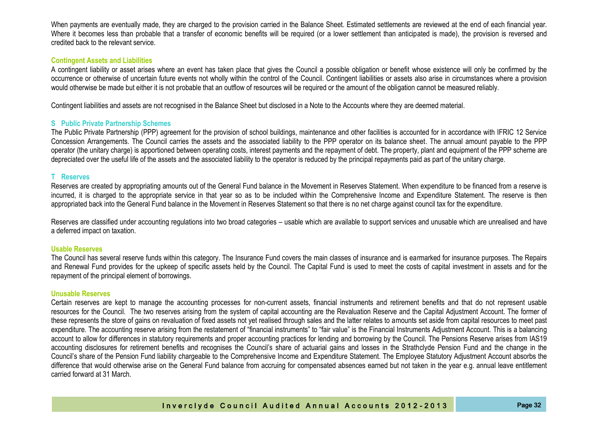When payments are eventually made, they are charged to the provision carried in the Balance Sheet. Estimated settlements are reviewed at the end of each financial year. Where it becomes less than probable that a transfer of economic benefits will be required (or a lower settlement than anticipated is made), the provision is reversed and credited back to the relevant service.

#### **Contingent Assets and Liabilities**

A contingent liability or asset arises where an event has taken place that gives the Council a possible obligation or benefit whose existence will only be confirmed by the occurrence or otherwise of uncertain future events not wholly within the control of the Council. Contingent liabilities or assets also arise in circumstances where a provision would otherwise be made but either it is not probable that an outflow of resources will be required or the amount of the obligation cannot be measured reliably.

Contingent liabilities and assets are not recognised in the Balance Sheet but disclosed in a Note to the Accounts where they are deemed material.

#### **S Public Private Partnership Schemes**

The Public Private Partnership (PPP) agreement for the provision of school buildings, maintenance and other facilities is accounted for in accordance with IFRIC 12 Service Concession Arrangements. The Council carries the assets and the associated liability to the PPP operator on its balance sheet. The annual amount payable to the PPP operator (the unitary charge) is apportioned between operating costs, interest payments and the repayment of debt. The property, plant and equipment of the PPP scheme are depreciated over the useful life of the assets and the associated liability to the operator is reduced by the principal repayments paid as part of the unitary charge.

#### **T Reserves**

Reserves are created by appropriating amounts out of the General Fund balance in the Movement in Reserves Statement. When expenditure to be financed from a reserve is incurred, it is charged to the appropriate service in that year so as to be included within the Comprehensive Income and Expenditure Statement. The reserve is then appropriated back into the General Fund balance in the Movement in Reserves Statement so that there is no net charge against council tax for the expenditure.

Reserves are classified under accounting regulations into two broad categories – usable which are available to support services and unusable which are unrealised and have a deferred impact on taxation.

#### **Usable Reserves**

The Council has several reserve funds within this category. The Insurance Fund covers the main classes of insurance and is earmarked for insurance purposes. The Repairs and Renewal Fund provides for the upkeep of specific assets held by the Council. The Capital Fund is used to meet the costs of capital investment in assets and for the repayment of the principal element of borrowings.

#### **Unusable Reserves**

Certain reserves are kept to manage the accounting processes for non-current assets, financial instruments and retirement benefits and that do not represent usable resources for the Council. The two reserves arising from the system of capital accounting are the Revaluation Reserve and the Capital Adjustment Account. The former of these represents the store of gains on revaluation of fixed assets not yet realised through sales and the latter relates to amounts set aside from capital resources to meet past expenditure. The accounting reserve arising from the restatement of "financial instruments" to "fair value" is the Financial Instruments Adjustment Account. This is a balancing account to allow for differences in statutory requirements and proper accounting practices for lending and borrowing by the Council. The Pensions Reserve arises from IAS19 accounting disclosures for retirement benefits and recognises the Council's share of actuarial gains and losses in the Strathclyde Pension Fund and the change in the Council's share of the Pension Fund liability chargeable to the Comprehensive Income and Expenditure Statement. The Employee Statutory Adjustment Account absorbs the difference that would otherwise arise on the General Fund balance from accruing for compensated absences earned but not taken in the year e.g. annual leave entitlement carried forward at 31 March.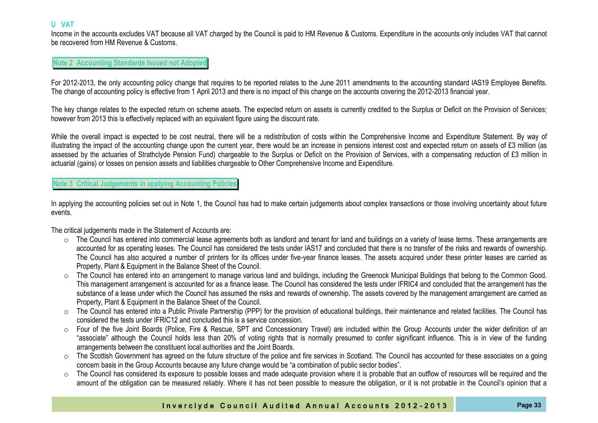#### **U VAT**

Income in the accounts excludes VAT because all VAT charged by the Council is paid to HM Revenue & Customs. Expenditure in the accounts only includes VAT that cannot be recovered from HM Revenue & Customs.

#### **Note 2 Accounting Standards Issued not Adopted**

For 2012-2013, the only accounting policy change that requires to be reported relates to the June 2011 amendments to the accounting standard IAS19 Employee Benefits. The change of accounting policy is effective from 1 April 2013 and there is no impact of this change on the accounts covering the 2012-2013 financial year.

The key change relates to the expected return on scheme assets. The expected return on assets is currently credited to the Surplus or Deficit on the Provision of Services; however from 2013 this is effectively replaced with an equivalent figure using the discount rate.

While the overall impact is expected to be cost neutral, there will be a redistribution of costs within the Comprehensive Income and Expenditure Statement. By way of illustrating the impact of the accounting change upon the current year, there would be an increase in pensions interest cost and expected return on assets of £3 million (as assessed by the actuaries of Strathclyde Pension Fund) chargeable to the Surplus or Deficit on the Provision of Services, with a compensating reduction of £3 million in actuarial (gains) or losses on pension assets and liabilities chargeable to Other Comprehensive Income and Expenditure.

#### **Note 3 Critical Judgements in applying Accounting Policies**

In applying the accounting policies set out in Note 1, the Council has had to make certain judgements about complex transactions or those involving uncertainty about future events.

The critical judgements made in the Statement of Accounts are:

- o The Council has entered into commercial lease agreements both as landlord and tenant for land and buildings on a variety of lease terms. These arrangements are accounted for as operating leases. The Council has considered the tests under IAS17 and concluded that there is no transfer of the risks and rewards of ownership. The Council has also acquired a number of printers for its offices under five-year finance leases. The assets acquired under these printer leases are carried as Property, Plant & Equipment in the Balance Sheet of the Council.
- o The Council has entered into an arrangement to manage various land and buildings, including the Greenock Municipal Buildings that belong to the Common Good. This management arrangement is accounted for as a finance lease. The Council has considered the tests under IFRIC4 and concluded that the arrangement has the substance of a lease under which the Council has assumed the risks and rewards of ownership. The assets covered by the management arrangement are carried as Property, Plant & Equipment in the Balance Sheet of the Council.
- $\circ$  The Council has entered into a Public Private Partnership (PPP) for the provision of educational buildings, their maintenance and related facilities. The Council has considered the tests under IFRIC12 and concluded this is a service concession.
- o Four of the five Joint Boards (Police, Fire & Rescue, SPT and Concessionary Travel) are included within the Group Accounts under the wider definition of an "associate" although the Council holds less than 20% of voting rights that is normally presumed to confer significant influence. This is in view of the funding arrangements between the constituent local authorities and the Joint Boards.
- o The Scottish Government has agreed on the future structure of the police and fire services in Scotland. The Council has accounted for these associates on a going concern basis in the Group Accounts because any future change would be "a combination of public sector bodies".
- o The Council has considered its exposure to possible losses and made adequate provision where it is probable that an outflow of resources will be required and the amount of the obligation can be measured reliably. Where it has not been possible to measure the obligation, or it is not probable in the Council's opinion that a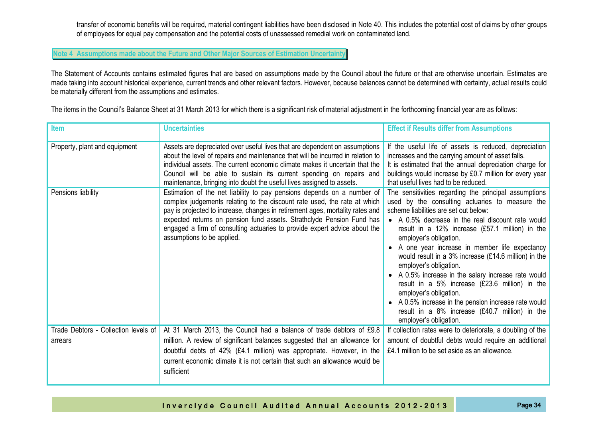transfer of economic benefits will be required, material contingent liabilities have been disclosed in Note 40. This includes the potential cost of claims by other groups of employees for equal pay compensation and the potential costs of unassessed remedial work on contaminated land.

**Note 4 Assumptions made about the Future and Other Major Sources of Estimation Uncertainty**

The Statement of Accounts contains estimated figures that are based on assumptions made by the Council about the future or that are otherwise uncertain. Estimates are made taking into account historical experience, current trends and other relevant factors. However, because balances cannot be determined with certainty, actual results could be materially different from the assumptions and estimates.

The items in the Council's Balance Sheet at 31 March 2013 for which there is a significant risk of material adjustment in the forthcoming financial year are as follows:

| Item                                 | <b>Uncertainties</b>                                                                                                                                                                                                                                                                                                                                                                                                    | <b>Effect if Results differ from Assumptions</b>                                                                                                                                                                                                                                                                                                                                                                                                                                                                                                                                                                                                                                                            |
|--------------------------------------|-------------------------------------------------------------------------------------------------------------------------------------------------------------------------------------------------------------------------------------------------------------------------------------------------------------------------------------------------------------------------------------------------------------------------|-------------------------------------------------------------------------------------------------------------------------------------------------------------------------------------------------------------------------------------------------------------------------------------------------------------------------------------------------------------------------------------------------------------------------------------------------------------------------------------------------------------------------------------------------------------------------------------------------------------------------------------------------------------------------------------------------------------|
| Property, plant and equipment        | Assets are depreciated over useful lives that are dependent on assumptions<br>about the level of repairs and maintenance that will be incurred in relation to<br>individual assets. The current economic climate makes it uncertain that the<br>Council will be able to sustain its current spending on repairs and<br>maintenance, bringing into doubt the useful lives assigned to assets.                            | If the useful life of assets is reduced, depreciation<br>increases and the carrying amount of asset falls.<br>It is estimated that the annual depreciation charge for<br>buildings would increase by £0.7 million for every year<br>that useful lives had to be reduced.                                                                                                                                                                                                                                                                                                                                                                                                                                    |
| Pensions liability                   | Estimation of the net liability to pay pensions depends on a number of<br>complex judgements relating to the discount rate used, the rate at which<br>pay is projected to increase, changes in retirement ages, mortality rates and<br>expected returns on pension fund assets. Strathclyde Pension Fund has<br>engaged a firm of consulting actuaries to provide expert advice about the<br>assumptions to be applied. | The sensitivities regarding the principal assumptions<br>used by the consulting actuaries to measure the<br>scheme liabilities are set out below:<br>• A 0.5% decrease in the real discount rate would<br>result in a 12% increase $(£57.1$ million) in the<br>employer's obligation.<br>• A one year increase in member life expectancy<br>would result in a 3% increase $(E14.6 \text{ million})$ in the<br>employer's obligation.<br>• A 0.5% increase in the salary increase rate would<br>result in a 5% increase (£23.6 million) in the<br>employer's obligation.<br>• A 0.5% increase in the pension increase rate would<br>result in a 8% increase (£40.7 million) in the<br>employer's obligation. |
| Trade Debtors - Collection levels of | At 31 March 2013, the Council had a balance of trade debtors of £9.8                                                                                                                                                                                                                                                                                                                                                    | If collection rates were to deteriorate, a doubling of the                                                                                                                                                                                                                                                                                                                                                                                                                                                                                                                                                                                                                                                  |
| arrears                              | million. A review of significant balances suggested that an allowance for                                                                                                                                                                                                                                                                                                                                               | amount of doubtful debts would require an additional                                                                                                                                                                                                                                                                                                                                                                                                                                                                                                                                                                                                                                                        |
|                                      | doubtful debts of 42% (£4.1 million) was appropriate. However, in the                                                                                                                                                                                                                                                                                                                                                   | £4.1 million to be set aside as an allowance.                                                                                                                                                                                                                                                                                                                                                                                                                                                                                                                                                                                                                                                               |
|                                      | current economic climate it is not certain that such an allowance would be<br>sufficient                                                                                                                                                                                                                                                                                                                                |                                                                                                                                                                                                                                                                                                                                                                                                                                                                                                                                                                                                                                                                                                             |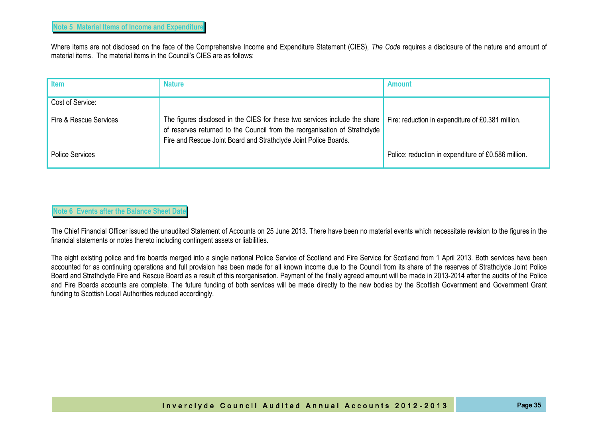Where items are not disclosed on the face of the Comprehensive Income and Expenditure Statement (CIES), *The Code* requires a disclosure of the nature and amount of material items. The material items in the Council's CIFS are as follows:

| <b>Item</b>            | <b>Nature</b>                                                                                                                                                                                                                | <b>Amount</b>                                       |
|------------------------|------------------------------------------------------------------------------------------------------------------------------------------------------------------------------------------------------------------------------|-----------------------------------------------------|
| Cost of Service:       |                                                                                                                                                                                                                              |                                                     |
| Fire & Rescue Services | The figures disclosed in the CIES for these two services include the share<br>of reserves returned to the Council from the reorganisation of Strathclyde<br>Fire and Rescue Joint Board and Strathclyde Joint Police Boards. | Fire: reduction in expenditure of £0.381 million.   |
| <b>Police Services</b> |                                                                                                                                                                                                                              | Police: reduction in expenditure of £0.586 million. |

**Note 6 Events after the Balance Sheet Date**

The Chief Financial Officer issued the unaudited Statement of Accounts on 25 June 2013. There have been no material events which necessitate revision to the figures in the financial statements or notes thereto including contingent assets or liabilities.

The eight existing police and fire boards merged into a single national Police Service of Scotland and Fire Service for Scotland from 1 April 2013. Both services have been accounted for as continuing operations and full provision has been made for all known income due to the Council from its share of the reserves of Strathclyde Joint Police Board and Strathclyde Fire and Rescue Board as a result of this reorganisation. Payment of the finally agreed amount will be made in 2013-2014 after the audits of the Police and Fire Boards accounts are complete. The future funding of both services will be made directly to the new bodies by the Scottish Government and Government Grant funding to Scottish Local Authorities reduced accordingly.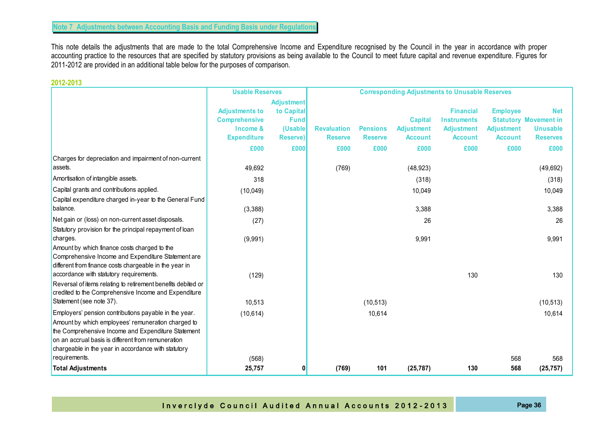# **Note 7 Adjustments between Accounting Basis and Funding Basis under Regulations**

This note details the adjustments that are made to the total Comprehensive Income and Expenditure recognised by the Council in the year in accordance with proper accounting practice to the resources that are specified by statutory provisions as being available to the Council to meet future capital and revenue expenditure. Figures for 2011-2012 are provided in an additional table below for the purposes of comparison.

| ZU IZ-ZU IJ                                                  |                        |                   |                    |                 |                   |                                                       |                   |                              |
|--------------------------------------------------------------|------------------------|-------------------|--------------------|-----------------|-------------------|-------------------------------------------------------|-------------------|------------------------------|
|                                                              | <b>Usable Reserves</b> |                   |                    |                 |                   | <b>Corresponding Adjustments to Unusable Reserves</b> |                   |                              |
|                                                              |                        | <b>Adjustment</b> |                    |                 |                   |                                                       |                   |                              |
|                                                              | <b>Adjustments to</b>  | to Capital        |                    |                 |                   | <b>Financial</b>                                      | <b>Employee</b>   | <b>Net</b>                   |
|                                                              | <b>Comprehensive</b>   | <b>Fund</b>       |                    |                 | <b>Capital</b>    | <b>Instruments</b>                                    |                   | <b>Statutory Movement in</b> |
|                                                              | Income &               | (Usable           | <b>Revaluation</b> | <b>Pensions</b> | <b>Adjustment</b> | <b>Adjustment</b>                                     | <b>Adjustment</b> | <b>Unusable</b>              |
|                                                              | <b>Expenditure</b>     | <b>Reserve)</b>   | <b>Reserve</b>     | <b>Reserve</b>  | <b>Account</b>    | <b>Account</b>                                        | <b>Account</b>    | <b>Reserves</b>              |
|                                                              | £000                   | £000              | £000               | £000            | £000              | £000                                                  | £000              | £000                         |
| Charges for depreciation and impairment of non-current       |                        |                   |                    |                 |                   |                                                       |                   |                              |
| assets.                                                      | 49,692                 |                   | (769)              |                 | (48, 923)         |                                                       |                   | (49, 692)                    |
| Amortisation of intangible assets.                           | 318                    |                   |                    |                 | (318)             |                                                       |                   | (318)                        |
| Capital grants and contributions applied.                    | (10,049)               |                   |                    |                 | 10,049            |                                                       |                   | 10,049                       |
| Capital expenditure charged in-year to the General Fund      |                        |                   |                    |                 |                   |                                                       |                   |                              |
| balance.                                                     | (3,388)                |                   |                    |                 | 3,388             |                                                       |                   | 3,388                        |
| Net gain or (loss) on non-current asset disposals.           | (27)                   |                   |                    |                 | 26                |                                                       |                   | 26                           |
| Statutory provision for the principal repayment of loan      |                        |                   |                    |                 |                   |                                                       |                   |                              |
| charges.                                                     | (9,991)                |                   |                    |                 | 9,991             |                                                       |                   | 9,991                        |
| Amount by which finance costs charged to the                 |                        |                   |                    |                 |                   |                                                       |                   |                              |
| Comprehensive Income and Expenditure Statement are           |                        |                   |                    |                 |                   |                                                       |                   |                              |
| different from finance costs chargeable in the year in       |                        |                   |                    |                 |                   |                                                       |                   |                              |
| accordance with statutory requirements.                      | (129)                  |                   |                    |                 |                   | 130                                                   |                   | 130                          |
| Reversal of items relating to retirement benefits debited or |                        |                   |                    |                 |                   |                                                       |                   |                              |
| credited to the Comprehensive Income and Expenditure         |                        |                   |                    |                 |                   |                                                       |                   |                              |
| Statement (see note 37).                                     | 10,513                 |                   |                    | (10, 513)       |                   |                                                       |                   | (10, 513)                    |
| Employers' pension contributions payable in the year.        | (10, 614)              |                   |                    | 10,614          |                   |                                                       |                   | 10,614                       |
| Amount by which employees' remuneration charged to           |                        |                   |                    |                 |                   |                                                       |                   |                              |
| the Comprehensive Income and Expenditure Statement           |                        |                   |                    |                 |                   |                                                       |                   |                              |
| on an accrual basis is different from remuneration           |                        |                   |                    |                 |                   |                                                       |                   |                              |
| chargeable in the year in accordance with statutory          |                        |                   |                    |                 |                   |                                                       |                   |                              |
| requirements.                                                | (568)                  |                   |                    |                 |                   |                                                       | 568               | 568                          |
| <b>Total Adjustments</b>                                     | 25,757                 | 0                 | (769)              | 101             | (25, 787)         | 130                                                   | 568               | (25, 757)                    |

# **2012-2013**

Inverclyde Council Audited Annual Accounts 2012-2013 Page 36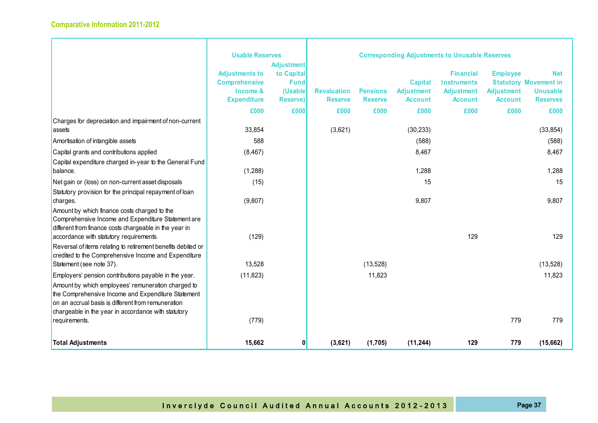|                                                                                                              | <b>Usable Reserves</b>         | <b>Adjustment</b>          |                                      |                                   |                                     | <b>Corresponding Adjustments to Unusable Reserves</b> |                                     |                                    |
|--------------------------------------------------------------------------------------------------------------|--------------------------------|----------------------------|--------------------------------------|-----------------------------------|-------------------------------------|-------------------------------------------------------|-------------------------------------|------------------------------------|
|                                                                                                              | <b>Adjustments to</b>          | to Capital                 |                                      |                                   |                                     | <b>Financial</b>                                      | <b>Employee</b>                     | <b>Net</b>                         |
|                                                                                                              | <b>Comprehensive</b>           | <b>Fund</b>                |                                      |                                   | <b>Capital</b>                      | <b>Instruments</b>                                    |                                     | <b>Statutory Movement in</b>       |
|                                                                                                              | Income &<br><b>Expenditure</b> | (Usable<br><b>Reserve)</b> | <b>Revaluation</b><br><b>Reserve</b> | <b>Pensions</b><br><b>Reserve</b> | <b>Adjustment</b><br><b>Account</b> | <b>Adjustment</b><br><b>Account</b>                   | <b>Adjustment</b><br><b>Account</b> | <b>Unusable</b><br><b>Reserves</b> |
|                                                                                                              | £000                           | £000                       | £000                                 | £000                              | £000                                | £000                                                  | £000                                | £000                               |
| Charges for depreciation and impairment of non-current                                                       |                                |                            |                                      |                                   |                                     |                                                       |                                     |                                    |
| assets                                                                                                       | 33,854                         |                            | (3,621)                              |                                   | (30, 233)                           |                                                       |                                     | (33, 854)                          |
| Amortisation of intangible assets                                                                            | 588                            |                            |                                      |                                   | (588)                               |                                                       |                                     | (588)                              |
| Capital grants and contributions applied                                                                     | (8, 467)                       |                            |                                      |                                   | 8,467                               |                                                       |                                     | 8,467                              |
| Capital expenditure charged in-year to the General Fund                                                      |                                |                            |                                      |                                   |                                     |                                                       |                                     |                                    |
| balance.                                                                                                     | (1, 288)                       |                            |                                      |                                   | 1,288                               |                                                       |                                     | 1,288                              |
| Net gain or (loss) on non-current asset disposals                                                            | (15)                           |                            |                                      |                                   | 15                                  |                                                       |                                     | 15                                 |
| Statutory provision for the principal repayment of loan                                                      |                                |                            |                                      |                                   |                                     |                                                       |                                     |                                    |
| charges.                                                                                                     | (9,807)                        |                            |                                      |                                   | 9,807                               |                                                       |                                     | 9,807                              |
| Amount by which finance costs charged to the                                                                 |                                |                            |                                      |                                   |                                     |                                                       |                                     |                                    |
| Comprehensive Income and Expenditure Statement are<br>different from finance costs chargeable in the year in |                                |                            |                                      |                                   |                                     |                                                       |                                     |                                    |
| accordance with statutory requirements.                                                                      | (129)                          |                            |                                      |                                   |                                     | 129                                                   |                                     | 129                                |
| Reversal of items relating to retirement benefits debited or                                                 |                                |                            |                                      |                                   |                                     |                                                       |                                     |                                    |
| credited to the Comprehensive Income and Expenditure                                                         |                                |                            |                                      |                                   |                                     |                                                       |                                     |                                    |
| Statement (see note 37).                                                                                     | 13,528                         |                            |                                      | (13,528)                          |                                     |                                                       |                                     | (13, 528)                          |
| Employers' pension contributions payable in the year.                                                        | (11, 823)                      |                            |                                      | 11,823                            |                                     |                                                       |                                     | 11,823                             |
| Amount by which employees' remuneration charged to<br>the Comprehensive Income and Expenditure Statement     |                                |                            |                                      |                                   |                                     |                                                       |                                     |                                    |
| on an accrual basis is different from remuneration                                                           |                                |                            |                                      |                                   |                                     |                                                       |                                     |                                    |
| chargeable in the year in accordance with statutory                                                          |                                |                            |                                      |                                   |                                     |                                                       |                                     |                                    |
| requirements.                                                                                                | (779)                          |                            |                                      |                                   |                                     |                                                       | 779                                 | 779                                |
|                                                                                                              |                                |                            |                                      |                                   |                                     |                                                       |                                     |                                    |
| <b>Total Adjustments</b>                                                                                     | 15,662                         | 0                          | (3,621)                              | (1,705)                           | (11, 244)                           | 129                                                   | 779                                 | (15,662)                           |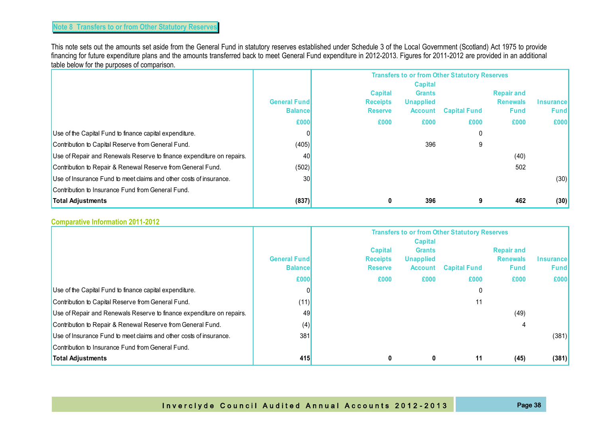# **Note 8 Transfers to or from Other Statutory Reserves**

This note sets out the amounts set aside from the General Fund in statutory reserves established under Schedule 3 of the Local Government (Scotland) Act 1975 to provide financing for future expenditure plans and the amounts transferred back to meet General Fund expenditure in 2012-2013. Figures for 2011-2012 are provided in an additional table below for the purposes of comparison.

|                                                                       |                      | <b>Transfers to or from Other Statutory Reserves</b> |                  |                     |                   |           |
|-----------------------------------------------------------------------|----------------------|------------------------------------------------------|------------------|---------------------|-------------------|-----------|
|                                                                       |                      |                                                      | <b>Capital</b>   |                     |                   |           |
|                                                                       |                      | <b>Capital</b>                                       | <b>Grants</b>    |                     | <b>Repair and</b> |           |
|                                                                       | <b>General Fundl</b> | <b>Receipts</b>                                      | <b>Unapplied</b> |                     | <b>Renewals</b>   | Insurance |
|                                                                       | <b>Balance</b>       | <b>Reserve</b>                                       | <b>Account</b>   | <b>Capital Fund</b> | <b>Fund</b>       | Fund      |
|                                                                       | £000                 | £000                                                 | £000             | £000                | £000              | £000      |
| Use of the Capital Fund to finance capital expenditure.               |                      |                                                      |                  | 0                   |                   |           |
| Contribution to Capital Reserve from General Fund.                    | (405)                |                                                      | 396              | 9                   |                   |           |
| Use of Repair and Renewals Reserve to finance expenditure on repairs. | -40                  |                                                      |                  |                     | (40)              |           |
| Contribution to Repair & Renewal Reserve from General Fund.           | (502)                |                                                      |                  |                     | 502               |           |
| Use of Insurance Fund to meet claims and other costs of insurance.    | 30                   |                                                      |                  |                     |                   | (30)      |
| Contribution to Insurance Fund from General Fund.                     |                      |                                                      |                  |                     |                   |           |
| <b>Total Adjustments</b>                                              | (837)                | 0                                                    | 396              | 9                   | 462               | (30)      |

#### **Comparative Information 2011-2012**

|                                                                       |                      | <b>Transfers to or from Other Statutory Reserves</b> |                  |                     |                   |                  |
|-----------------------------------------------------------------------|----------------------|------------------------------------------------------|------------------|---------------------|-------------------|------------------|
|                                                                       |                      |                                                      | <b>Capital</b>   |                     |                   |                  |
|                                                                       |                      | <b>Capital</b>                                       | <b>Grants</b>    |                     | <b>Repair and</b> |                  |
|                                                                       | <b>General Fundl</b> | <b>Receipts</b>                                      | <b>Unapplied</b> |                     | <b>Renewals</b>   | <b>Insurance</b> |
|                                                                       | <b>Balance</b>       | <b>Reserve</b>                                       | <b>Account</b>   | <b>Capital Fund</b> | <b>Fund</b>       | Fund             |
|                                                                       | £000                 | £000                                                 | £000             | £000                | £000              | £000             |
| Use of the Capital Fund to finance capital expenditure.               |                      |                                                      |                  |                     |                   |                  |
| Contribution to Capital Reserve from General Fund.                    | (11)                 |                                                      |                  | 11                  |                   |                  |
| Use of Repair and Renewals Reserve to finance expenditure on repairs. | 49                   |                                                      |                  |                     | (49)              |                  |
| Contribution to Repair & Renewal Reserve from General Fund.           | (4)                  |                                                      |                  |                     | 4                 |                  |
| Use of Insurance Fund to meet claims and other costs of insurance.    | 381                  |                                                      |                  |                     |                   | (381)            |
| Contribution to Insurance Fund from General Fund.                     |                      |                                                      |                  |                     |                   |                  |
| <b>Total Adjustments</b>                                              | 415                  |                                                      | 0                | 11                  | (45)              | (381)            |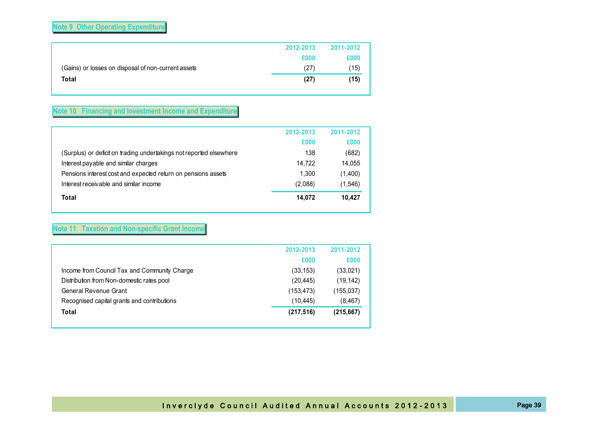# **Note 9 Other Operating Expenditure**

|                                                     | 2012-2013 | 2011-2012 |
|-----------------------------------------------------|-----------|-----------|
|                                                     | £000      | £000      |
| (Gains) or losses on disposal of non-current assets | (27)      | (15)      |
| Total                                               | (27)      | (15)      |

# **Note 10 Financing and Investment Income and Expenditure**

|                                                                     | 2012-2013 | 2011-2012 |
|---------------------------------------------------------------------|-----------|-----------|
|                                                                     | £000      | £000      |
| (Surplus) or deficit on trading undertakings not reported elsewhere | 138       | (682)     |
| Interest payable and similar charges                                | 14.722    | 14.055    |
| Pensions interest cost and expected return on pensions assets       | 1.300     | (1,400)   |
| Interest receivable and similar income                              | (2,088)   | (1, 546)  |
| Total                                                               | 14.072    | 10.427    |
|                                                                     |           |           |

# **Note 11 Taxation and Non-specific Grant Income**

| Total                                        | (217, 516) | (215, 667) |
|----------------------------------------------|------------|------------|
| Recognised capital grants and contributions  | (10, 445)  | (8, 467)   |
| General Revenue Grant                        | (153, 473) | (155,037)  |
| Distribution from Non-domestic rates pool    | (20, 445)  | (19, 142)  |
| Income from Council Tax and Community Charge | (33, 153)  | (33,021)   |
|                                              | £000       | £000       |
|                                              | 2012-2013  | 2011-2012  |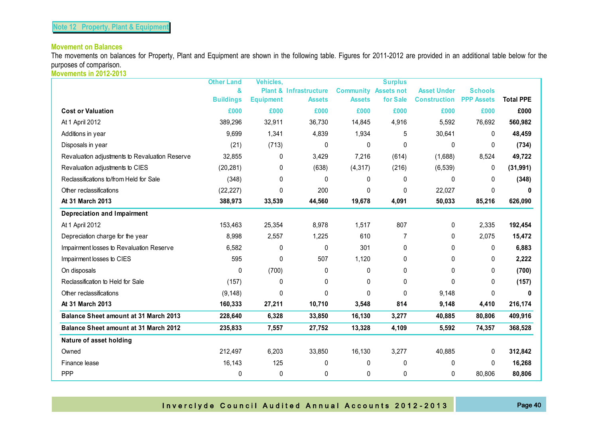## **Movement on Balances**

| lovements in 2012-2013                         | <b>Other Land</b> | Vehicles,        |                                   |                             | <b>Surplus</b> |                     |                   |                  |
|------------------------------------------------|-------------------|------------------|-----------------------------------|-----------------------------|----------------|---------------------|-------------------|------------------|
|                                                | 8                 |                  | <b>Plant &amp; Infrastructure</b> | <b>Community Assets not</b> |                | <b>Asset Under</b>  | <b>Schools</b>    |                  |
|                                                | <b>Buildings</b>  | <b>Equipment</b> | <b>Assets</b>                     | <b>Assets</b>               | for Sale       | <b>Construction</b> | <b>PPP Assets</b> | <b>Total PPE</b> |
| <b>Cost or Valuation</b>                       | £000              | £000             | £000                              | £000                        | £000           | £000                | £000              | £000             |
| At 1 April 2012                                | 389,296           | 32,911           | 36,730                            | 14,845                      | 4,916          | 5,592               | 76,692            | 560,982          |
| Additions in year                              | 9,699             | 1,341            | 4,839                             | 1,934                       | 5              | 30,641              | 0                 | 48,459           |
| Disposals in year                              | (21)              | (713)            | 0                                 | 0                           | 0              | 0                   | $\mathbf{0}$      | (734)            |
| Revaluation adjustments to Revaluation Reserve | 32,855            | 0                | 3,429                             | 7,216                       | (614)          | (1,688)             | 8,524             | 49,722           |
| Revaluation adjustments to CIES                | (20, 281)         | 0                | (638)                             | (4, 317)                    | (216)          | (6, 539)            | 0                 | (31, 991)        |
| Reclassifications to/from Held for Sale        | (348)             | 0                | $\Omega$                          | 0                           | 0              | $\mathbf{0}$        | 0                 | (348)            |
| Other reclassifications                        | (22, 227)         | $\Omega$         | 200                               | $\Omega$                    | 0              | 22,027              | 0                 | 0                |
| At 31 March 2013                               | 388,973           | 33,539           | 44,560                            | 19,678                      | 4,091          | 50,033              | 85,216            | 626,090          |
| <b>Depreciation and Impairment</b>             |                   |                  |                                   |                             |                |                     |                   |                  |
| At 1 April 2012                                | 153,463           | 25,354           | 8,978                             | 1,517                       | 807            | 0                   | 2,335             | 192,454          |
| Depreciation charge for the year               | 8,998             | 2,557            | 1,225                             | 610                         | 7              | $\mathbf{0}$        | 2,075             | 15,472           |
| Impairment losses to Revaluation Reserve       | 6,582             | 0                | 0                                 | 301                         | 0              | $\mathbf{0}$        | 0                 | 6,883            |
| Impairment losses to CIES                      | 595               | $\mathbf{0}$     | 507                               | 1,120                       | 0              | $\mathbf{0}$        | $\Omega$          | 2,222            |
| On disposals                                   | 0                 | (700)            | 0                                 | 0                           | 0              | 0                   | $\mathbf{0}$      | (700)            |
| Reclassification to Held for Sale              | (157)             | 0                | 0                                 | 0                           | 0              | $\mathbf{0}$        | $\Omega$          | (157)            |
| Other reclassifications                        | (9, 148)          | 0                | 0                                 | 0                           | 0              | 9,148               | 0                 | 0                |
| At 31 March 2013                               | 160,333           | 27,211           | 10,710                            | 3,548                       | 814            | 9,148               | 4,410             | 216,174          |
| <b>Balance Sheet amount at 31 March 2013</b>   | 228,640           | 6,328            | 33,850                            | 16,130                      | 3,277          | 40,885              | 80,806            | 409,916          |
| <b>Balance Sheet amount at 31 March 2012</b>   | 235,833           | 7,557            | 27,752                            | 13,328                      | 4,109          | 5,592               | 74,357            | 368,528          |
| Nature of asset holding                        |                   |                  |                                   |                             |                |                     |                   |                  |
| Owned                                          | 212,497           | 6,203            | 33,850                            | 16,130                      | 3,277          | 40,885              | 0                 | 312,842          |
| Finance lease                                  | 16,143            | 125              | 0                                 | 0                           | 0              | $\mathbf{0}$        | 0                 | 16,268           |
| PPP                                            | 0                 | 0                | 0                                 | 0                           | 0              | $\mathbf{0}$        | 80,806            | 80,806           |

Inverclyde Council Audited Annual Accounts 2012-2013 Page 40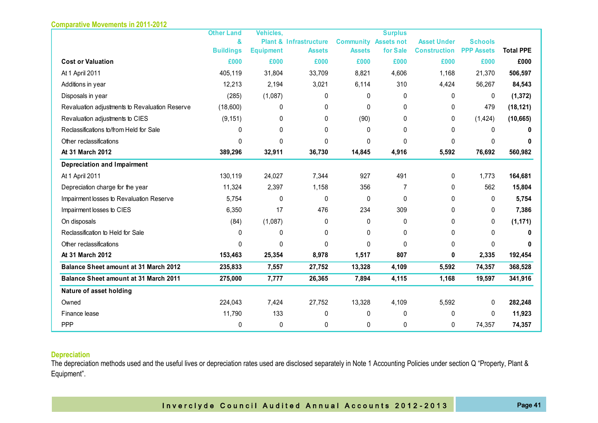# **Comparative Movements in 2011-2012**

| Nature of asset holding                        |                       |                  |                                                    |                                              |                |                                                      |                |                  |
|------------------------------------------------|-----------------------|------------------|----------------------------------------------------|----------------------------------------------|----------------|------------------------------------------------------|----------------|------------------|
| <b>Balance Sheet amount at 31 March 2011</b>   | 275,000               | 7,777            | 26,365                                             | 7,894                                        | 4,115          | 1,168                                                | 19,597         | 341,916          |
| Balance Sheet amount at 31 March 2012          | 235,833               | 7,557            | 27,752                                             | 13,328                                       | 4,109          | 5,592                                                | 74,357         | 368,528          |
| At 31 March 2012                               | 153,463               | 25,354           | 8,978                                              | 1,517                                        | 807            | 0                                                    | 2,335          | 192,454          |
| Other reclassifications                        | $\mathbf 0$           | $\mathbf 0$      | $\mathbf 0$                                        | $\pmb{0}$                                    | $\mathbf 0$    | 0                                                    | 0              | $\bf{0}$         |
| Reclassification to Held for Sale              | 0                     | 0                | $\Omega$                                           | 0                                            | 0              | $\mathbf{0}$                                         | 0              | $\bf{0}$         |
| On disposals                                   | (84)                  | (1,087)          | 0                                                  | 0                                            | 0              | 0                                                    | 0              | (1, 171)         |
| Impairment losses to CIES                      | 6,350                 | 17               | 476                                                | 234                                          | 309            | 0                                                    | 0              | 7,386            |
| Impairment losses to Revaluation Reserve       | 5,754                 | 0                | 0                                                  | 0                                            | 0              | 0                                                    | 0              | 5,754            |
| Depreciation charge for the year               | 11,324                | 2,397            | 1,158                                              | 356                                          | $\overline{7}$ | $\mathbf{0}$                                         | 562            | 15,804           |
| At 1 April 2011                                | 130,119               | 24,027           | 7,344                                              | 927                                          | 491            | $\mathbf{0}$                                         | 1,773          | 164,681          |
| <b>Depreciation and Impairment</b>             |                       |                  |                                                    |                                              |                |                                                      |                |                  |
| At 31 March 2012                               | 389,296               | 32,911           | 36,730                                             | 14,845                                       | 4,916          | 5,592                                                | 76,692         | 560,982          |
| Other reclassifications                        | $\mathbf{0}$          | $\Omega$         | $\Omega$                                           | $\Omega$                                     | $\Omega$       | $\mathbf{0}$                                         | 0              | $\bf{0}$         |
| Reclassifications to/from Held for Sale        | 0                     | $\mathbf{0}$     | $\mathbf{0}$                                       | $\mathbf{0}$                                 | 0              | 0                                                    | 0              | 0                |
| Revaluation adjustments to CIES                | (9, 151)              | $\mathbf{0}$     | $\mathbf{0}$                                       | (90)                                         | 0              | 0                                                    | (1, 424)       | (10, 665)        |
| Revaluation adjustments to Revaluation Reserve | (18,600)              | 0                | $\mathbf{0}$                                       | 0                                            | 0              | 0                                                    | 479            | (18, 121)        |
| Disposals in year                              | (285)                 | (1,087)          | $\mathbf{0}$                                       | 0                                            | 0              | 0                                                    | 0              | (1, 372)         |
| Additions in year                              | 12,213                | 2,194            | 3,021                                              | 6,114                                        | 310            | 4,424                                                | 56,267         | 84,543           |
| At 1 April 2011                                | 405,119               | 31,804           | 33,709                                             | 8,821                                        | 4,606          | 1,168                                                | 21,370         | 506,597          |
| <b>Cost or Valuation</b>                       | £000                  | £000             | £000                                               | £000                                         | £000           | £000                                                 | £000           | £000             |
|                                                | &<br><b>Buildings</b> | <b>Equipment</b> | <b>Plant &amp; Infrastructure</b><br><b>Assets</b> | <b>Community Assets not</b><br><b>Assets</b> | for Sale       | <b>Asset Under</b><br><b>Construction PPP Assets</b> | <b>Schools</b> | <b>Total PPE</b> |
|                                                | <b>Other Land</b>     | Vehicles,        |                                                    |                                              | <b>Surplus</b> |                                                      |                |                  |

# **Depreciation**

The depreciation methods used and the useful lives or depreciation rates used are disclosed separately in Note 1 Accounting Policies under section Q "Property, Plant & Equipment".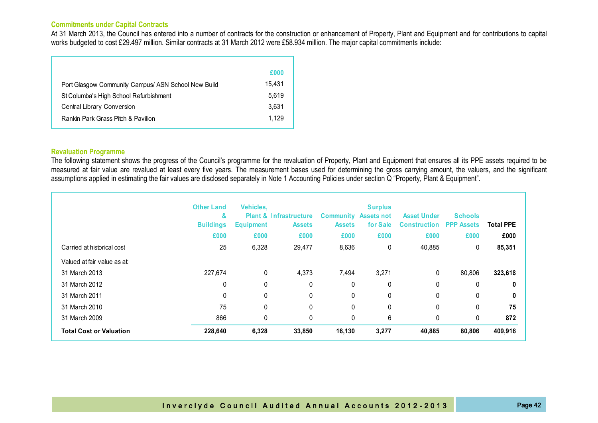#### **Commitments under Capital Contracts**

At 31 March 2013, the Council has entered into a number of contracts for the construction or enhancement of Property, Plant and Equipment and for contributions to capital works budgeted to cost £29.497 million. Similar contracts at 31 March 2012 were £58.934 million. The major capital commitments include:

|                                                     | £000   |
|-----------------------------------------------------|--------|
| Port Glasgow Community Campus/ ASN School New Build | 15.431 |
| St Columba's High School Refurbishment              | 5.619  |
| Central Library Conversion                          | 3.631  |
| Rankin Park Grass Pitch & Pavilion                  | 1.129  |

## **Revaluation Programme**

The following statement shows the progress of the Council's programme for the revaluation of Property, Plant and Equipment that ensures all its PPE assets required to be measured at fair value are revalued at least every five years. The measurement bases used for determining the gross carrying amount, the valuers, and the significant assumptions applied in estimating the fair values are disclosed separately in Note 1 Accounting Policies under section Q "Property, Plant & Equipment".

| neasured at fair value are revalued at least every five years. The measurement bases used for determining the gross carrying amount, the valuers, and the sig |                       |                  |                                                    |                                   |                               |                                           |                                     |                  |
|---------------------------------------------------------------------------------------------------------------------------------------------------------------|-----------------------|------------------|----------------------------------------------------|-----------------------------------|-------------------------------|-------------------------------------------|-------------------------------------|------------------|
| assumptions applied in estimating the fair values are disclosed separately in Note 1 Accounting Policies under section Q "Property, Plant & Equipment".       |                       |                  |                                                    |                                   |                               |                                           |                                     |                  |
|                                                                                                                                                               |                       |                  |                                                    |                                   |                               |                                           |                                     |                  |
|                                                                                                                                                               | <b>Other Land</b>     | Vehicles,        |                                                    |                                   | <b>Surplus</b>                |                                           |                                     |                  |
|                                                                                                                                                               | &<br><b>Buildings</b> | <b>Equipment</b> | <b>Plant &amp; Infrastructure</b><br><b>Assets</b> | <b>Community</b><br><b>Assets</b> | <b>Assets not</b><br>for Sale | <b>Asset Under</b><br><b>Construction</b> | <b>Schools</b><br><b>PPP Assets</b> | <b>Total PPE</b> |
|                                                                                                                                                               | £000                  | £000             | £000                                               | £000                              | £000                          | £000                                      | £000                                | £000             |
|                                                                                                                                                               |                       |                  |                                                    |                                   |                               |                                           |                                     |                  |
| Carried at historical cost                                                                                                                                    | 25                    | 6,328            | 29,477                                             | 8,636                             | 0                             | 40,885                                    | 0                                   | 85,351           |
| Valued at fair value as at:                                                                                                                                   |                       |                  |                                                    |                                   |                               |                                           |                                     |                  |
| 31 March 2013                                                                                                                                                 | 227,674               | 0                | 4,373                                              | 7,494                             | 3,271                         | 0                                         | 80,806                              | 323,618          |
| 31 March 2012                                                                                                                                                 | 0                     | $\Omega$         | $\Omega$                                           | 0                                 | $\mathbf{0}$                  |                                           | 0                                   | 0                |
| 31 March 2011                                                                                                                                                 | 0                     | 0                | $\mathbf{0}$                                       | $\mathbf{0}$                      | 0                             |                                           | 0                                   | 0                |
| 31 March 2010                                                                                                                                                 | 75                    | 0                | $\Omega$                                           | $\mathbf{0}$                      | 0                             |                                           | $\Omega$                            | 75               |
| 31 March 2009                                                                                                                                                 | 866                   | 0                | 0                                                  | 0                                 | 6                             |                                           | 0                                   | 872              |
| <b>Total Cost or Valuation</b>                                                                                                                                | 228,640               | 6,328            | 33,850                                             | 16,130                            | 3,277                         | 40,885                                    | 80,806                              | 409,916          |
|                                                                                                                                                               |                       |                  |                                                    |                                   |                               |                                           |                                     |                  |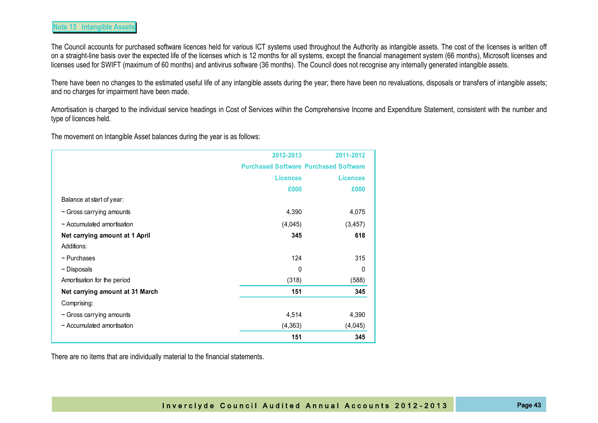# **Note 13 Intangible Assets**

The Council accounts for purchased software licences held for various ICT systems used throughout the Authority as intangible assets. The cost of the licenses is written off on a straight-line basis over the expected life of the licenses which is 12 months for all systems, except the financial management system (66 months), Microsoft licenses and licenses used for SWIFT (maximum of 60 months) and antivirus software (36 months). The Council does not recognise any internally generated intangible assets.

There have been no changes to the estimated useful life of any intangible assets during the year; there have been no revaluations, disposals or transfers of intangible assets; and no charges for impairment have been made.

Amortisation is charged to the individual service headings in Cost of Services within the Comprehensive Income and Expenditure Statement, consistent with the number and type of licences held.

The movement on Intangible Asset balances during the year is as follows:

|                                 | 2012-2013       | 2011-2012                                    |
|---------------------------------|-----------------|----------------------------------------------|
|                                 |                 | <b>Purchased Software Purchased Software</b> |
|                                 | <b>Licences</b> | <b>Licences</b>                              |
|                                 | £000            | £000                                         |
| Balance at start of year:       |                 |                                              |
| $\sim$ Gross carrying amounts   | 4,390           | 4,075                                        |
| $\sim$ Accumulated amortisation | (4,045)         | (3, 457)                                     |
| Net carrying amount at 1 April  | 345             | 618                                          |
| Additions:                      |                 |                                              |
| $\sim$ Purchases                | 124             | 315                                          |
| $\sim$ Disposals                | $\Omega$        | 0                                            |
| Amortisation for the period     | (318)           | (588)                                        |
| Net carrying amount at 31 March | 151             | 345                                          |
| Comprising:                     |                 |                                              |
| $\sim$ Gross carrying amounts   | 4,514           | 4,390                                        |
| $\sim$ Accumulated amortisation | (4, 363)        | (4,045)                                      |
|                                 | 151             | 345                                          |

There are no items that are individually material to the financial statements.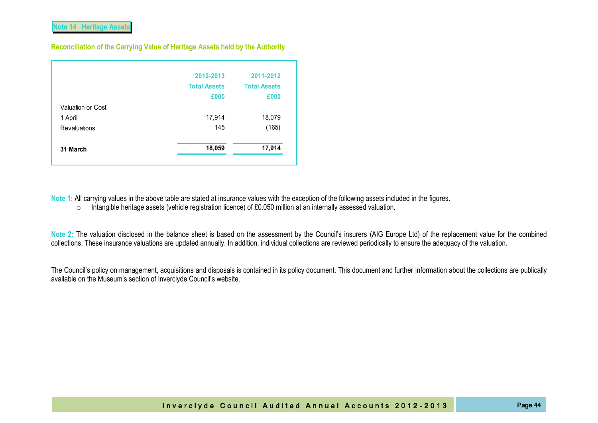# **Note 14 Heritage Assets**

## **Reconciliation of the Carrying Value of Heritage Assets held by the Authority**

|                   | 2012-2013           | 2011-2012           |
|-------------------|---------------------|---------------------|
|                   | <b>Total Assets</b> | <b>Total Assets</b> |
|                   | £000                | £000                |
| Valuation or Cost |                     |                     |
| 1 April           | 17,914              | 18,079              |
| Revaluations      | 145                 | (165)               |
| 31 March          | 18,059              | 17,914              |

Note 1: All carrying values in the above table are stated at insurance values with the exception of the following assets included in the figures.

o Intangible heritage assets (vehicle registration licence) of £0.050 million at an internally assessed valuation.

Note 2: The valuation disclosed in the balance sheet is based on the assessment by the Council's insurers (AIG Europe Ltd) of the replacement value for the combined collections. These insurance valuations are updated annually. In addition, individual collections are reviewed periodically to ensure the adequacy of the valuation.

The Council's policy on management, acquisitions and disposals is contained in its policy document. This document and further information about the collections are publically available on the Museum's section of Inverclyde Council's website.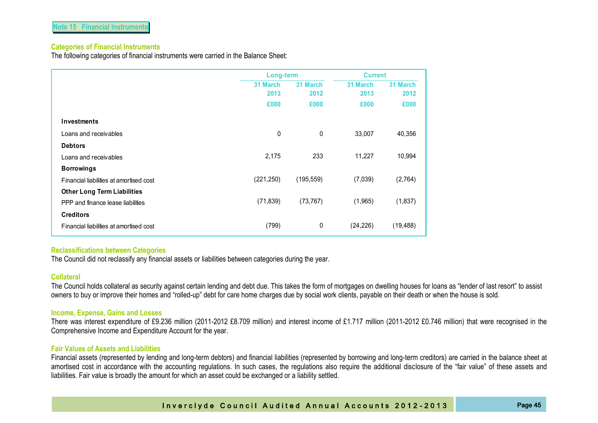## **Categories of Financial Instruments**

The following categories of financial instruments were carried in the Balance Sheet:

|                                         | Long-term       |            | <b>Current</b> |           |
|-----------------------------------------|-----------------|------------|----------------|-----------|
|                                         | <b>31 March</b> | 31 March   | 31 March       | 31 March  |
|                                         | 2013            | 2012       | 2013           | 2012      |
|                                         | £000            | £000       | £000           | £000      |
| <b>Investments</b>                      |                 |            |                |           |
| Loans and receivables                   | 0               | 0          | 33,007         | 40,356    |
| <b>Debtors</b>                          |                 |            |                |           |
| Loans and receivables                   | 2,175           | 233        | 11,227         | 10,994    |
| <b>Borrowings</b>                       |                 |            |                |           |
| Financial liabilities at amortised cost | (221, 250)      | (195, 559) | (7,039)        | (2,764)   |
| <b>Other Long Term Liabilities</b>      |                 |            |                |           |
| PPP and finance lease liabilities       | (71, 839)       | (73, 767)  | (1,965)        | (1,837)   |
| <b>Creditors</b>                        |                 |            |                |           |
| Financial liabilities at amortised cost | (799)           | 0          | (24, 226)      | (19, 488) |

## **Reclassifications between Categories**

The Council did not reclassify any financial assets or liabilities between categories during the year.

#### **Collateral**

The Council holds collateral as security against certain lending and debt due. This takes the form of mortgages on dwelling houses for loans as "lender of last resort" to assist owners to buy or improve their homes and "rolled-up" debt for care home charges due by social work clients, payable on their death or when the house is sold.

#### **Income, Expense, Gains and Losses**

There was interest expenditure of £9.236 million (2011-2012 £8.709 million) and interest income of £1.717 million (2011-2012 £0.746 million) that were recognised in the Comprehensive Income and Expenditure Account for the year.

#### **Fair Values of Assets and Liabilities**

Financial assets (represented by lending and long-term debtors) and financial liabilities (represented by borrowing and long-term creditors) are carried in the balance sheet at amortised cost in accordance with the accounting regulations. In such cases, the regulations also require the additional disclosure of the "fair value" of these assets and liabilities. Fair value is broadly the amount for which an asset could be exchanged or a liability settled.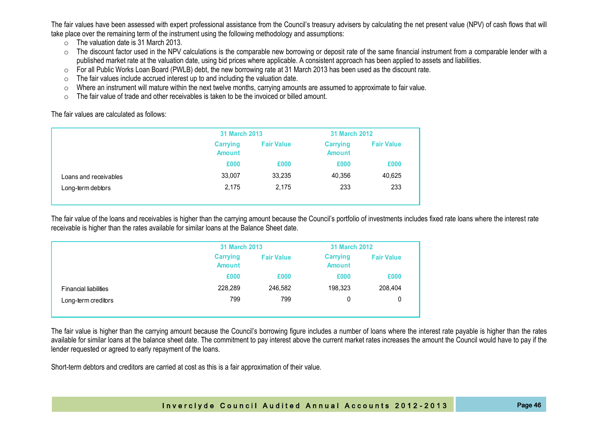The fair values have been assessed with expert professional assistance from the Council's treasury advisers by calculating the net present value (NPV) of cash flows that will take place over the remaining term of the instrument using the following methodology and assumptions:

- o The valuation date is 31 March 2013.
- $\circ$  The discount factor used in the NPV calculations is the comparable new borrowing or deposit rate of the same financial instrument from a comparable lender with a published market rate at the valuation date, using bid prices where applicable. A consistent approach has been applied to assets and liabilities.
- $\circ$  For all Public Works Loan Board (PWLB) debt, the new borrowing rate at 31 March 2013 has been used as the discount rate.
- o The fair values include accrued interest up to and including the valuation date.
- o Where an instrument will mature within the next twelve months, carrying amounts are assumed to approximate to fair value.
- $\circ$  The fair value of trade and other receivables is taken to be the invoiced or billed amount.

The fair values are calculated as follows:

|                       | 31 March 2013                    |                   | 31 March 2012                    |                   |
|-----------------------|----------------------------------|-------------------|----------------------------------|-------------------|
|                       | <b>Carrying</b><br><b>Amount</b> | <b>Fair Value</b> | <b>Carrying</b><br><b>Amount</b> | <b>Fair Value</b> |
|                       | £000                             | £000              | £000                             | £000              |
| Loans and receivables | 33,007                           | 33,235            | 40,356                           | 40,625            |
| Long-term debtors     | 2,175                            | 2,175             | 233                              | 233               |

The fair value of the loans and receivables is higher than the carrying amount because the Council's portfolio of investments includes fixed rate loans where the interest rate receivable is higher than the rates available for similar loans at the Balance Sheet date.

| 31 March 2013                    |                   | <b>31 March 2012</b>             |                   |
|----------------------------------|-------------------|----------------------------------|-------------------|
| <b>Carrying</b><br><b>Amount</b> | <b>Fair Value</b> | <b>Carrying</b><br><b>Amount</b> | <b>Fair Value</b> |
| £000                             | £000              | £000                             | £000              |
| 228,289                          | 246,582           | 198,323                          | 208,404           |
| 799                              | 799               | 0                                |                   |
|                                  |                   |                                  |                   |

The fair value is higher than the carrying amount because the Council's borrowing figure includes a number of loans where the interest rate payable is higher than the rates available for similar loans at the balance sheet date. The commitment to pay interest above the current market rates increases the amount the Council would have to pay if the lender requested or agreed to early repayment of the loans.

Short-term debtors and creditors are carried at cost as this is a fair approximation of their value.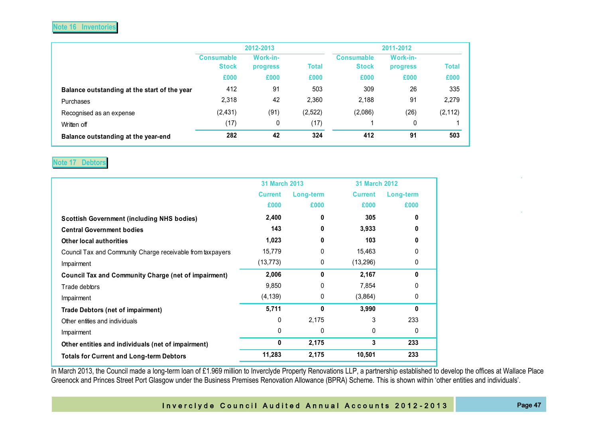## **Note 16 Inventories**

|                                              | 2012-2013                         |                             | 2011-2012 |                                   |                      |              |
|----------------------------------------------|-----------------------------------|-----------------------------|-----------|-----------------------------------|----------------------|--------------|
|                                              | <b>Consumable</b><br><b>Stock</b> | Work-in-<br><b>progress</b> | Total     | <b>Consumable</b><br><b>Stock</b> | Work-in-<br>progress | <b>Total</b> |
|                                              | £000                              | £000                        | £000      | £000                              | £000                 | £000         |
| Balance outstanding at the start of the year | 412                               | 91                          | 503       | 309                               | 26                   | 335          |
| Purchases                                    | 2,318                             | 42                          | 2,360     | 2,188                             | 91                   | 2,279        |
| Recognised as an expense                     | (2, 431)                          | (91)                        | (2,522)   | (2,086)                           | (26)                 | (2, 112)     |
| Written off                                  | (17)                              | 0                           | (17)      |                                   | 0                    |              |
| Balance outstanding at the year-end          | 282                               | 42                          | 324       | 412                               | 91                   | 503          |

# **Note 17 Debtors**

|                                                             | <b>31 March 2013</b> |           | <b>31 March 2012</b> |              |
|-------------------------------------------------------------|----------------------|-----------|----------------------|--------------|
|                                                             | <b>Current</b>       | Long-term | <b>Current</b>       | Long-term    |
|                                                             | £000                 | £000      | £000                 | £000         |
| <b>Scottish Government (including NHS bodies)</b>           | 2,400                | 0         | 305                  | 0            |
| <b>Central Government bodies</b>                            | 143                  | 0         | 3,933                |              |
| <b>Other local authorities</b>                              | 1,023                | 0         | 103                  | 0            |
| Council Tax and Community Charge receivable from taxpayers  | 15,779               | 0         | 15,463               | 0            |
| Impairment                                                  | (13, 773)            | 0         | (13, 296)            | 0            |
| <b>Council Tax and Community Charge (net of impairment)</b> | 2,006                | 0         | 2,167                | $\mathbf{0}$ |
| Trade debtors                                               | 9,850                | 0         | 7,854                | 0            |
| Impairment                                                  | (4, 139)             | 0         | (3,864)              | 0            |
| <b>Trade Debtors (net of impairment)</b>                    | 5,711                | 0         | 3,990                | $\mathbf{0}$ |
| Other entities and individuals                              | 0                    | 2,175     | 3                    | 233          |
| Impairment                                                  | 0                    | 0         | 0                    | 0            |
| Other entities and individuals (net of impairment)          | 0                    | 2,175     | 3                    | 233          |
| <b>Totals for Current and Long-term Debtors</b>             | 11,283               | 2,175     | 10,501               | 233          |

In March 2013, the Council made a long-term loan of £1.969 million to Inverclyde Property Renovations LLP, a partnership established to develop the offices at Wallace Place Greenock and Princes Street Port Glasgow under the Business Premises Renovation Allowance (BPRA) Scheme. This is shown within 'other entities and individuals'.

Inverclyde Council Audited Annual Accounts 2012-2013 Page 47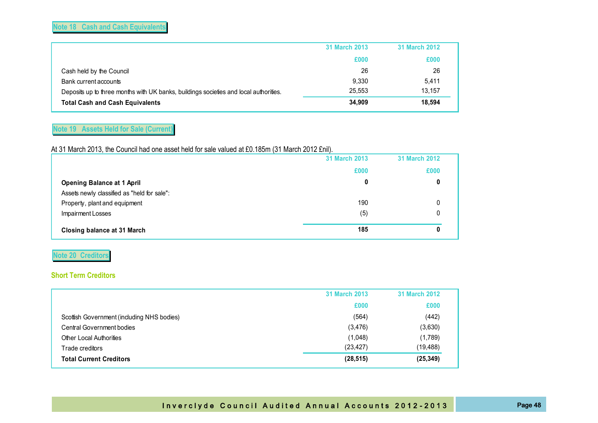# **Note 18 Cash and Cash Equivalents**

|                                                                                       | <b>31 March 2013</b> | 31 March 2012 |
|---------------------------------------------------------------------------------------|----------------------|---------------|
|                                                                                       | £000                 | £000          |
| Cash held by the Council                                                              | 26                   | 26            |
| Bank current accounts                                                                 | 9.330                | 5.411         |
| Deposits up to three months with UK banks, buildings societies and local authorities. | 25.553               | 13.157        |
| <b>Total Cash and Cash Equivalents</b>                                                | 34.909               | 18,594        |

# **Note 19 Assets Held for Sale (Current)**

## At 31 March 2013, the Council had one asset held for sale valued at £0.185m (31 March 2012 £nil).

|                                             | <b>31 March 2013</b> | <b>31 March 2012</b> |
|---------------------------------------------|----------------------|----------------------|
|                                             | £000                 | £000                 |
| <b>Opening Balance at 1 April</b>           | 0                    | 0                    |
| Assets newly classified as "held for sale": |                      |                      |
| Property, plant and equipment               | 190                  |                      |
| <b>Impairment Losses</b>                    | (5)                  |                      |
| <b>Closing balance at 31 March</b>          | 185                  | 0                    |

# **Note 20 Creditors**

# **Short Term Creditors**

| <b>Total Current Creditors</b>             | (28, 515)     | (25, 349)            |
|--------------------------------------------|---------------|----------------------|
| Trade creditors                            | (23, 427)     | (19, 488)            |
| Other Local Authorities                    | (1,048)       | (1,789)              |
| Central Government bodies                  | (3, 476)      | (3,630)              |
| Scottish Government (including NHS bodies) | (564)         | (442)                |
|                                            | £000          | £000                 |
|                                            | 31 March 2013 | <b>31 March 2012</b> |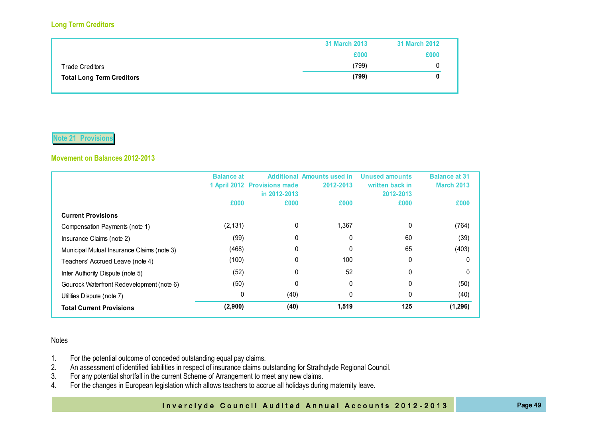# **Long Term Creditors**

|                                  | 31 March 2013 | 31 March 2012 |
|----------------------------------|---------------|---------------|
|                                  | £000          | £000          |
| <b>Trade Creditors</b>           | (799)         |               |
| <b>Total Long Term Creditors</b> | (799)         |               |

# **Note 21 Provisions**

## **Movement on Balances 2012-2013**

|                                            | <b>Balance at</b> |                                     | <b>Additional Amounts used in</b> | <b>Unused amounts</b> | <b>Balance at 31</b> |
|--------------------------------------------|-------------------|-------------------------------------|-----------------------------------|-----------------------|----------------------|
|                                            |                   | <b>1 April 2012 Provisions made</b> | 2012-2013                         | written back in       | <b>March 2013</b>    |
|                                            |                   | in 2012-2013                        |                                   | 2012-2013             |                      |
|                                            | £000              | £000                                | £000                              | £000                  | £000                 |
| <b>Current Provisions</b>                  |                   |                                     |                                   |                       |                      |
| Compensation Payments (note 1)             | (2, 131)          | 0                                   | 1,367                             | 0                     | (764)                |
| Insurance Claims (note 2)                  | (99)              | 0                                   | 0                                 | 60                    | (39)                 |
| Municipal Mutual Insurance Claims (note 3) | (468)             | 0                                   | 0                                 | 65                    | (403)                |
| Teachers' Accrued Leave (note 4)           | (100)             | 0                                   | 100                               | 0                     | $\Omega$             |
| Inter Authority Dispute (note 5)           | (52)              | 0                                   | 52                                | 0                     |                      |
| Gourock Waterfront Redevelopment (note 6)  | (50)              | 0                                   | 0                                 | 0                     | (50)                 |
| Utilities Dispute (note 7)                 | 0                 | (40)                                | 0                                 | 0                     | (40)                 |
| <b>Total Current Provisions</b>            | (2,900)           | (40)                                | 1,519                             | 125                   | (1, 296)             |

## Notes

- 1. For the potential outcome of conceded outstanding equal pay claims.
- 2. An assessment of identified liabilities in respect of insurance claims outstanding for Strathclyde Regional Council.
- 3. For any potential shortfall in the current Scheme of Arrangement to meet any new claims.<br>4. For the changes in European legislation which allows teachers to accrue all holidays durin
- 4. For the changes in European legislation which allows teachers to accrue all holidays during maternity leave.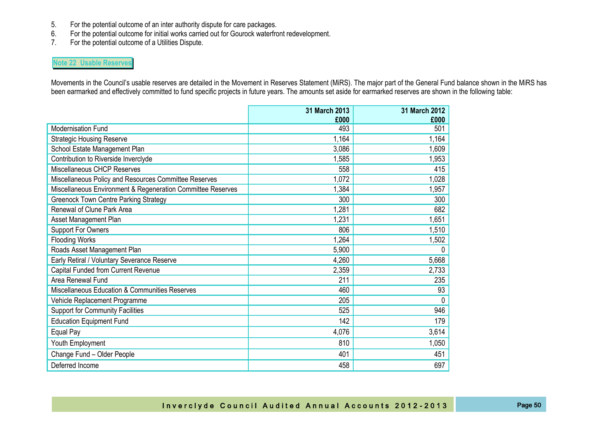- 5. For the potential outcome of an inter authority dispute for care packages.
- 6. For the potential outcome for initial works carried out for Gourock waterfront redevelopment.<br>7. For the potential outcome of a Utilities Dispute.
- For the potential outcome of a Utilities Dispute.

# **Note 22 Usable Reserves**

Movements in the Council's usable reserves are detailed in the Movement in Reserves Statement (MiRS). The major part of the General Fund balance shown in the MiRS has been earmarked and effectively committed to fund specific projects in future years. The amounts set aside for earmarked reserves are shown in the following table:

|                                                             | 31 March 2013 | 31 March 2012 |
|-------------------------------------------------------------|---------------|---------------|
|                                                             | £000          | £000          |
| <b>Modernisation Fund</b>                                   | 493           | 501           |
| <b>Strategic Housing Reserve</b>                            | 1,164         | 1,164         |
| School Estate Management Plan                               | 3,086         | 1,609         |
| Contribution to Riverside Inverclyde                        | 1,585         | 1,953         |
| Miscellaneous CHCP Reserves                                 | 558           | 415           |
| Miscellaneous Policy and Resources Committee Reserves       | 1,072         | 1,028         |
| Miscellaneous Environment & Regeneration Committee Reserves | 1,384         | 1,957         |
| <b>Greenock Town Centre Parking Strategy</b>                | 300           | 300           |
| Renewal of Clune Park Area                                  | 1,281         | 682           |
| Asset Management Plan                                       | 1,231         | 1,651         |
| <b>Support For Owners</b>                                   | 806           | 1,510         |
| <b>Flooding Works</b>                                       | 1,264         | 1,502         |
| Roads Asset Management Plan                                 | 5,900         | $\Omega$      |
| Early Retiral / Voluntary Severance Reserve                 | 4,260         | 5,668         |
| Capital Funded from Current Revenue                         | 2,359         | 2,733         |
| Area Renewal Fund                                           | 211           | 235           |
| Miscellaneous Education & Communities Reserves              | 460           | 93            |
| Vehicle Replacement Programme                               | 205           | $\Omega$      |
| <b>Support for Community Facilities</b>                     | 525           | 946           |
| <b>Education Equipment Fund</b>                             | 142           | 179           |
| Equal Pay                                                   | 4,076         | 3,614         |
| Youth Employment                                            | 810           | 1,050         |
| Change Fund - Older People                                  | 401           | 451           |
| Deferred Income                                             | 458           | 697           |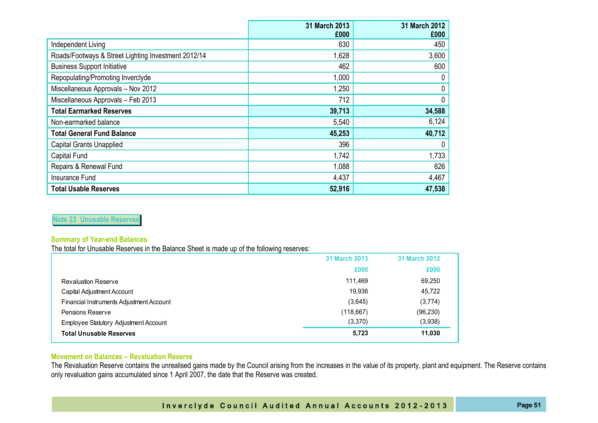|                                                     | 31 March 2013<br>£000 | 31 March 2012<br>£000 |
|-----------------------------------------------------|-----------------------|-----------------------|
| Independent Living                                  | 630                   | 450                   |
| Roads/Footways & Street Lighting Investment 2012/14 | 1,628                 | 3,600                 |
| <b>Business Support Initiative</b>                  | 462                   | 600                   |
| Repopulating/Promoting Inverclyde                   | 1,000                 | $\mathbf 0$           |
| Miscellaneous Approvals - Nov 2012                  | 1,250                 | $\mathbf 0$           |
| Miscellaneous Approvals - Feb 2013                  | 712                   | 0                     |
| <b>Total Earmarked Reserves</b>                     | 39,713                | 34,588                |
| Non-earmarked balance                               | 5,540                 | 6,124                 |
| <b>Total General Fund Balance</b>                   | 45,253                | 40,712                |
| <b>Capital Grants Unapplied</b>                     | 396                   | $\mathbf 0$           |
| Capital Fund                                        | 1,742                 | 1,733                 |
| Repairs & Renewal Fund                              | 1,088                 | 626                   |
| Insurance Fund                                      | 4,437                 | 4,467                 |
| <b>Total Usable Reserves</b>                        | 52,916                | 47,538                |

**Note 23 Unusable Reserves**

# **Summary of Year-end Balances**

The total for Unusable Reserves in the Balance Sheet is made up of the following reserves:

|                                              | <b>31 March 2013</b> | <b>31 March 2012</b> |
|----------------------------------------------|----------------------|----------------------|
|                                              | £000                 | £000                 |
| <b>Revaluation Reserve</b>                   | 111.469              | 69,250               |
| Capital Adjustment Account                   | 19,936               | 45,722               |
| Financial Instruments Adjustment Account     | (3,645)              | (3,774)              |
| Pensions Reserve                             | (118, 667)           | (96, 230)            |
| <b>Employee Statutory Adjustment Account</b> | (3,370)              | (3,938)              |
| <b>Total Unusable Reserves</b>               | 5,723                | 11,030               |

## **Movement on Balances – Revaluation Reserve**

The Revaluation Reserve contains the unrealised gains made by the Council arising from the increases in the value of its property, plant and equipment. The Reserve contains only revaluation gains accumulated since 1 April 2007, the date that the Reserve was created.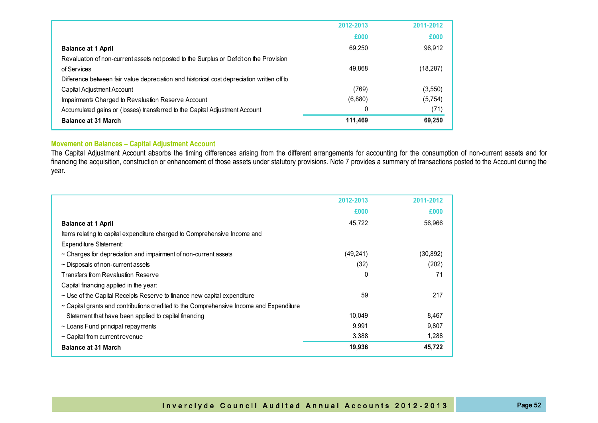| <b>Balance at 31 March</b>                                                                 | 111.469   | 69,250    |
|--------------------------------------------------------------------------------------------|-----------|-----------|
| Accumulated gains or (losses) transferred to the Capital Adjustment Account                |           | (71)      |
| Impairments Charged to Revaluation Reserve Account                                         | (6,880)   | (5, 754)  |
| Capital Adjustment Account                                                                 | (769)     | (3, 550)  |
| Difference between fair value depreciation and historical cost depreciation written off to |           |           |
| of Services                                                                                | 49.868    | (18, 287) |
| Revaluation of non-current assets not posted to the Surplus or Deficit on the Provision    |           |           |
| <b>Balance at 1 April</b>                                                                  | 69.250    | 96,912    |
|                                                                                            | £000      | £000      |
|                                                                                            | 2012-2013 | 2011-2012 |

# **Movement on Balances – Capital Adjustment Account**

The Capital Adjustment Account absorbs the timing differences arising from the different arrangements for accounting for the consumption of non-current assets and for financing the acquisition, construction or enhancement of those assets under statutory provisions. Note 7 provides a summary of transactions posted to the Account during the year.

|                                                                                              | 2012-2013 | 2011-2012 |
|----------------------------------------------------------------------------------------------|-----------|-----------|
|                                                                                              | £000      | £000      |
| <b>Balance at 1 April</b>                                                                    | 45,722    | 56,966    |
| Items relating to capital expenditure charged to Comprehensive Income and                    |           |           |
| <b>Expenditure Statement</b>                                                                 |           |           |
| $\sim$ Charges for depreciation and impairment of non-current assets                         | (49, 241) | (30, 892) |
| $\sim$ Disposals of non-current assets                                                       | (32)      | (202)     |
| <b>Transfers from Revaluation Reserve</b>                                                    | 0         | 71        |
| Capital financing applied in the year:                                                       |           |           |
| $\sim$ Use of the Capital Receipts Reserve to finance new capital expenditure                | 59        | 217       |
| $\sim$ Capital grants and contributions credited to the Comprehensive Income and Expenditure |           |           |
| Statement that have been applied to capital financing                                        | 10.049    | 8,467     |
| $\sim$ Loans Fund principal repayments                                                       | 9,991     | 9,807     |
| $\sim$ Capital from current revenue                                                          | 3,388     | 1,288     |
| <b>Balance at 31 March</b>                                                                   | 19,936    | 45,722    |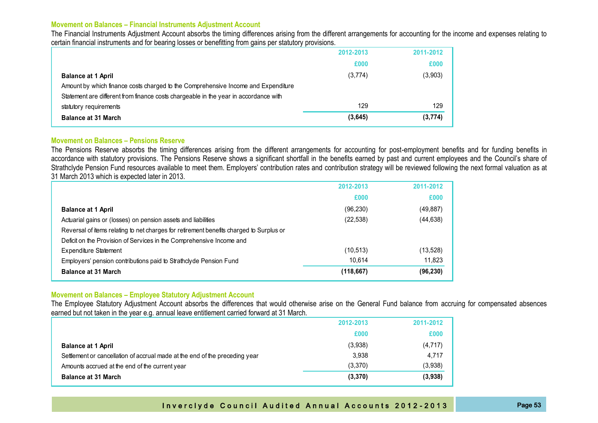## **Movement on Balances – Financial Instruments Adjustment Account**

The Financial Instruments Adjustment Account absorbs the timing differences arising from the different arrangements for accounting for the income and expenses relating to certain financial instruments and for bearing losses or benefitting from gains per statutory provisions.

|                                                                                      | 2012-2013 | 2011-2012 |
|--------------------------------------------------------------------------------------|-----------|-----------|
|                                                                                      | £000      | £000      |
| <b>Balance at 1 April</b>                                                            | (3,774)   | (3,903)   |
| Amount by which finance costs charged to the Comprehensive Income and Expenditure    |           |           |
| Statement are different from finance costs chargeable in the year in accordance with |           |           |
| statutory requirements                                                               | 129       | 129       |
| <b>Balance at 31 March</b>                                                           | (3,645)   | (3, 774)  |

## **Movement on Balances – Pensions Reserve**

The Pensions Reserve absorbs the timing differences arising from the different arrangements for accounting for post-employment benefits and for funding benefits in accordance with statutory provisions. The Pensions Reserve shows a significant shortfall in the benefits earned by past and current employees and the Council's share of Strathclyde Pension Fund resources available to meet them. Employers' contribution rates and contribution strategy will be reviewed following the next formal valuation as at 31 March 2013 which is expected later in 2013.

|                                                                                         | 2012-2013  | 2011-2012 |
|-----------------------------------------------------------------------------------------|------------|-----------|
|                                                                                         | £000       | £000      |
| <b>Balance at 1 April</b>                                                               | (96, 230)  | (49, 887) |
| Actuarial gains or (losses) on pension assets and liabilities                           | (22, 538)  | (44, 638) |
| Reversal of items relating to net charges for retirement benefits charged to Surplus or |            |           |
| Deficit on the Provision of Services in the Comprehensive Income and                    |            |           |
| <b>Expenditure Statement</b>                                                            | (10, 513)  | (13, 528) |
| Employers' pension contributions paid to Strathclyde Pension Fund                       | 10.614     | 11,823    |
| <b>Balance at 31 March</b>                                                              | (118, 667) | (96, 230) |

# **Movement on Balances – Employee Statutory Adjustment Account**

The Employee Statutory Adjustment Account absorbs the differences that would otherwise arise on the General Fund balance from accruing for compensated absences earned but not taken in the year e.g. annual leave entitlement carried forward at 31 March.

|                                                                             | 2012-2013 | 2011-2012 |
|-----------------------------------------------------------------------------|-----------|-----------|
|                                                                             | £000      | £000      |
| <b>Balance at 1 April</b>                                                   | (3,938)   | (4,717)   |
| Settlement or cancellation of accrual made at the end of the preceding year | 3,938     | 4.717     |
| Amounts accrued at the end of the current year                              | (3,370)   | (3,938)   |
| <b>Balance at 31 March</b>                                                  | (3, 370)  | (3,938)   |

# Inverclyde Council Audited Annual Accounts 2012-2013 Page 53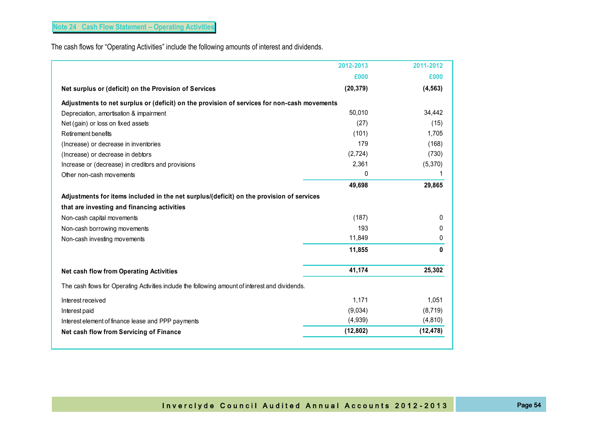The cash flows for "Operating Activities" include the following amounts of interest and dividends.

|                                                                                                 | 2012-2013 | 2011-2012 |
|-------------------------------------------------------------------------------------------------|-----------|-----------|
|                                                                                                 | £000      | £000      |
| Net surplus or (deficit) on the Provision of Services                                           | (20, 379) | (4, 563)  |
| Adjustments to net surplus or (deficit) on the provision of services for non-cash movements     |           |           |
| Depreciation, amortisation & impairment                                                         | 50,010    | 34,442    |
| Net (gain) or loss on fixed assets                                                              | (27)      | (15)      |
| Retirement benefits                                                                             | (101)     | 1,705     |
| (Increase) or decrease in inventories                                                           | 179       | (168)     |
| (Increase) or decrease in debtors                                                               | (2,724)   | (730)     |
| Increase or (decrease) in creditors and provisions                                              | 2,361     | (5,370)   |
| Other non-cash movements                                                                        | 0         |           |
|                                                                                                 | 49,698    | 29,865    |
| Adjustments for items included in the net surplus/(deficit) on the provision of services        |           |           |
| that are investing and financing activities                                                     |           |           |
| Non-cash capital movements                                                                      | (187)     | 0         |
| Non-cash borrowing movements                                                                    | 193       | 0         |
| Non-cash investing movements                                                                    | 11,849    | 0         |
|                                                                                                 | 11,855    | 0         |
| <b>Net cash flow from Operating Activities</b>                                                  | 41,174    | 25,302    |
| The cash flows for Operating Activities include the following amount of interest and dividends. |           |           |
| Interest received                                                                               | 1,171     | 1,051     |
|                                                                                                 | (9,034)   | (8,719)   |
|                                                                                                 |           |           |
| Interest paid<br>Interest element of finance lease and PPP payments                             | (4,939)   | (4, 810)  |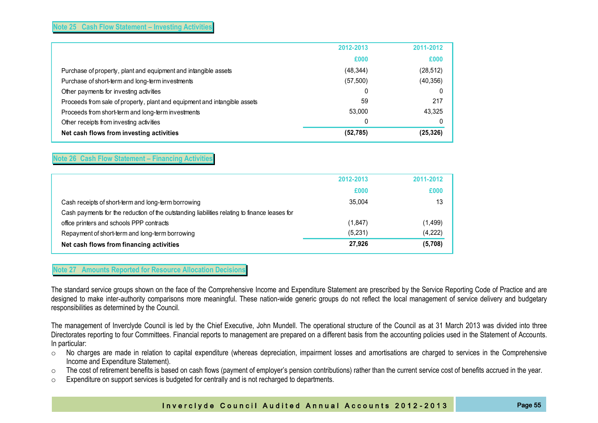# Inverclyde Council Audited Annual Accounts 2012-2013

# **Note 25 Cash Flow Statement – Investing Activities**

| Net cash flows from investing activities                                  | (52, 785) | (25, 326) |
|---------------------------------------------------------------------------|-----------|-----------|
| Other receipts from investing activities                                  | 0         | 0         |
| Proceeds from short-term and long-term investments                        | 53,000    | 43,325    |
| Proceeds from sale of property, plant and equipment and intangible assets | 59        | 217       |
| Other payments for investing activities                                   | 0         | 0         |
| Purchase of short-term and long-term investments                          | (57, 500) | (40, 356) |
| Purchase of property, plant and equipment and intangible assets           | (48,344)  | (28, 512) |
|                                                                           | £000      | £000      |
|                                                                           | 2012-2013 | 2011-2012 |

# **Note 26 Cash Flow Statement – Financing Activities**

|                                                                                               | 2012-2013 | 2011-2012 |
|-----------------------------------------------------------------------------------------------|-----------|-----------|
|                                                                                               | £000      | £000      |
| Cash receipts of short-term and long-term borrowing                                           | 35.004    | 13        |
| Cash payments for the reduction of the outstanding liabilities relating to finance leases for |           |           |
| office printers and schools PPP contracts                                                     | (1, 847)  | (1, 499)  |
| Repayment of short-term and long-term borrowing                                               | (5,231)   | (4,222)   |
| Net cash flows from financing activities                                                      | 27.926    | (5,708)   |

# **Note 27 Amounts Reported for Resource Allocation Decisions**

The standard service groups shown on the face of the Comprehensive Income and Expenditure Statement are prescribed by the Service Reporting Code of Practice and are designed to make inter-authority comparisons more meaningful. These nation-wide generic groups do not reflect the local management of service delivery and budgetary responsibilities as determined by the Council.

The management of Inverclyde Council is led by the Chief Executive, John Mundell. The operational structure of the Council as at 31 March 2013 was divided into three Directorates reporting to four Committees. Financial reports to management are prepared on a different basis from the accounting policies used in the Statement of Accounts. In particular:

- o No charges are made in relation to capital expenditure (whereas depreciation, impairment losses and amortisations are charged to services in the Comprehensive Income and Expenditure Statement).
- o The cost of retirement benefits is based on cash flows (payment of employer's pension contributions) rather than the current service cost of benefits accrued in the year.
- o Expenditure on support services is budgeted for centrally and is not recharged to departments.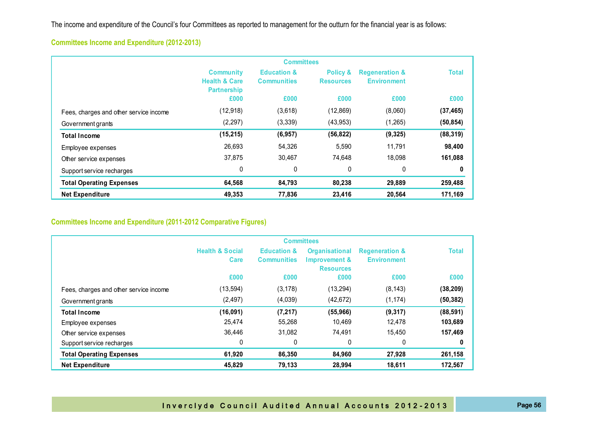# **Committees Income and Expenditure (2012-2013)**

|                                        |                          | <b>Committees</b>      |                  |                           |              |
|----------------------------------------|--------------------------|------------------------|------------------|---------------------------|--------------|
|                                        | <b>Community</b>         | <b>Education &amp;</b> | Policy &         | <b>Regeneration &amp;</b> | <b>Total</b> |
|                                        | <b>Health &amp; Care</b> | <b>Communities</b>     | <b>Resources</b> | <b>Environment</b>        |              |
|                                        | <b>Partnership</b>       |                        |                  |                           |              |
|                                        | £000                     | £000                   | £000             | £000                      | £000         |
| Fees, charges and other service income | (12, 918)                | (3,618)                | (12,869)         | (8,060)                   | (37, 465)    |
| Government grants                      | (2, 297)                 | (3,339)                | (43, 953)        | (1, 265)                  | (50, 854)    |
| Total Income                           | (15, 215)                | (6, 957)               | (56, 822)        | (9, 325)                  | (88, 319)    |
| Employee expenses                      | 26,693                   | 54,326                 | 5,590            | 11,791                    | 98,400       |
| Other service expenses                 | 37,875                   | 30,467                 | 74,648           | 18,098                    | 161,088      |
| Support service recharges              | 0                        | 0                      | 0                | 0                         | 0            |
| <b>Total Operating Expenses</b>        | 64,568                   | 84,793                 | 80,238           | 29,889                    | 259,488      |
| <b>Net Expenditure</b>                 | 49,353                   | 77,836                 | 23,416           | 20,564                    | 171,169      |

# **Committees Income and Expenditure (2011-2012 Comparative Figures)**

|                                        |                                    |                                              | <b>Committees</b>                                          |                                                 |              |
|----------------------------------------|------------------------------------|----------------------------------------------|------------------------------------------------------------|-------------------------------------------------|--------------|
|                                        | <b>Health &amp; Social</b><br>Care | <b>Education &amp;</b><br><b>Communities</b> | <b>Organisational</b><br>Improvement &<br><b>Resources</b> | <b>Regeneration &amp;</b><br><b>Environment</b> | <b>Total</b> |
|                                        | £000                               | £000                                         | £000                                                       | £000                                            | £000         |
| Fees, charges and other service income | (13, 594)                          | (3, 178)                                     | (13, 294)                                                  | (8, 143)                                        | (38, 209)    |
| Government grants                      | (2, 497)                           | (4,039)                                      | (42, 672)                                                  | (1, 174)                                        | (50, 382)    |
| <b>Total Income</b>                    | (16, 091)                          | (7, 217)                                     | (55,966)                                                   | (9, 317)                                        | (88, 591)    |
| Employee expenses                      | 25.474                             | 55.268                                       | 10.469                                                     | 12.478                                          | 103,689      |
| Other service expenses                 | 36,446                             | 31,082                                       | 74,491                                                     | 15.450                                          | 157,469      |
| Support service recharges              | 0                                  | 0                                            | 0                                                          | 0                                               | 0            |
| <b>Total Operating Expenses</b>        | 61,920                             | 86,350                                       | 84,960                                                     | 27,928                                          | 261,158      |
| <b>Net Expenditure</b>                 | 45,829                             | 79,133                                       | 28.994                                                     | 18,611                                          | 172,567      |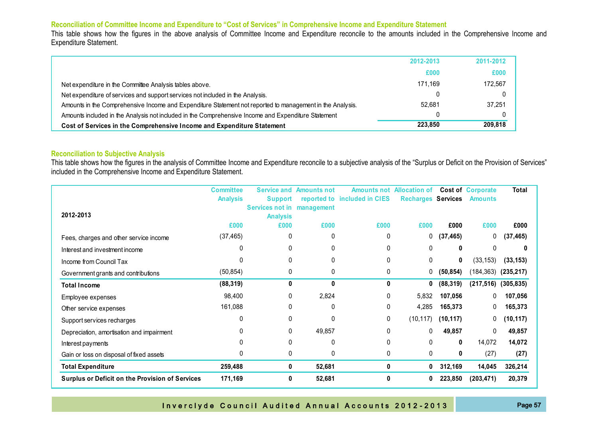## **Reconciliation of Committee Income and Expenditure to "Cost of Services" in Comprehensive Income and Expenditure Statement**

This table shows how the figures in the above analysis of Committee Income and Expenditure reconcile to the amounts included in the Comprehensive Income and Expenditure Statement.

|                                                                                                           | 2012-2013 | 2011-2012 |
|-----------------------------------------------------------------------------------------------------------|-----------|-----------|
|                                                                                                           | £000      | £000      |
| Net expenditure in the Committee Analysis tables above.                                                   | 171.169   | 172.567   |
| Net expenditure of services and support services not included in the Analysis.                            |           |           |
| Amounts in the Comprehensive Income and Expenditure Statement not reported to management in the Analysis. | 52.681    | 37.251    |
| Amounts included in the Analysis not included in the Comprehensive Income and Expenditure Statement       |           |           |
| Cost of Services in the Comprehensive Income and Expenditure Statement                                    | 223,850   | 209,818   |

## **Reconciliation to Subjective Analysis**

This table shows how the figures in the analysis of Committee Income and Expenditure reconcile to a subjective analysis of the "Surplus or Deficit on the Provision of Services" included in the Comprehensive Income and Expenditure Statement.

|                                                        | <b>Committee</b> | <b>Service and</b>     | <b>Amounts not</b> |                              | <b>Amounts not Allocation of</b> |           | <b>Cost of Corporate</b>  | <b>Total</b> |
|--------------------------------------------------------|------------------|------------------------|--------------------|------------------------------|----------------------------------|-----------|---------------------------|--------------|
|                                                        | <b>Analysis</b>  | <b>Support</b>         |                    | reported to included in CIES | <b>Recharges Services</b>        |           | <b>Amounts</b>            |              |
| 2012-2013                                              |                  | <b>Services not in</b> | management         |                              |                                  |           |                           |              |
|                                                        |                  | <b>Analysis</b>        |                    |                              |                                  |           |                           |              |
|                                                        | £000             | £000                   | £000               | £000                         | £000                             | £000      | £000                      | £000         |
| Fees, charges and other service income                 | (37, 465)        | 0                      | 0                  | $\Omega$                     | 0                                | (37, 465) | 0                         | (37, 465)    |
| Interest and investment income                         | 0                | 0                      |                    | $\Omega$                     | 0                                | 0         | 0                         |              |
| Income from Council Tax                                | 0                | 0                      | <sup>0</sup>       | 0                            | 0                                | 0         | (33, 153)                 | (33, 153)    |
| Government grants and contributions                    | (50, 854)        | 0                      | 0                  | 0                            | 0                                | (50, 854) | (184,363)                 | (235, 217)   |
| <b>Total Income</b>                                    | (88, 319)        | $\pmb{0}$              | 0                  | 0                            | 0                                | (88, 319) | $(217, 516)$ $(305, 835)$ |              |
| Employee expenses                                      | 98,400           | 0                      | 2,824              | 0                            | 5,832                            | 107,056   | 0                         | 107,056      |
| Other service expenses                                 | 161,088          | 0                      | 0                  | 0                            | 4,285                            | 165,373   | 0                         | 165,373      |
| Support services recharges                             | 0                | $\mathbf{0}$           |                    | 0                            | (10, 117)                        | (10, 117) | 0                         | (10, 117)    |
| Depreciation, amortisation and impairment              |                  | 0                      | 49,857             | 0                            | 0                                | 49,857    | 0                         | 49,857       |
| Interest payments                                      | 0                | 0                      | 0                  | $\Omega$                     | 0                                | 0         | 14,072                    | 14,072       |
| Gain or loss on disposal of fixed assets               | 0                | 0                      | 0                  | 0                            | 0                                | 0         | (27)                      | (27)         |
| <b>Total Expenditure</b>                               | 259,488          | $\bf{0}$               | 52,681             | 0                            | 0                                | 312,169   | 14,045                    | 326,214      |
| <b>Surplus or Deficit on the Provision of Services</b> | 171,169          | 0                      | 52,681             | 0                            | 0                                | 223,850   | (203, 471)                | 20,379       |

Inverclyde Council Audited Annual Accounts 2012-2013 Page 57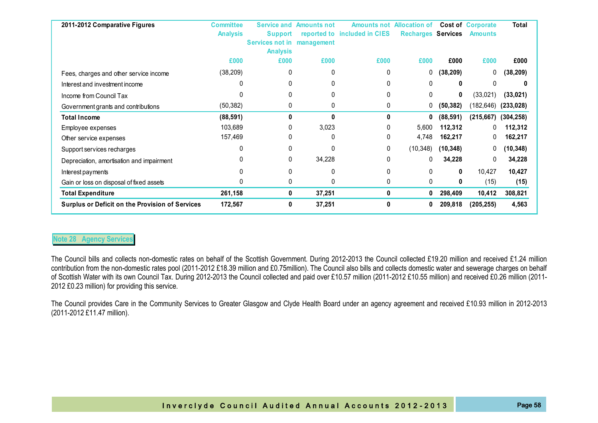| 2011-2012 Comparative Figures                          | <b>Committee</b><br><b>Analysis</b> | <b>Support</b>                                | <b>Service and Amounts not</b> | reported to included in CIES | <b>Amounts not Allocation of</b><br><b>Recharges Services</b> |           | <b>Cost of Corporate</b><br><b>Amounts</b> | Total      |
|--------------------------------------------------------|-------------------------------------|-----------------------------------------------|--------------------------------|------------------------------|---------------------------------------------------------------|-----------|--------------------------------------------|------------|
|                                                        |                                     | Services not in management<br><b>Analysis</b> |                                |                              |                                                               |           |                                            |            |
|                                                        | £000                                | £000                                          | £000                           | £000                         | £000                                                          | £000      | £000                                       | £000       |
| Fees, charges and other service income                 | (38, 209)                           | 0                                             | 0                              |                              | 0                                                             | (38, 209) | 0                                          | (38, 209)  |
| Interest and investment income                         |                                     | 0                                             | 0                              |                              | 0                                                             | N         | 0                                          | 0          |
| Income from Council Tax                                |                                     | 0                                             | 0                              | 0                            | 0                                                             | 0         | (33,021)                                   | (33, 021)  |
| Government grants and contributions                    | (50, 382)                           | 0                                             | 0                              | 0                            | 0                                                             | (50, 382) | (182,646)                                  | (233, 028) |
| <b>Total Income</b>                                    | (88, 591)                           | 0                                             | 0                              | $\bf{0}$                     | 0                                                             | (88, 591) | (215, 667)                                 | (304, 258) |
| Employee expenses                                      | 103,689                             | 0                                             | 3,023                          | 0                            | 5,600                                                         | 112,312   |                                            | 112,312    |
| Other service expenses                                 | 157,469                             | 0                                             | 0                              |                              | 4,748                                                         | 162,217   | 0                                          | 162,217    |
| Support services recharges                             |                                     | 0                                             | 0                              | $\mathbf{0}$                 | (10,348)                                                      | (10, 348) | 0                                          | (10, 348)  |
| Depreciation, amortisation and impairment              |                                     | 0                                             | 34,228                         | $\Omega$                     | 0                                                             | 34,228    | 0                                          | 34,228     |
| Interest payments                                      |                                     | 0                                             | 0                              |                              | 0                                                             | 0         | 10,427                                     | 10,427     |
| Gain or loss on disposal of fixed assets               |                                     | 0                                             | 0                              | 0                            | 0                                                             | 0         | (15)                                       | (15)       |
| <b>Total Expenditure</b>                               | 261,158                             | 0                                             | 37,251                         | 0                            | 0                                                             | 298,409   | 10,412                                     | 308,821    |
| <b>Surplus or Deficit on the Provision of Services</b> | 172,567                             | 0                                             | 37,251                         | 0                            | 0                                                             | 209,818   | (205, 255)                                 | 4,563      |

# **Note 28 Agency Services**

The Council bills and collects non-domestic rates on behalf of the Scottish Government. During 2012-2013 the Council collected £19.20 million and received £1.24 million contribution from the non-domestic rates pool (2011-2012 £18.39 million and £0.75million). The Council also bills and collects domestic water and sewerage charges on behalf of Scottish Water with its own Council Tax. During 2012-2013 the Council collected and paid over £10.57 million (2011-2012 £10.55 million) and received £0.26 million (2011-2012 £0.23 million) for providing this service.

The Council provides Care in the Community Services to Greater Glasgow and Clyde Health Board under an agency agreement and received £10.93 million in 2012-2013 (2011-2012 £11.47 million).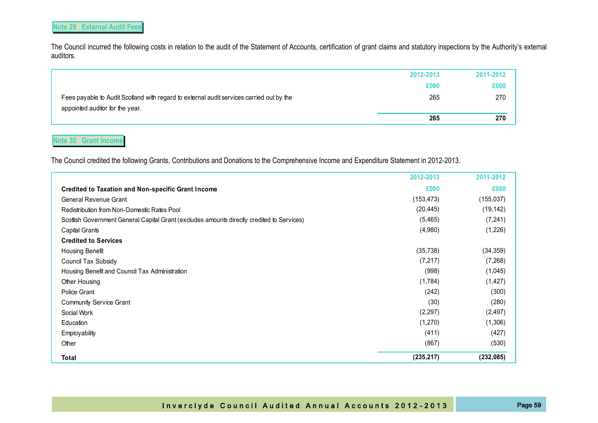The Council incurred the following costs in relation to the audit of the Statement of Accounts, certification of grant claims and statutory inspections by the Authority's external auditors.

|                                                                                          | 2012-2013 | 2011-2012 |
|------------------------------------------------------------------------------------------|-----------|-----------|
|                                                                                          | £000      | £000      |
| Fees payable to Audit Scotland with regard to external audit services carried out by the | 265       | 270       |
| appointed auditor for the year.                                                          |           |           |
|                                                                                          | 265       | 270       |

**Note 30 Grant Income**

The Council credited the following Grants, Contributions and Donations to the Comprehensive Income and Expenditure Statement in 2012-2013.

|                                                                                            | 2012-2013  | 2011-2012  |
|--------------------------------------------------------------------------------------------|------------|------------|
| <b>Credited to Taxation and Non-specific Grant Income</b>                                  | £000       | £000       |
| <b>General Revenue Grant</b>                                                               | (153, 473) | (155, 037) |
| Redistribution from Non-Domestic Rates Pool                                                | (20, 445)  | (19, 142)  |
| Scottish Government General Capital Grant (excludes amounts directly credited to Services) | (5,465)    | (7, 241)   |
| Capital Grants                                                                             | (4,980)    | (1,226)    |
| <b>Credited to Services</b>                                                                |            |            |
| Housing Benefit                                                                            | (35, 738)  | (34, 359)  |
| Council Tax Subsidy                                                                        | (7, 217)   | (7,268)    |
| Housing Benefit and Council Tax Administration                                             | (998)      | (1,045)    |
| Other Housing                                                                              | (1,784)    | (1, 427)   |
| Police Grant                                                                               | (242)      | (300)      |
| <b>Community Service Grant</b>                                                             | (30)       | (280)      |
| Social Work                                                                                | (2, 297)   | (2, 497)   |
| Education                                                                                  | (1,270)    | (1,306)    |
| Employability                                                                              | (411)      | (427)      |
| Other                                                                                      | (867)      | (530)      |
| <b>Total</b>                                                                               | (235, 217) | (232,085)  |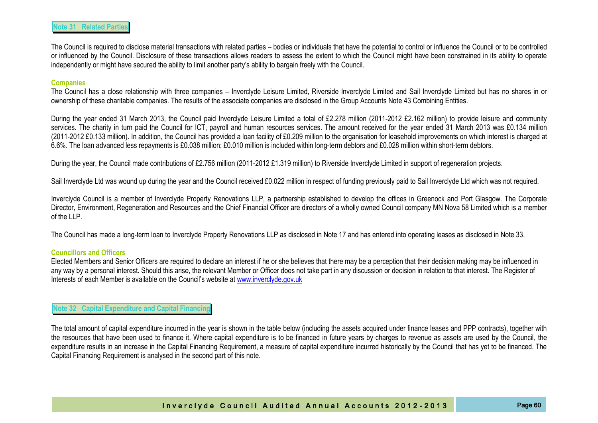# **Note 31 Related Parties**

The Council is required to disclose material transactions with related parties – bodies or individuals that have the potential to control or influence the Council or to be controlled or influenced by the Council. Disclosure of these transactions allows readers to assess the extent to which the Council might have been constrained in its ability to operate independently or might have secured the ability to limit another party's ability to bargain freely with the Council.

#### **Companies**

The Council has a close relationship with three companies – Inverclyde Leisure Limited, Riverside Inverclyde Limited and Sail Inverclyde Limited but has no shares in or ownership of these charitable companies. The results of the associate companies are disclosed in the Group Accounts Note 43 Combining Entities.

During the year ended 31 March 2013, the Council paid Inverclyde Leisure Limited a total of £2.278 million (2011-2012 £2.162 million) to provide leisure and community services. The charity in turn paid the Council for ICT, payroll and human resources services. The amount received for the year ended 31 March 2013 was £0.134 million (2011-2012 £0.133 million). In addition, the Council has provided a loan facility of £0.209 million to the organisation for leasehold improvements on which interest is charged at 6.6%. The loan advanced less repayments is £0.038 million; £0.010 million is included within long-term debtors and £0.028 million within short-term debtors.

During the year, the Council made contributions of £2.756 million (2011-2012 £1.319 million) to Riverside Inverclyde Limited in support of regeneration projects.

Sail Inverclyde Ltd was wound up during the year and the Council received £0.022 million in respect of funding previously paid to Sail Inverclyde Ltd which was not required.

Inverclyde Council is a member of Inverclyde Property Renovations LLP, a partnership established to develop the offices in Greenock and Port Glasgow. The Corporate Director, Environment, Regeneration and Resources and the Chief Financial Officer are directors of a wholly owned Council company MN Nova 58 Limited which is a member of the LLP.

The Council has made a long-term loan to Inverclyde Property Renovations LLP as disclosed in Note 17 and has entered into operating leases as disclosed in Note 33.

#### **Councillors and Officers**

Elected Members and Senior Officers are required to declare an interest if he or she believes that there may be a perception that their decision making may be influenced in any way by a personal interest. Should this arise, the relevant Member or Officer does not take part in any discussion or decision in relation to that interest. The Register of Interests of each Member is available on the Council's website at [www.inverclyde.gov.uk](http://www.inverclyde.gov.uk/)

## **Note 32 Capital Expenditure and Capital Financing**

The total amount of capital expenditure incurred in the year is shown in the table below (including the assets acquired under finance leases and PPP contracts), together with the resources that have been used to finance it. Where capital expenditure is to be financed in future years by charges to revenue as assets are used by the Council, the expenditure results in an increase in the Capital Financing Requirement, a measure of capital expenditure incurred historically by the Council that has yet to be financed. The Capital Financing Requirement is analysed in the second part of this note.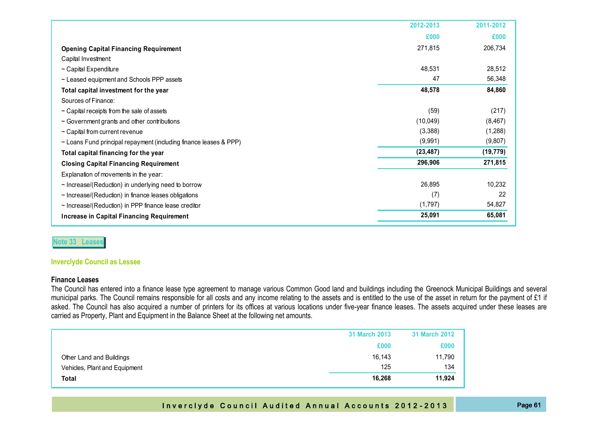|                                                                   | 2012-2013 | 2011-2012 |
|-------------------------------------------------------------------|-----------|-----------|
|                                                                   | £000      | £000      |
| <b>Opening Capital Financing Requirement</b>                      | 271,815   | 206,734   |
| Capital Investment                                                |           |           |
| $\sim$ Capital Expenditure                                        | 48,531    | 28,512    |
| ~ Leased equipment and Schools PPP assets                         | 47        | 56,348    |
| Total capital investment for the year                             | 48,578    | 84,860    |
| Sources of Finance:                                               |           |           |
| $\sim$ Capital receipts from the sale of assets                   | (59)      | (217)     |
| $\sim$ Government grants and other contributions                  | (10,049)  | (8, 467)  |
| $\sim$ Capital from current revenue                               | (3,388)   | (1,288)   |
| ~ Loans Fund principal repayment (including finance leases & PPP) | (9,991)   | (9,807)   |
| Total capital financing for the year                              | (23, 487) | (19, 779) |
| <b>Closing Capital Financing Requirement</b>                      | 296,906   | 271,815   |
| Explanation of movements in the year:                             |           |           |
| $\sim$ Increase/(Reduction) in underlying need to borrow          | 26,895    | 10,232    |
| $\sim$ Increase/(Reduction) in finance leases obligations         | (7)       | 22        |
| $\sim$ Increase/(Reduction) in PPP finance lease creditor         | (1,797)   | 54,827    |
| <b>Increase in Capital Financing Requirement</b>                  | 25,091    | 65,081    |

# **Note 33 Leases**

#### **Inverclyde Council as Lessee**

## **Finance Leases**

The Council has entered into a finance lease type agreement to manage various Common Good land and buildings including the Greenock Municipal Buildings and several municipal parks. The Council remains responsible for all costs and any income relating to the assets and is entitled to the use of the asset in return for the payment of £1 if asked. The Council has also acquired a number of printers for its offices at various locations under five-year finance leases. The assets acquired under these leases are carried as Property, Plant and Equipment in the Balance Sheet at the following net amounts.

|                               | 31 March 2013 | 31 March 2012 |
|-------------------------------|---------------|---------------|
|                               | £000          | £000          |
| Other Land and Buildings      | 16,143        | 11,790        |
| Vehicles, Plant and Equipment | 125           | 134           |
| <b>Total</b>                  | 16,268        | 11,924        |

# Inverclyde Council Audited Annual Accounts 2012-2013 Page 61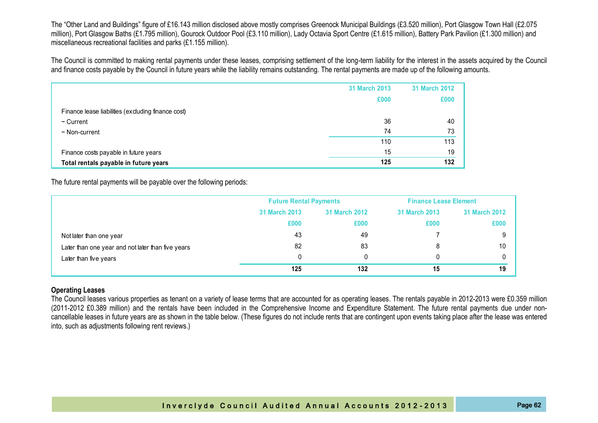The "Other Land and Buildings" figure of £16.143 million disclosed above mostly comprises Greenock Municipal Buildings (£3.520 million), Port Glasgow Town Hall (£2.075 million), Port Glasgow Baths (£1.795 million), Gourock Outdoor Pool (£3.110 million), Lady Octavia Sport Centre (£1.615 million), Battery Park Pavilion (£1.300 million) and miscellaneous recreational facilities and parks (£1.155 million).

The Council is committed to making rental payments under these leases, comprising settlement of the long-term liability for the interest in the assets acquired by the Council and finance costs payable by the Council in future years while the liability remains outstanding. The rental payments are made up of the following amounts.

|                                                    | <b>31 March 2013</b> | 31 March 2012 |
|----------------------------------------------------|----------------------|---------------|
|                                                    | £000                 | £000          |
| Finance lease liabilities (excluding finance cost) |                      |               |
| $\sim$ Current                                     | 36                   | 40            |
| $\sim$ Non-current                                 | 74                   | 73            |
|                                                    | 110                  | 113           |
| Finance costs payable in future years              | 15                   | 19            |
| Total rentals payable in future years              | 125                  | 132           |

The future rental payments will be payable over the following periods:

|                                                   | <b>Future Rental Payments</b> |               | <b>Finance Lease Element</b> |                      |  |
|---------------------------------------------------|-------------------------------|---------------|------------------------------|----------------------|--|
|                                                   | <b>31 March 2013</b>          | 31 March 2012 | 31 March 2013                | <b>31 March 2012</b> |  |
|                                                   | £000                          | £000          | £000                         | £000                 |  |
| Not later than one year                           | 43                            | 49            |                              | 9                    |  |
| Later than one year and not later than five years | 82                            | 83            | 8                            | 10                   |  |
| Later than five years                             |                               | 0             | 0                            |                      |  |
|                                                   | 125                           | 132           | 15                           | 19                   |  |

## **Operating Leases**

The Council leases various properties as tenant on a variety of lease terms that are accounted for as operating leases. The rentals payable in 2012-2013 were £0.359 million (2011-2012 £0.389 million) and the rentals have been included in the Comprehensive Income and Expenditure Statement. The future rental payments due under noncancellable leases in future years are as shown in the table below. (These figures do not include rents that are contingent upon events taking place after the lease was entered into, such as adjustments following rent reviews.)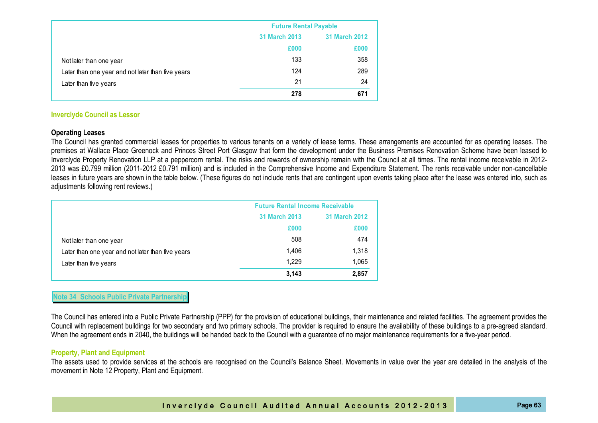|                                                   | <b>Future Rental Payable</b> |               |
|---------------------------------------------------|------------------------------|---------------|
|                                                   | <b>31 March 2013</b>         | 31 March 2012 |
|                                                   | £000                         | £000          |
| Not later than one year                           | 133                          | 358           |
| Later than one year and not later than five years | 124                          | 289           |
| Later than five years                             | 21                           | 24            |
|                                                   | 278                          |               |

## **Inverclyde Council as Lessor**

## **Operating Leases**

The Council has granted commercial leases for properties to various tenants on a variety of lease terms. These arrangements are accounted for as operating leases. The premises at Wallace Place Greenock and Princes Street Port Glasgow that form the development under the Business Premises Renovation Scheme have been leased to Inverclyde Property Renovation LLP at a peppercorn rental. The risks and rewards of ownership remain with the Council at all times. The rental income receivable in 2012- 2013 was £0.799 million (2011-2012 £0.791 million) and is included in the Comprehensive Income and Expenditure Statement. The rents receivable under non-cancellable leases in future years are shown in the table below. (These figures do not include rents that are contingent upon events taking place after the lease was entered into, such as adiustments following rent reviews.)

|                                                   | <b>Future Rental Income Receivable</b> |               |  |
|---------------------------------------------------|----------------------------------------|---------------|--|
|                                                   | <b>31 March 2013</b>                   | 31 March 2012 |  |
|                                                   | £000                                   | £000          |  |
| Not later than one year                           | 508                                    | 474           |  |
| Later than one year and not later than five years | 1,406                                  | 1,318         |  |
| Later than five years                             | 1,229                                  | 1,065         |  |
|                                                   | 3,143                                  | 2,857         |  |

# **Note 34 Schools Public Private Partnership**

The Council has entered into a Public Private Partnership (PPP) for the provision of educational buildings, their maintenance and related facilities. The agreement provides the Council with replacement buildings for two secondary and two primary schools. The provider is required to ensure the availability of these buildings to a pre-agreed standard. When the agreement ends in 2040, the buildings will be handed back to the Council with a guarantee of no major maintenance requirements for a five-year period.

## **Property, Plant and Equipment**

The assets used to provide services at the schools are recognised on the Council's Balance Sheet. Movements in value over the year are detailed in the analysis of the movement in Note 12 Property, Plant and Equipment.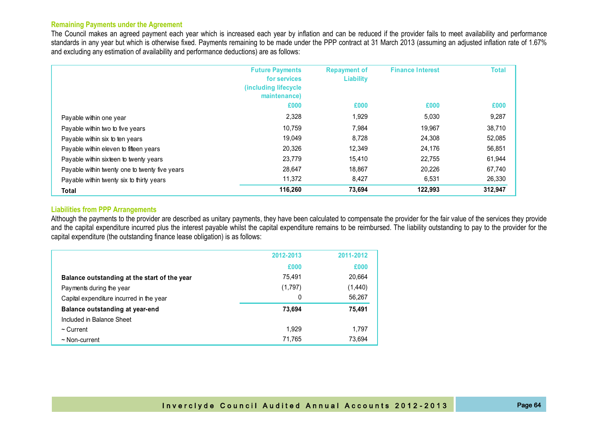## **Remaining Payments under the Agreement**

The Council makes an agreed payment each year which is increased each year by inflation and can be reduced if the provider fails to meet availability and performance standards in any year but which is otherwise fixed. Payments remaining to be made under the PPP contract at 31 March 2013 (assuming an adjusted inflation rate of 1.67% and excluding any estimation of availability and performance deductions) are as follows:

|                                                | <b>Future Payments</b><br>for services | <b>Repayment of</b><br>Liability | <b>Finance Interest</b> | <b>Total</b> |
|------------------------------------------------|----------------------------------------|----------------------------------|-------------------------|--------------|
|                                                | (including lifecycle)<br>maintenance)  |                                  |                         |              |
|                                                | £000                                   | £000                             | £000                    | £000         |
| Payable within one year                        | 2,328                                  | 1,929                            | 5,030                   | 9,287        |
| Payable within two to five years               | 10,759                                 | 7,984                            | 19,967                  | 38,710       |
| Payable within six to ten years                | 19.049                                 | 8,728                            | 24,308                  | 52,085       |
| Payable within eleven to fifteen years         | 20,326                                 | 12,349                           | 24,176                  | 56,851       |
| Payable within sixteen to twenty years         | 23,779                                 | 15,410                           | 22,755                  | 61,944       |
| Payable within twenty one to twenty five years | 28,647                                 | 18,867                           | 20,226                  | 67,740       |
| Payable within twenty six to thirty years      | 11,372                                 | 8,427                            | 6,531                   | 26,330       |
| <b>Total</b>                                   | 116,260                                | 73,694                           | 122,993                 | 312,947      |

## **Liabilities from PPP Arrangements**

Although the payments to the provider are described as unitary payments, they have been calculated to compensate the provider for the fair value of the services they provide and the capital expenditure incurred plus the interest payable whilst the capital expenditure remains to be reimbursed. The liability outstanding to pay to the provider for the capital expenditure (the outstanding finance lease obligation) is as follows:

|                                              | 2012-2013 | 2011-2012 |
|----------------------------------------------|-----------|-----------|
|                                              | £000      | £000      |
| Balance outstanding at the start of the year | 75.491    | 20.664    |
| Payments during the year                     | (1,797)   | (1, 440)  |
| Capital expenditure incurred in the year     | 0         | 56,267    |
| Balance outstanding at year-end              | 73.694    | 75.491    |
| Included in Balance Sheet                    |           |           |
| $\sim$ Current                               | 1.929     | 1.797     |
| $\sim$ Non-current                           | 71,765    | 73.694    |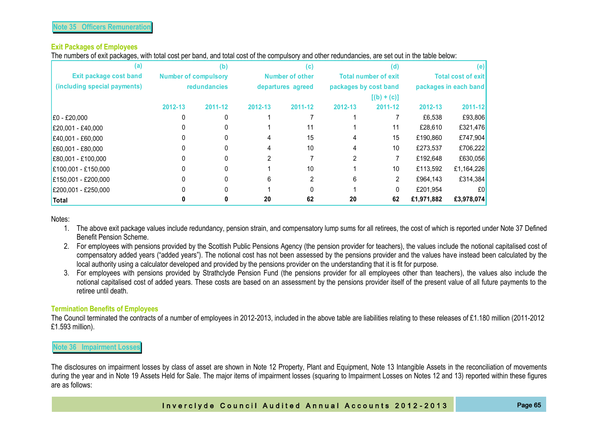## **Exit Packages of Employees**

The numbers of exit packages, with total cost per band, and total cost of the compulsory and other redundancies, are set out in the table below:

| (a)                           |          | (b)                         |         | (c)                                            |         |                       |                           | (e)                   |
|-------------------------------|----------|-----------------------------|---------|------------------------------------------------|---------|-----------------------|---------------------------|-----------------------|
| <b>Exit package cost band</b> |          | <b>Number of compulsory</b> |         | <b>Number of other</b><br>Total number of exit |         |                       | <b>Total cost of exit</b> |                       |
| (including special payments)  |          | redundancies                |         | departures agreed                              |         | packages by cost band |                           | packages in each band |
|                               |          |                             |         |                                                |         | $[(b) + (c)]$         |                           |                       |
|                               | 2012-13  | 2011-12                     | 2012-13 | 2011-12                                        | 2012-13 | 2011-12               | 2012-13                   | 2011-12               |
| E0 - £20,000                  | $\Omega$ |                             |         |                                                |         |                       | £6,538                    | £93,806               |
| £20,001 - £40,000             | $\Omega$ | 0                           |         | 11                                             |         | 11                    | £28,610                   | £321,476              |
| E40,001 - £60,000             | 0        |                             | 4       | 15                                             | 4       | 15                    | £190,860                  | £747,904              |
| E60,001 - £80,000             |          |                             | 4       | 10                                             | 4       | 10                    | £273,537                  | £706,222              |
| £80,001 - £100,000            | 0        | 0                           |         |                                                | 2       |                       | £192,648                  | £630,056              |
| £100,001 - £150,000           | 0        | 0                           |         | 10                                             |         | 10                    | £113,592                  | £1,164,226            |
| E150.001 - £200.000           |          |                             | 6       | 2                                              | 6       | $\mathfrak{p}$        | £964,143                  | £314,384              |
| £200,001 - £250,000           |          |                             |         | 0                                              |         | 0                     | £201.954                  | £0                    |
| Total                         |          |                             | 20      | 62                                             | 20      | 62                    | £1,971,882                | £3,978,074            |

Notes:

1. The above exit package values include redundancy, pension strain, and compensatory lump sums for all retirees, the cost of which is reported under Note 37 Defined Benefit Pension Scheme.

2. For employees with pensions provided by the Scottish Public Pensions Agency (the pension provider for teachers), the values include the notional capitalised cost of compensatory added years ("added years"). The notional cost has not been assessed by the pensions provider and the values have instead been calculated by the local authority using a calculator developed and provided by the pensions provider on the understanding that it is fit for purpose.

3. For employees with pensions provided by Strathclyde Pension Fund (the pensions provider for all employees other than teachers), the values also include the notional capitalised cost of added years. These costs are based on an assessment by the pensions provider itself of the present value of all future payments to the retiree until death.

## **Termination Benefits of Employees**

The Council terminated the contracts of a number of employees in 2012-2013, included in the above table are liabilities relating to these releases of £1.180 million (2011-2012 £1.593 million).

# **Note 36 Impairment Losses**

The disclosures on impairment losses by class of asset are shown in Note 12 Property, Plant and Equipment, Note 13 Intangible Assets in the reconciliation of movements during the year and in Note 19 Assets Held for Sale. The major items of impairment losses (squaring to Impairment Losses on Notes 12 and 13) reported within these figures are as follows: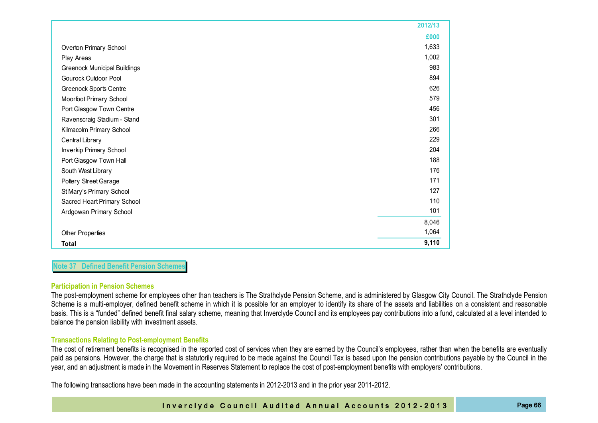|                                     | 2012/13 |
|-------------------------------------|---------|
|                                     | £000    |
| Overton Primary School              | 1,633   |
| Play Areas                          | 1,002   |
| <b>Greenock Municipal Buildings</b> | 983     |
| Gourock Outdoor Pool                | 894     |
| Greenock Sports Centre              | 626     |
| Moorfoot Primary School             | 579     |
| Port Glasgow Town Centre            | 456     |
| Ravenscraig Stadium - Stand         | 301     |
| Kilmacolm Primary School            | 266     |
| Central Library                     | 229     |
| Inverkip Primary School             | 204     |
| Port Glasgow Town Hall              | 188     |
| South West Library                  | 176     |
| Pottery Street Garage               | 171     |
| St Mary's Primary School            | 127     |
| Sacred Heart Primary School         | 110     |
| Ardgowan Primary School             | 101     |
|                                     | 8,046   |
| Other Properties                    | 1,064   |
| <b>Total</b>                        | 9,110   |

**Note 37 Defined Benefit Pension Schemes**

#### **Participation in Pension Schemes**

The post-employment scheme for employees other than teachers is The Strathclyde Pension Scheme, and is administered by Glasgow City Council. The Strathclyde Pension Scheme is a multi-employer, defined benefit scheme in which it is possible for an employer to identify its share of the assets and liabilities on a consistent and reasonable basis. This is a "funded" defined benefit final salary scheme, meaning that Inverclyde Council and its employees pay contributions into a fund, calculated at a level intended to balance the pension liability with investment assets.

## **Transactions Relating to Post-employment Benefits**

The cost of retirement benefits is recognised in the reported cost of services when they are earned by the Council's employees, rather than when the benefits are eventually paid as pensions. However, the charge that is statutorily required to be made against the Council Tax is based upon the pension contributions payable by the Council in the year, and an adjustment is made in the Movement in Reserves Statement to replace the cost of post-employment benefits with employers' contributions.

The following transactions have been made in the accounting statements in 2012-2013 and in the prior year 2011-2012.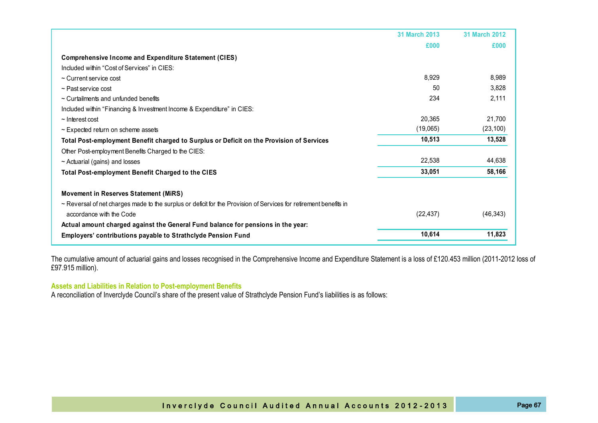|                                                                                                                   | 31 March 2013 | <b>31 March 2012</b> |
|-------------------------------------------------------------------------------------------------------------------|---------------|----------------------|
|                                                                                                                   | £000          | £000                 |
| <b>Comprehensive Income and Expenditure Statement (CIES)</b>                                                      |               |                      |
| Included within "Cost of Services" in CIES:                                                                       |               |                      |
| $\sim$ Current service cost                                                                                       | 8,929         | 8,989                |
| $\sim$ Past service cost                                                                                          | 50            | 3,828                |
| $\sim$ Curtailments and unfunded benefits                                                                         | 234           | 2,111                |
| Included within "Financing & Investment Income & Expenditure" in CIES:                                            |               |                      |
| $\sim$ Interest cost                                                                                              | 20,365        | 21,700               |
| $\sim$ Expected return on scheme assets                                                                           | (19,065)      | (23, 100)            |
| Total Post-employment Benefit charged to Surplus or Deficit on the Provision of Services                          | 10,513        | 13,528               |
| Other Post-employment Benefits Charged to the CIES:                                                               |               |                      |
| $\sim$ Actuarial (gains) and losses                                                                               | 22,538        | 44,638               |
| Total Post-employment Benefit Charged to the CIES                                                                 | 33,051        | 58,166               |
| <b>Movement in Reserves Statement (MiRS)</b>                                                                      |               |                      |
| ~ Reversal of net charges made to the surplus or deficit for the Provision of Services for retirement benefits in |               |                      |
| accordance with the Code                                                                                          | (22, 437)     | (46, 343)            |
| Actual amount charged against the General Fund balance for pensions in the year:                                  |               |                      |
| <b>Employers' contributions payable to Strathclyde Pension Fund</b>                                               | 10,614        | 11,823               |

The cumulative amount of actuarial gains and losses recognised in the Comprehensive Income and Expenditure Statement is a loss of £120.453 million (2011-2012 loss of £97.915 million).

# **Assets and Liabilities in Relation to Post-employment Benefits**

A reconciliation of Inverclyde Council's share of the present value of Strathclyde Pension Fund's liabilities is as follows: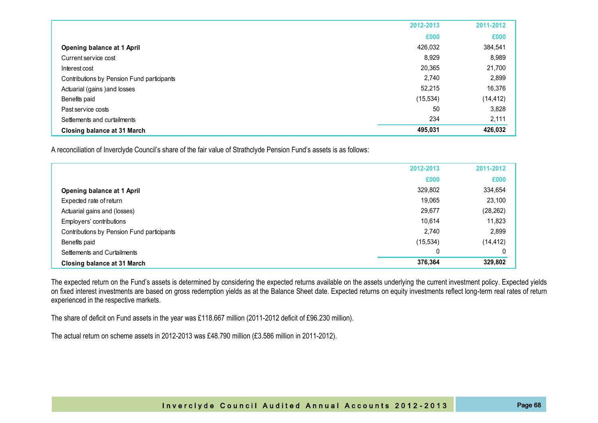|                                            | 2012-2013 | 2011-2012 |
|--------------------------------------------|-----------|-----------|
|                                            | £000      | £000      |
| <b>Opening balance at 1 April</b>          | 426,032   | 384,541   |
| Current service cost                       | 8,929     | 8,989     |
| Interest cost                              | 20,365    | 21,700    |
| Contributions by Pension Fund participants | 2,740     | 2,899     |
| Actuarial (gains ) and losses              | 52,215    | 16,376    |
| Benefits paid                              | (15, 534) | (14, 412) |
| Past service costs                         | 50        | 3,828     |
| Settlements and curtailments               | 234       | 2,111     |
| <b>Closing balance at 31 March</b>         | 495,031   | 426,032   |

A reconciliation of Inverclyde Council's share of the fair value of Strathclyde Pension Fund's assets is as follows:

|                                            | 2012-2013 | 2011-2012 |
|--------------------------------------------|-----------|-----------|
|                                            | £000      | £000      |
| Opening balance at 1 April                 | 329,802   | 334,654   |
| Expected rate of return                    | 19,065    | 23,100    |
| Actuarial gains and (losses)               | 29,677    | (28, 262) |
| Employers' contributions                   | 10,614    | 11,823    |
| Contributions by Pension Fund participants | 2,740     | 2,899     |
| Benefits paid                              | (15, 534) | (14, 412) |
| Settlements and Curtailments               | 0         |           |
| <b>Closing balance at 31 March</b>         | 376,364   | 329,802   |

The expected return on the Fund's assets is determined by considering the expected returns available on the assets underlying the current investment policy. Expected yields on fixed interest investments are based on gross redemption yields as at the Balance Sheet date. Expected returns on equity investments reflect long-term real rates of return experienced in the respective markets.

The share of deficit on Fund assets in the year was £118.667 million (2011-2012 deficit of £96.230 million).

The actual return on scheme assets in 2012-2013 was £48.790 million (£3.586 million in 2011-2012).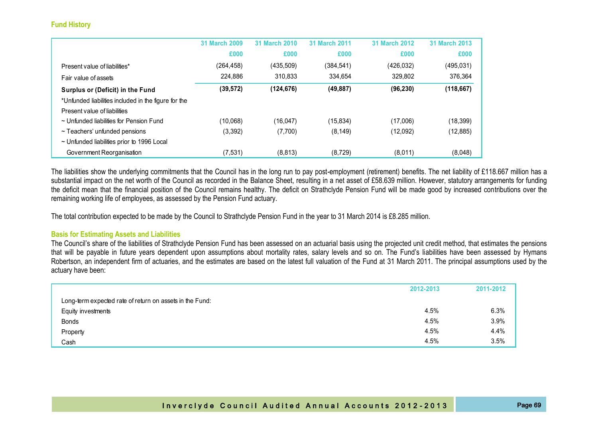## **Fund History**

|                                                      | <b>31 March 2009</b> | 31 March 2010 | <b>31 March 2011</b> | 31 March 2012 | <b>31 March 2013</b> |
|------------------------------------------------------|----------------------|---------------|----------------------|---------------|----------------------|
|                                                      | £000                 | £000          | £000                 | £000          | £000                 |
| Present value of liabilities*                        | (264, 458)           | (435, 509)    | (384,541)            | (426, 032)    | (495,031)            |
| Fair value of assets                                 | 224.886              | 310,833       | 334,654              | 329.802       | 376,364              |
| Surplus or (Deficit) in the Fund                     | (39, 572)            | (124, 676)    | (49, 887)            | (96, 230)     | (118, 667)           |
| *Unfunded liabilities included in the figure for the |                      |               |                      |               |                      |
| Present value of liabilities                         |                      |               |                      |               |                      |
| $\sim$ Unfunded liabilities for Pension Fund         | (10,068)             | (16, 047)     | (15, 834)            | (17,006)      | (18, 399)            |
| $\sim$ Teachers' unfunded pensions                   | (3, 392)             | (7,700)       | (8, 149)             | (12,092)      | (12, 885)            |
| ~ Unfunded liabilities prior to 1996 Local           |                      |               |                      |               |                      |
| Government Reorganisation                            | (7,531)              | (8, 813)      | (8, 729)             | (8,011)       | (8,048)              |

The liabilities show the underlying commitments that the Council has in the long run to pay post-employment (retirement) benefits. The net liability of £118.667 million has a substantial impact on the net worth of the Council as recorded in the Balance Sheet, resulting in a net asset of £58.639 million. However, statutory arrangements for funding the deficit mean that the financial position of the Council remains healthy. The deficit on Strathclyde Pension Fund will be made good by increased contributions over the remaining working life of employees, as assessed by the Pension Fund actuary.

The total contribution expected to be made by the Council to Strathclyde Pension Fund in the year to 31 March 2014 is £8.285 million.

#### **Basis for Estimating Assets and Liabilities**

The Council's share of the liabilities of Strathclyde Pension Fund has been assessed on an actuarial basis using the projected unit credit method, that estimates the pensions that will be payable in future years dependent upon assumptions about mortality rates, salary levels and so on. The Fund's liabilities have been assessed by Hymans Robertson, an independent firm of actuaries, and the estimates are based on the latest full valuation of the Fund at 31 March 2011. The principal assumptions used by the actuary have been:

|                                                          | 2012-2013 | 2011-2012 |
|----------------------------------------------------------|-----------|-----------|
| Long-term expected rate of return on assets in the Fund: |           |           |
| Equity investments                                       | 4.5%      | 6.3%      |
| <b>Bonds</b>                                             | 4.5%      | 3.9%      |
| Property                                                 | 4.5%      | 4.4%      |
| Cash                                                     | 4.5%      | 3.5%      |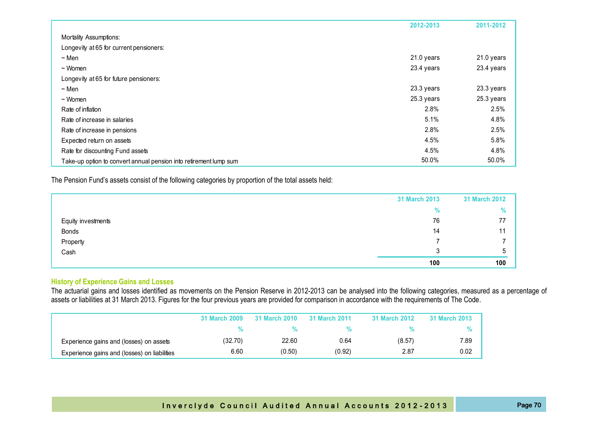|                                                                   | 2012-2013  | 2011-2012  |
|-------------------------------------------------------------------|------------|------------|
| Mortality Assumptions:                                            |            |            |
| Longevity at 65 for current pensioners:                           |            |            |
| $~\sim$ Men                                                       | 21.0 years | 21.0 years |
| $\sim$ Women                                                      | 23.4 years | 23.4 years |
| Longevity at 65 for future pensioners:                            |            |            |
| $~\sim$ Men                                                       | 23.3 years | 23.3 years |
| $\sim$ Women                                                      | 25.3 years | 25.3 years |
| Rate of inflation                                                 | 2.8%       | 2.5%       |
| Rate of increase in salaries                                      | 5.1%       | 4.8%       |
| Rate of increase in pensions                                      | 2.8%       | 2.5%       |
| Expected return on assets                                         | 4.5%       | 5.8%       |
| Rate for discounting Fund assets                                  | 4.5%       | 4.8%       |
| Take-up option to convert annual pension into retirement lump sum | 50.0%      | 50.0%      |

The Pension Fund's assets consist of the following categories by proportion of the total assets held:

|                    | 31 March 2013 | 31 March 2012 |
|--------------------|---------------|---------------|
|                    |               |               |
| Equity investments | 76            | 77            |
| <b>Bonds</b>       | 14            | 11            |
|                    |               |               |
| Property<br>Cash   | -2            |               |
|                    | 100           | 100           |

## **History of Experience Gains and Losses**

The actuarial gains and losses identified as movements on the Pension Reserve in 2012-2013 can be analysed into the following categories, measured as a percentage of assets or liabilities at 31 March 2013. Figures for the four previous years are provided for comparison in accordance with the requirements of The Code.

|                                              | 31 March 2009 | 31 March 2010 | 31 March 2011 | 31 March 2012 | 31 March 2013 |
|----------------------------------------------|---------------|---------------|---------------|---------------|---------------|
|                                              |               |               |               |               |               |
| Experience gains and (losses) on assets      | (32.70)       | 22.60         | 0.64          | (8.57)        | 7.89          |
| Experience gains and (losses) on liabilities | 6.60          | (0.50)        | (0.92)        | 2.87          | 0.02          |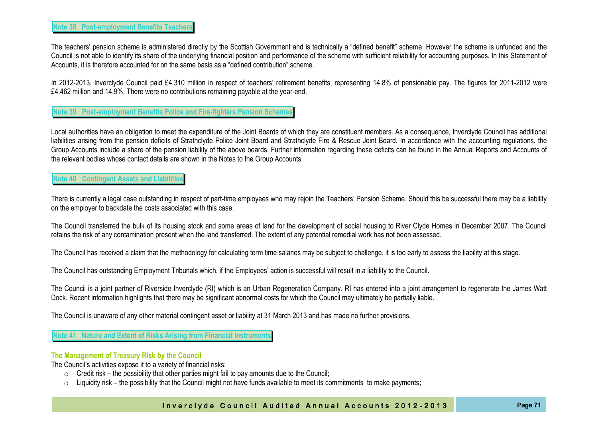## **Note 38 Post-employment Benefits Teachers**

The teachers' pension scheme is administered directly by the Scottish Government and is technically a "defined benefit" scheme. However the scheme is unfunded and the Council is not able to identify its share of the underlying financial position and performance of the scheme with sufficient reliability for accounting purposes. In this Statement of Accounts, it is therefore accounted for on the same basis as a "defined contribution" scheme.

In 2012-2013, Inverclyde Council paid £4.310 million in respect of teachers' retirement benefits, representing 14.8% of pensionable pay. The figures for 2011-2012 were £4.462 million and 14.9%. There were no contributions remaining payable at the year-end.

**Note 39 Post-employment Benefits Police and Fire-fighters Pension Schemes**

Local authorities have an obligation to meet the expenditure of the Joint Boards of which they are constituent members. As a consequence, Inverclyde Council has additional liabilities arising from the pension deficits of Strathclyde Police Joint Board and Strathclyde Fire & Rescue Joint Board. In accordance with the accounting regulations, the Group Accounts include a share of the pension liability of the above boards. Further information regarding these deficits can be found in the Annual Reports and Accounts of the relevant bodies whose contact details are shown in the Notes to the Group Accounts.

## **Note 40 Contingent Assets and Liabilities**

There is currently a legal case outstanding in respect of part-time employees who may rejoin the Teachers' Pension Scheme. Should this be successful there may be a liability on the employer to backdate the costs associated with this case.

The Council transferred the bulk of its housing stock and some areas of land for the development of social housing to River Clyde Homes in December 2007. The Council retains the risk of any contamination present when the land transferred. The extent of any potential remedial work has not been assessed.

The Council has received a claim that the methodology for calculating term time salaries may be subject to challenge, it is too early to assess the liability at this stage.

The Council has outstanding Employment Tribunals which, if the Employees' action is successful will result in a liability to the Council.

The Council is a joint partner of Riverside Inverclyde (RI) which is an Urban Regeneration Company. RI has entered into a joint arrangement to regenerate the James Watt Dock. Recent information highlights that there may be significant abnormal costs for which the Council may ultimately be partially liable.

The Council is unaware of any other material contingent asset or liability at 31 March 2013 and has made no further provisions.

**Note 41 Nature and Extent of Risks Arising from Financial Instruments**

#### **The Management of Treasury Risk by the Council**

The Council's activities expose it to a variety of financial risks:

- $\circ$  Credit risk the possibility that other parties might fail to pay amounts due to the Council:
- $\circ$  Liquidity risk the possibility that the Council might not have funds available to meet its commitments to make payments;

## Inverclyde Council Audited Annual Accounts 2012-2013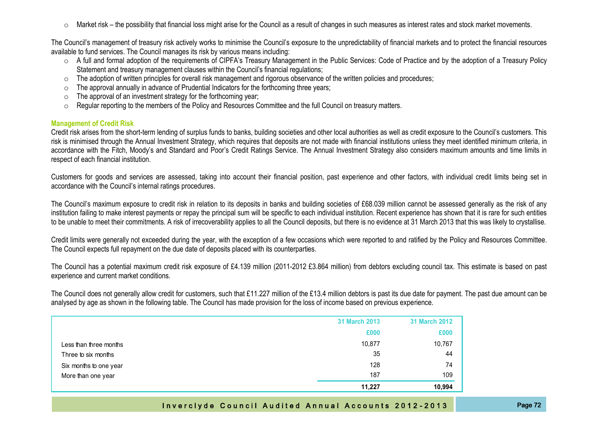$\circ$  Market risk – the possibility that financial loss might arise for the Council as a result of changes in such measures as interest rates and stock market movements.

The Council's management of treasury risk actively works to minimise the Council's exposure to the unpredictability of financial markets and to protect the financial resources available to fund services. The Council manages its risk by various means including:

- o A full and formal adoption of the requirements of CIPFA's Treasury Management in the Public Services: Code of Practice and by the adoption of a Treasury Policy Statement and treasury management clauses within the Council's financial regulations:
- o The adoption of written principles for overall risk management and rigorous observance of the written policies and procedures;
- o The approval annually in advance of Prudential Indicators for the forthcoming three years;
- $\circ$  The approval of an investment strategy for the forthcoming year;
- o Regular reporting to the members of the Policy and Resources Committee and the full Council on treasury matters.

## **Management of Credit Risk**

Credit risk arises from the short-term lending of surplus funds to banks, building societies and other local authorities as well as credit exposure to the Council's customers. This risk is minimised through the Annual Investment Strategy, which requires that deposits are not made with financial institutions unless they meet identified minimum criteria, in accordance with the Fitch, Moody's and Standard and Poor's Credit Ratings Service. The Annual Investment Strategy also considers maximum amounts and time limits in respect of each financial institution.

Customers for goods and services are assessed, taking into account their financial position, past experience and other factors, with individual credit limits being set in accordance with the Council's internal ratings procedures.

The Council's maximum exposure to credit risk in relation to its deposits in banks and building societies of £68.039 million cannot be assessed generally as the risk of any institution failing to make interest payments or repay the principal sum will be specific to each individual institution. Recent experience has shown that it is rare for such entities to be unable to meet their commitments. A risk of irrecoverability applies to all the Council deposits, but there is no evidence at 31 March 2013 that this was likely to crystallise.

Credit limits were generally not exceeded during the year, with the exception of a few occasions which were reported to and ratified by the Policy and Resources Committee. The Council expects full repayment on the due date of deposits placed with its counterparties.

The Council has a potential maximum credit risk exposure of £4.139 million (2011-2012 £3.864 million) from debtors excluding council tax. This estimate is based on past experience and current market conditions.

The Council does not generally allow credit for customers, such that £11.227 million of the £13.4 million debtors is past its due date for payment. The past due amount can be analysed by age as shown in the following table. The Council has made provision for the loss of income based on previous experience.

|                        | 31 March 2013 | 31 March 2012 |
|------------------------|---------------|---------------|
|                        | £000          | £000          |
| Less than three months | 10,877        | 10,767        |
| Three to six months    | 35            | 44            |
| Six months to one year | 128           | 74            |
| More than one year     | 187           | 109           |
|                        | 11,227        | 10,994        |

Inverclyde Council Audited Annual Accounts 2012-2013 Page 72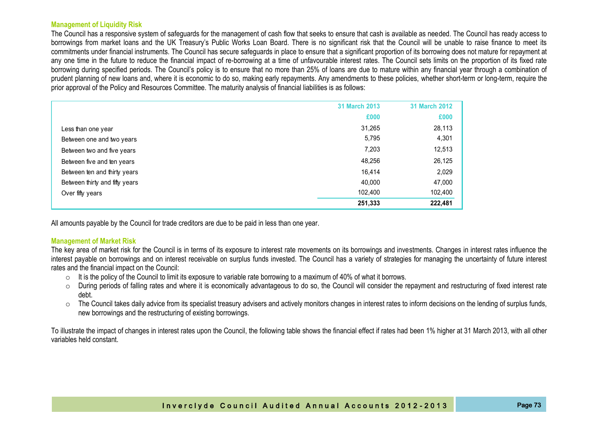### **Management of Liquidity Risk**

The Council has a responsive system of safeguards for the management of cash flow that seeks to ensure that cash is available as needed. The Council has ready access to borrowings from market loans and the UK Treasury's Public Works Loan Board. There is no significant risk that the Council will be unable to raise finance to meet its commitments under financial instruments. The Council has secure safeguards in place to ensure that a significant proportion of its borrowing does not mature for repayment at any one time in the future to reduce the financial impact of re-borrowing at a time of unfavourable interest rates. The Council sets limits on the proportion of its fixed rate borrowing during specified periods. The Council's policy is to ensure that no more than 25% of loans are due to mature within any financial year through a combination of prudent planning of new loans and, where it is economic to do so, making early repayments. Any amendments to these policies, whether short-term or long-term, require the prior approval of the Policy and Resources Committee. The maturity analysis of financial liabilities is as follows:

|                                | 31 March 2013 | 31 March 2012 |
|--------------------------------|---------------|---------------|
|                                | £000          | £000          |
| Less than one year             | 31,265        | 28,113        |
| Between one and two years      | 5,795         | 4,301         |
| Between two and five years     | 7,203         | 12,513        |
| Between five and ten years     | 48,256        | 26,125        |
| Between ten and thirty years   | 16,414        | 2,029         |
| Between thirty and fifty years | 40,000        | 47,000        |
| Over fifty years               | 102,400       | 102,400       |
|                                | 251,333       | 222,481       |

All amounts payable by the Council for trade creditors are due to be paid in less than one year.

## **Management of Market Risk**

The key area of market risk for the Council is in terms of its exposure to interest rate movements on its borrowings and investments. Changes in interest rates influence the interest payable on borrowings and on interest receivable on surplus funds invested. The Council has a variety of strategies for managing the uncertainty of future interest rates and the financial impact on the Council:

- $\circ$  It is the policy of the Council to limit its exposure to variable rate borrowing to a maximum of 40% of what it borrows.
- o During periods of falling rates and where it is economically advantageous to do so, the Council will consider the repayment and restructuring of fixed interest rate debt.
- $\circ$  The Council takes daily advice from its specialist treasury advisers and actively monitors changes in interest rates to inform decisions on the lending of surplus funds, new borrowings and the restructuring of existing borrowings.

To illustrate the impact of changes in interest rates upon the Council, the following table shows the financial effect if rates had been 1% higher at 31 March 2013, with all other variables held constant.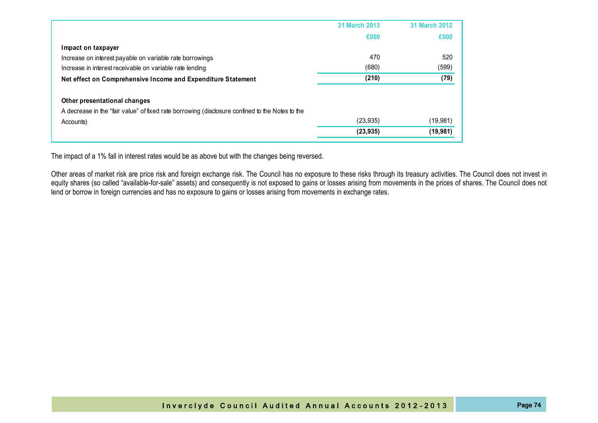|                                                                                                 | 31 March 2013 | <b>31 March 2012</b> |
|-------------------------------------------------------------------------------------------------|---------------|----------------------|
|                                                                                                 | £000          | £000                 |
| Impact on taxpayer                                                                              |               |                      |
| Increase on interest payable on variable rate borrowings                                        | 470           | 520                  |
| Increase in interest receivable on variable rate lending                                        | (680)         | (599)                |
| Net effect on Comprehensive Income and Expenditure Statement                                    | (210)         | (79)                 |
| Other presentational changes                                                                    |               |                      |
| A decrease in the "fair value" of fixed rate borrowing (disclosure confined to the Notes to the |               |                      |
| Accounts)                                                                                       | (23, 935)     | (19, 981)            |
|                                                                                                 | (23, 935)     | (19, 981)            |

The impact of a 1% fall in interest rates would be as above but with the changes being reversed.

Other areas of market risk are price risk and foreign exchange risk. The Council has no exposure to these risks through its treasury activities. The Council does not invest in equity shares (so called "available-for-sale" assets) and consequently is not exposed to gains or losses arising from movements in the prices of shares. The Council does not lend or borrow in foreign currencies and has no exposure to gains or losses arising from movements in exchange rates.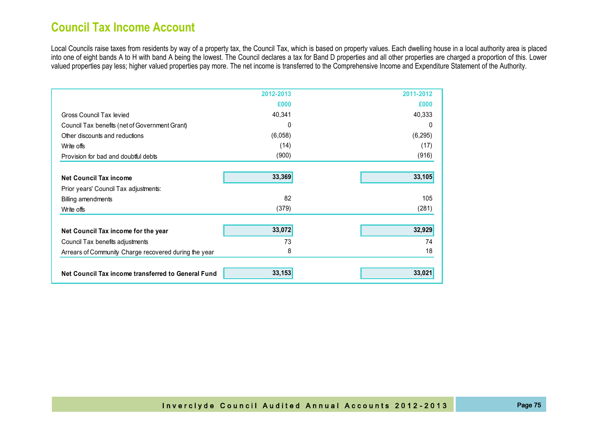# **Council Tax Income Account**

Local Councils raise taxes from residents by way of a property tax, the Council Tax, which is based on property values. Each dwelling house in a local authority area is placed into one of eight bands A to H with band A being the lowest. The Council declares a tax for Band D properties and all other properties are charged a proportion of this. Lower valued properties pay less; higher valued properties pay more. The net income is transferred to the Comprehensive Income and Expenditure Statement of the Authority.

|                                                       | 2012-2013 | 2011-2012 |
|-------------------------------------------------------|-----------|-----------|
|                                                       | £000      | £000      |
| Gross Council Tax levied                              | 40,341    | 40,333    |
| Council Tax benefits (net of Government Grant)        | 0         | 0         |
| Other discounts and reductions                        | (6,058)   | (6, 295)  |
| Write offs                                            | (14)      | (17)      |
| Provision for bad and doubtful debts                  | (900)     | (916)     |
|                                                       |           |           |
| <b>Net Council Tax income</b>                         | 33,369    | 33,105    |
| Prior years' Council Tax adjustments:                 |           |           |
| Billing amendments                                    | 82        | 105       |
| Write offs                                            | (379)     | (281)     |
|                                                       |           |           |
| Net Council Tax income for the year                   | 33,072    | 32,929    |
| Council Tax benefits adjustments                      | 73        | 74        |
| Arrears of Community Charge recovered during the year | 8         | 18        |
| Net Council Tax income transferred to General Fund    | 33,153    | 33,021    |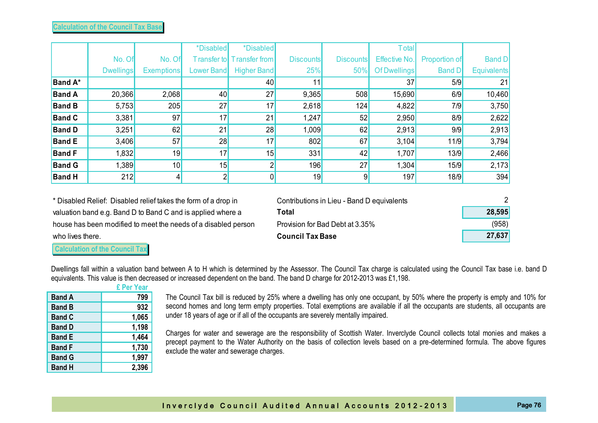## **Calculation of the Council Tax Base**

|                |                  |                   | <i><b>*Disabled</b></i> | <i><b>*Disabled</b></i>   |                  |                  | Total                |                      |                    |
|----------------|------------------|-------------------|-------------------------|---------------------------|------------------|------------------|----------------------|----------------------|--------------------|
|                | No. Of           | No. Of            |                         | Transfer to Transfer from | <b>Discounts</b> | <b>Discounts</b> | <b>Effective No.</b> | <b>Proportion of</b> | <b>Band D</b>      |
|                | <b>Dwellings</b> | <b>Exemptions</b> | Lower Band              | <b>Higher Band</b>        | 25%              | 50%              | Of Dwellings         | <b>Band D</b>        | <b>Equivalents</b> |
| <b>Band A*</b> |                  |                   |                         | 40                        | 11               |                  | 37                   | 5/9                  | 21                 |
| <b>Band A</b>  | 20,366           | 2,068             | 40                      | 27                        | 9,365            | 508              | 15,690               | 6/9                  | 10,460             |
| <b>Band B</b>  | 5,753            | 205               | 27                      | 17                        | 2,618            | 124              | 4,822                | 7/9                  | 3,750              |
| <b>Band C</b>  | 3,381            | 97                | 17                      | 21                        | 1,247            | 52               | 2,950                | 8/9                  | 2,622              |
| <b>Band D</b>  | 3,251            | 62                | 21                      | 28                        | 1,009            | 62               | 2,913                | 9/9                  | 2,913              |
| <b>Band E</b>  | 3,406            | 57                | 28                      | 17                        | 802              | 67               | 3,104                | 11/9                 | 3,794              |
| <b>Band F</b>  | 1,832            | 19                | 17                      | 15                        | 331              | 42               | 1,707                | 13/9                 | 2,466              |
| <b>Band G</b>  | 1,389            | 10                | 15                      | $\overline{2}$            | 196              | 27               | 1,304                | 15/9                 | 2,173              |
| <b>Band H</b>  | 212              |                   | $\overline{2}$          | 0                         | 19               | $\overline{9}$   | 197                  | 18/9                 | 394                |

\* Disabled Relief: Disabled relief takes the form of a drop in valuation band e.g. Band D to Band C and is applied where a house has been modified to meet the needs of a disabled person who lives there.

| Contributions in Lieu - Band D equivalents |        |
|--------------------------------------------|--------|
| Total                                      | 28,595 |
| Provision for Bad Debt at 3.35%            | (958)  |
| <b>Council Tax Base</b>                    | 27.637 |

## **Calculation of the Council Tax**

Dwellings fall within a valuation band between A to H which is determined by the Assessor. The Council Tax charge is calculated using the Council Tax base i.e. band D equivalents. This value is then decreased or increased dependent on the band. The band D charge for 2012-2013 was £1,198. **£ Per Year**

|               | t Per rear |
|---------------|------------|
| <b>Band A</b> | 799        |
| <b>Band B</b> | 932        |
| <b>Band C</b> | 1,065      |
| <b>Band D</b> | 1,198      |
| <b>Band E</b> | 1,464      |
| <b>Band F</b> | 1,730      |
| <b>Band G</b> | 1,997      |
| <b>Band H</b> | 2,396      |

The Council Tax bill is reduced by 25% where a dwelling has only one occupant, by 50% where the property is empty and 10% for second homes and long term empty properties. Total exemptions are available if all the occupants are students, all occupants are under 18 years of age or if all of the occupants are severely mentally impaired.

Charges for water and sewerage are the responsibility of Scottish Water. Inverclyde Council collects total monies and makes a precept payment to the Water Authority on the basis of collection levels based on a pre-determined formula. The above figures exclude the water and sewerage charges.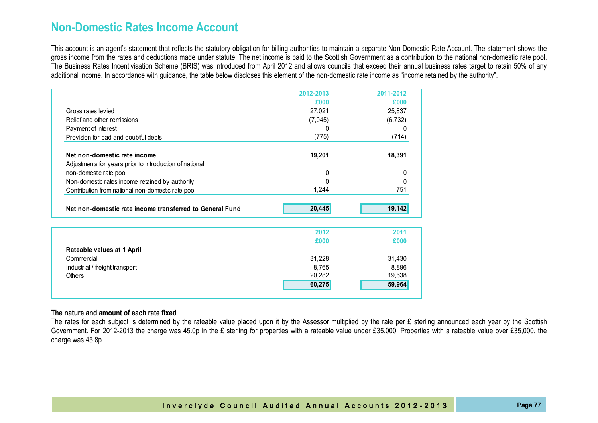# **Non-Domestic Rates Income Account**

This account is an agent's statement that reflects the statutory obligation for billing authorities to maintain a separate Non-Domestic Rate Account. The statement shows the gross income from the rates and deductions made under statute. The net income is paid to the Scottish Government as a contribution to the national non-domestic rate pool. The Business Rates Incentivisation Scheme (BRIS) was introduced from April 2012 and allows councils that exceed their annual business rates target to retain 50% of any additional income. In accordance with guidance, the table below discloses this element of the non-domestic rate income as "income retained by the authority".

|                                                          | 2012-2013 | 2011-2012 |
|----------------------------------------------------------|-----------|-----------|
|                                                          | £000      | £000      |
| Gross rates levied                                       | 27,021    | 25,837    |
| Relief and other remissions                              | (7,045)   | (6, 732)  |
| Payment of interest                                      |           |           |
| Provision for bad and doubtful debts                     | (775)     | (714)     |
| Net non-domestic rate income                             | 19,201    | 18,391    |
| Adjustments for years prior to introduction of national  |           |           |
| non-domestic rate pool                                   | 0         | 0         |
| Non-domestic rates income retained by authority          | 0         | 0         |
| Contribution from national non-domestic rate pool        | 1,244     | 751       |
| Net non-domestic rate income transferred to General Fund | 20,445    | 19,142    |
|                                                          |           |           |
|                                                          | 2012      | 2011      |
|                                                          | £000      | £000      |
| Rateable values at 1 April                               |           |           |
| Commercial                                               | 31,228    | 31,430    |
| Industrial / freight transport                           | 8,765     | 8,896     |
| Others                                                   | 20,282    | 19,638    |
|                                                          | 60,275    | 59,964    |
|                                                          |           |           |

#### **The nature and amount of each rate fixed**

The rates for each subject is determined by the rateable value placed upon it by the Assessor multiplied by the rate per £ sterling announced each year by the Scottish Government. For 2012-2013 the charge was 45.0p in the £ sterling for properties with a rateable value under £35,000. Properties with a rateable value over £35,000, the charge was 45.8p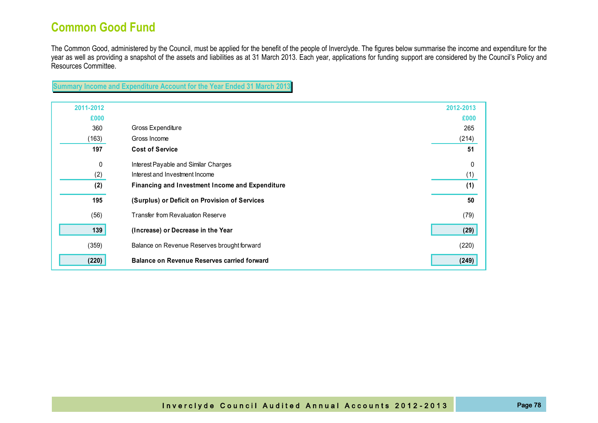## **Common Good Fund**

The Common Good, administered by the Council, must be applied for the benefit of the people of Inverclyde. The figures below summarise the income and expenditure for the year as well as providing a snapshot of the assets and liabilities as at 31 March 2013. Each year, applications for funding support are considered by the Council's Policy and Resources Committee.

**Summary Income and Expenditure Account for the Year Ended 31 March 2013**

| 2011-2012 |                                                 | 2012-2013    |
|-----------|-------------------------------------------------|--------------|
| £000      |                                                 | £000         |
| 360       | Gross Expenditure                               | 265          |
| (163)     | Gross Income                                    | (214)        |
| 197       | <b>Cost of Service</b>                          | 51           |
| 0         | Interest Payable and Similar Charges            | $\mathbf{0}$ |
| (2)       | Interest and Investment Income                  | (1)          |
| (2)       | Financing and Investment Income and Expenditure | (1)          |
| 195       | (Surplus) or Deficit on Provision of Services   | 50           |
| (56)      | <b>Transfer from Revaluation Reserve</b>        | (79)         |
| 139       | (Increase) or Decrease in the Year              | (29)         |
| (359)     | Balance on Revenue Reserves brought forward     | (220)        |
| (220)     | Balance on Revenue Reserves carried forward     | (249)        |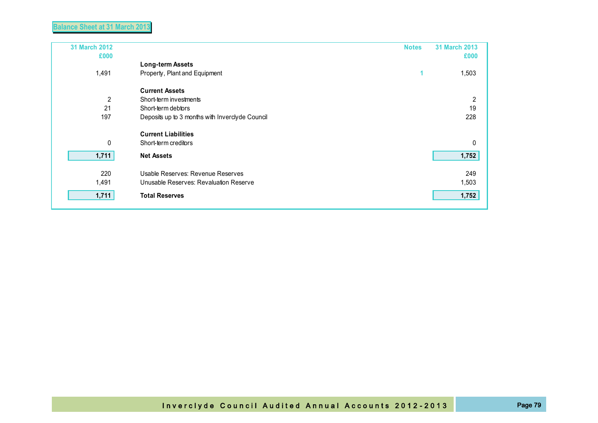## **Balance Sheet at 31 March 2013**

| <b>31 March 2012</b> |                                                 | <b>Notes</b> | 31 March 2013  |
|----------------------|-------------------------------------------------|--------------|----------------|
| £000                 | <b>Long-term Assets</b>                         |              | £000           |
| 1,491                | Property, Plant and Equipment                   | 1            | 1,503          |
|                      | <b>Current Assets</b>                           |              |                |
| $\overline{c}$       | Short-term investments                          |              | $\overline{2}$ |
| 21                   | Short-term debtors                              |              | 19             |
| 197                  | Deposits up to 3 months with Inverclyde Council |              | 228            |
|                      | <b>Current Liabilities</b>                      |              |                |
| 0                    | Short-term creditors                            |              | 0              |
| 1,711                | <b>Net Assets</b>                               |              | 1,752          |
| 220                  | Usable Reserves: Revenue Reserves               |              | 249            |
| 1,491                | Unusable Reserves: Revaluation Reserve          |              | 1,503          |
| 1,711                | <b>Total Reserves</b>                           |              | 1,752          |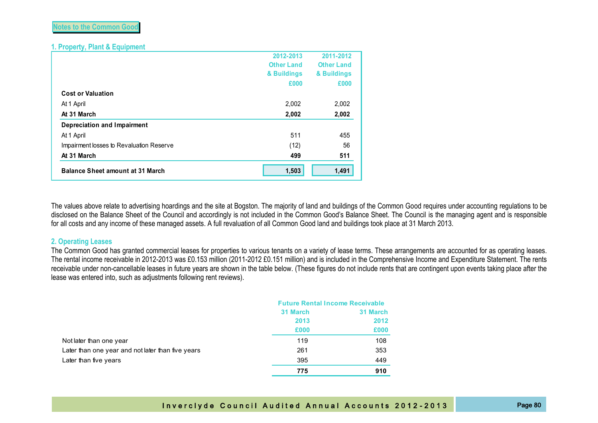#### **1. Property, Plant & Equipment**

|             | 2011-2012                               |
|-------------|-----------------------------------------|
|             |                                         |
|             | <b>Other Land</b>                       |
| & Buildings | & Buildings                             |
| £000        | £000                                    |
|             |                                         |
| 2,002       | 2,002                                   |
| 2,002       | 2,002                                   |
|             |                                         |
| 511         | 455                                     |
| (12)        | 56                                      |
| 499         | 511                                     |
|             | 1,491                                   |
|             | 2012-2013<br><b>Other Land</b><br>1,503 |

The values above relate to advertising hoardings and the site at Bogston. The majority of land and buildings of the Common Good requires under accounting regulations to be disclosed on the Balance Sheet of the Council and accordingly is not included in the Common Good's Balance Sheet. The Council is the managing agent and is responsible for all costs and any income of these managed assets. A full revaluation of all Common Good land and buildings took place at 31 March 2013.

#### **2. Operating Leases**

The Common Good has granted commercial leases for properties to various tenants on a variety of lease terms. These arrangements are accounted for as operating leases. The rental income receivable in 2012-2013 was £0.153 million (2011-2012 £0.151 million) and is included in the Comprehensive Income and Expenditure Statement. The rents receivable under non-cancellable leases in future years are shown in the table below. (These figures do not include rents that are contingent upon events taking place after the lease was entered into, such as adjustments following rent reviews).

|                                                   | <b>Future Rental Income Receivable</b> |          |
|---------------------------------------------------|----------------------------------------|----------|
|                                                   | 31 March                               | 31 March |
|                                                   | 2013                                   | 2012     |
|                                                   | £000                                   | £000     |
| Not later than one year                           | 119                                    | 108      |
| Later than one year and not later than five years | 261                                    | 353      |
| Later than five years                             | 395                                    | 449      |
|                                                   | 775                                    | 910      |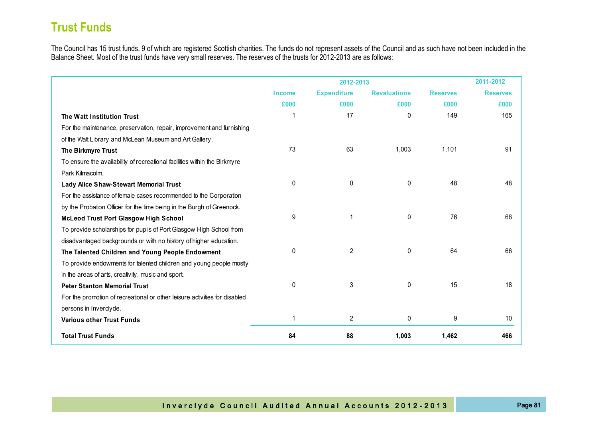# **Trust Funds**

The Council has 15 trust funds, 9 of which are registered Scottish charities. The funds do not represent assets of the Council and as such have not been included in the Balance Sheet. Most of the trust funds have very small reserves. The reserves of the trusts for 2012-2013 are as follows:

|                                                                            |               | 2012-2013          |                     |                 | 2011-2012       |
|----------------------------------------------------------------------------|---------------|--------------------|---------------------|-----------------|-----------------|
|                                                                            | <b>Income</b> | <b>Expenditure</b> | <b>Revaluations</b> | <b>Reserves</b> | <b>Reserves</b> |
|                                                                            | £000          | £000               | £000                | £000            | £000            |
| The Watt Institution Trust                                                 |               | 17                 | $\Omega$            | 149             | 165             |
| For the maintenance, preservation, repair, improvement and furnishing      |               |                    |                     |                 |                 |
| of the Watt Library and McLean Museum and Art Gallery.                     |               |                    |                     |                 |                 |
| The Birkmyre Trust                                                         | 73            | 63                 | 1,003               | 1,101           | 91              |
| To ensure the availability of recreational facilities within the Birkmyre  |               |                    |                     |                 |                 |
| Park Kilmacolm.                                                            |               |                    |                     |                 |                 |
| <b>Lady Alice Shaw-Stewart Memorial Trust</b>                              | 0             | 0                  | 0                   | 48              | 48              |
| For the assistance of female cases recommended to the Corporation          |               |                    |                     |                 |                 |
| by the Probation Officer for the time being in the Burgh of Greenock.      |               |                    |                     |                 |                 |
| <b>McLeod Trust Port Glasgow High School</b>                               | 9             |                    | 0                   | 76              | 68              |
| To provide scholarships for pupils of Port Glasgow High School from        |               |                    |                     |                 |                 |
| disadvantaged backgrounds or with no history of higher education.          |               |                    |                     |                 |                 |
| The Talented Children and Young People Endowment                           | 0             | $\overline{2}$     | $\mathbf{0}$        | 64              | 66              |
| To provide endowments for talented children and young people mostly        |               |                    |                     |                 |                 |
| in the areas of arts, creativity, music and sport.                         |               |                    |                     |                 |                 |
| <b>Peter Stanton Memorial Trust</b>                                        | 0             | 3                  | $\mathbf{0}$        | 15              | 18              |
| For the promotion of recreational or other leisure activities for disabled |               |                    |                     |                 |                 |
| persons in Inverclyde.                                                     |               |                    |                     |                 |                 |
| <b>Various other Trust Funds</b>                                           | 1             | 2                  | 0                   | 9               | 10              |
| <b>Total Trust Funds</b>                                                   | 84            | 88                 | 1,003               | 1,462           | 466             |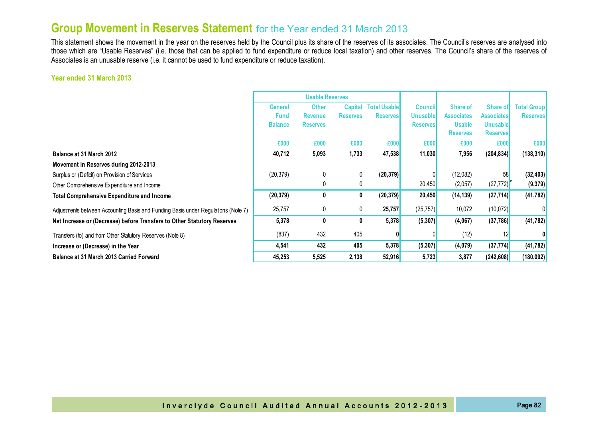## **Group Movement in Reserves Statement** for the Year ended 31 March 2013

This statement shows the movement in the year on the reserves held by the Council plus its share of the reserves of its associates. The Council's reserves are analysed into those which are "Usable Reserves" (i.e. those that can be applied to fund expenditure or reduce local taxation) and other reserves. The Council's share of the reserves of Associates is an unusable reserve (i.e. it cannot be used to fund expenditure or reduce taxation).

## **Year ended 31 March 2013**

|                                                                                   |                | <b>Usable Reserves</b> |                 |                      |                 |                   |                   |                    |
|-----------------------------------------------------------------------------------|----------------|------------------------|-----------------|----------------------|-----------------|-------------------|-------------------|--------------------|
|                                                                                   | <b>General</b> | <b>Other</b>           | <b>Capital</b>  | <b>Total Usablel</b> | <b>Council</b>  | Share of          | <b>Share of</b>   | <b>Total Group</b> |
|                                                                                   | <b>Fund</b>    | <b>Revenue</b>         | <b>Reserves</b> | <b>Reserves</b>      | Unusable        | <b>Associates</b> | <b>Associates</b> | <b>Reserves</b>    |
|                                                                                   | <b>Balance</b> | <b>Reserves</b>        |                 |                      | <b>Reserves</b> | <b>Usable</b>     | <b>Unusable</b>   |                    |
|                                                                                   |                |                        |                 |                      |                 | <b>Reserves</b>   | <b>Reserves</b>   |                    |
|                                                                                   | £000           | £000                   | £000            | £000                 | £000            | £000              | £000              | £000               |
| Balance at 31 March 2012                                                          | 40,712         | 5,093                  | 1,733           | 47,538               | 11,030          | 7,956             | (204, 834)        | (138, 310)         |
| Movement in Reserves during 2012-2013                                             |                |                        |                 |                      |                 |                   |                   |                    |
| Surplus or (Deficit) on Provision of Services                                     | (20, 379)      | $\mathbf{0}$           | 0               | (20, 379)            |                 | (12,082)          | 58                | (32, 403)          |
| Other Comprehensive Expenditure and Income                                        |                | 0                      | 0               |                      | 20,450          | (2,057)           | (27, 772)         | (9,379)            |
| <b>Total Comprehensive Expenditure and Income</b>                                 | (20, 379)      | 0                      | 0               | (20, 379)            | 20,450          | (14,139)          | (27, 714)         | (41, 782)          |
| Adjustments between Accounting Basis and Funding Basis under Regulations (Note 7) | 25,757         | 0                      | 0               | 25,757               | (25, 757)       | 10,072            | (10,072)          |                    |
| Net Increase or (Decrease) before Transfers to Other Statutory Reserves           | 5,378          | 0                      | 0               | 5,378                | (5, 307)        | (4,067)           | (37, 786)         | (41, 782)          |
| Transfers (to) and from Other Statutory Reserves (Note 8)                         | (837)          | 432                    | 405             |                      |                 | (12)              | 12 <sub>1</sub>   |                    |
| Increase or (Decrease) in the Year                                                | 4,541          | 432                    | 405             | 5,378                | (5, 307)        | (4,079)           | (37, 774)         | (41, 782)          |
| Balance at 31 March 2013 Carried Forward                                          | 45,253         | 5,525                  | 2,138           | 52,916               | 5,723           | 3,877             | (242, 608)        | (180, 092)         |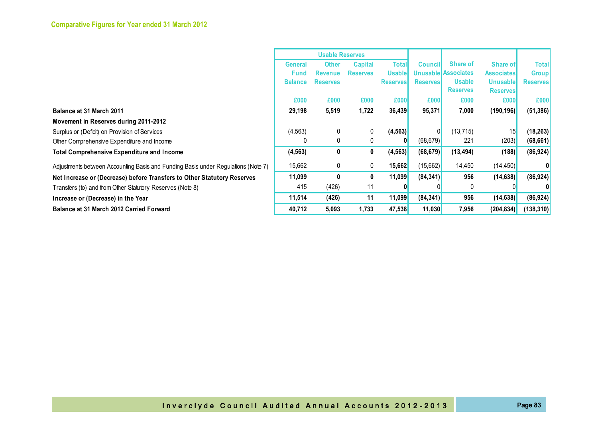|                                                                                   |                | <b>Usable Reserves</b> |                 |                 |                 |                            |                   |                 |
|-----------------------------------------------------------------------------------|----------------|------------------------|-----------------|-----------------|-----------------|----------------------------|-------------------|-----------------|
|                                                                                   | <b>General</b> | <b>Other</b>           | <b>Capital</b>  | <b>Total</b>    | <b>Council</b>  | Share of                   | <b>Share of</b>   | <b>Total</b>    |
|                                                                                   | <b>Fund</b>    | <b>Revenue</b>         | <b>Reserves</b> | <b>Usable</b>   |                 | <b>Unusable Associates</b> | <b>Associates</b> | <b>Group</b>    |
|                                                                                   | <b>Balance</b> | <b>Reserves</b>        |                 | <b>Reserves</b> | <b>Reserves</b> | <b>Usable</b>              | <b>Unusable</b>   | <b>Reserves</b> |
|                                                                                   |                |                        |                 |                 |                 | <b>Reserves</b>            | <b>Reserves</b>   |                 |
|                                                                                   | £000           | £000                   | £000            | £000            | £000            | £000                       | £000              | £000            |
| Balance at 31 March 2011                                                          | 29,198         | 5,519                  | 1,722           | 36,439          | 95,371          | 7,000                      | (190, 196)        | (51, 386)       |
| Movement in Reserves during 2011-2012                                             |                |                        |                 |                 |                 |                            |                   |                 |
| Surplus or (Deficit) on Provision of Services                                     | (4, 563)       | 0                      | 0               | (4, 563)        |                 | (13, 715)                  | 15                | (18, 263)       |
| Other Comprehensive Expenditure and Income                                        | 0              | 0                      | 0               |                 | (68, 679)       | 221                        | (203)             | (68, 661)       |
| <b>Total Comprehensive Expenditure and Income</b>                                 | (4, 563)       | 0                      | 0               | (4, 563)        | (68, 679)       | (13, 494)                  | (188)             | (86, 924)       |
| Adjustments between Accounting Basis and Funding Basis under Regulations (Note 7) | 15,662         | 0                      | 0               | 15,662          | (15,662)        | 14,450                     | (14, 450)         |                 |
| Net Increase or (Decrease) before Transfers to Other Statutory Reserves           | 11,099         | 0                      | 0               | 11,099          | (84, 341)       | 956                        | (14, 638)         | (86, 924)       |
| Transfers (to) and from Other Statutory Reserves (Note 8)                         | 415            | (426)                  | 11              |                 |                 | 0                          |                   |                 |
| Increase or (Decrease) in the Year                                                | 11,514         | (426)                  | 11              | 11,099          | (84, 341)       | 956                        | (14, 638)         | (86, 924)       |
| <b>Balance at 31 March 2012 Carried Forward</b>                                   | 40,712         | 5,093                  | 1,733           | 47,538          | 11,030          | 7,956                      | (204, 834)        | (138, 310)      |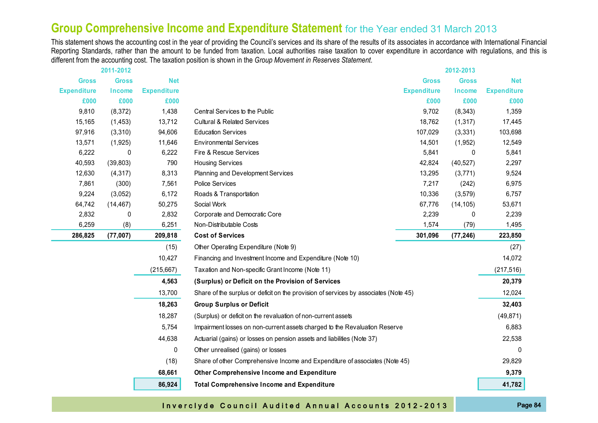## **Group Comprehensive Income and Expenditure Statement** for the Year ended 31 March 2013

This statement shows the accounting cost in the year of providing the Council's services and its share of the results of its associates in accordance with International Financial Reporting Standards, rather than the amount to be funded from taxation. Local authorities raise taxation to cover expenditure in accordance with regulations, and this is different from the accounting cost. The taxation position is shown in the *Group Movement in Reserves Statement*.

|                    | 2011-2012     |                    |                                                                                      |                    | 2012-2013     |                    |
|--------------------|---------------|--------------------|--------------------------------------------------------------------------------------|--------------------|---------------|--------------------|
| Gross              | <b>Gross</b>  | <b>Net</b>         |                                                                                      | <b>Gross</b>       | <b>Gross</b>  | <b>Net</b>         |
| <b>Expenditure</b> | <b>Income</b> | <b>Expenditure</b> |                                                                                      | <b>Expenditure</b> | <b>Income</b> | <b>Expenditure</b> |
| £000               | £000          | £000               |                                                                                      | £000               | £000          | £000               |
| 9,810              | (8,372)       | 1,438              | Central Services to the Public                                                       | 9,702              | (8, 343)      | 1,359              |
| 15,165             | (1, 453)      | 13,712             | <b>Cultural &amp; Related Services</b>                                               | 18,762             | (1, 317)      | 17,445             |
| 97,916             | (3,310)       | 94,606             | <b>Education Services</b>                                                            | 107,029            | (3, 331)      | 103,698            |
| 13,571             | (1,925)       | 11,646             | <b>Environmental Services</b>                                                        | 14,501             | (1, 952)      | 12,549             |
| 6,222              | 0             | 6,222              | Fire & Rescue Services                                                               | 5,841              | 0             | 5,841              |
| 40,593             | (39, 803)     | 790                | <b>Housing Services</b>                                                              | 42,824             | (40, 527)     | 2,297              |
| 12,630             | (4, 317)      | 8,313              | Planning and Development Services                                                    | 13,295             | (3,771)       | 9,524              |
| 7,861              | (300)         | 7,561              | Police Services                                                                      | 7,217              | (242)         | 6,975              |
| 9,224              | (3,052)       | 6,172              | Roads & Transportation                                                               | 10,336             | (3,579)       | 6,757              |
| 64,742             | (14, 467)     | 50,275             | Social Work                                                                          | 67,776             | (14, 105)     | 53,671             |
| 2,832              | 0             | 2,832              | Corporate and Democratic Core                                                        | 2,239              | 0             | 2,239              |
| 6,259              | (8)           | 6,251              | Non-Distributable Costs                                                              | 1,574              | (79)          | 1,495              |
| 286,825            | (77,007)      | 209,818            | <b>Cost of Services</b>                                                              | 301,096            | (77, 246)     | 223,850            |
|                    |               | (15)               | Other Operating Expenditure (Note 9)                                                 |                    |               | (27)               |
|                    |               | 10,427             | Financing and Investment Income and Expenditure (Note 10)                            |                    |               | 14,072             |
|                    |               | (215, 667)         | Taxation and Non-specific Grant Income (Note 11)                                     |                    |               | (217, 516)         |
|                    |               | 4,563              | (Surplus) or Deficit on the Provision of Services                                    |                    |               | 20,379             |
|                    |               | 13,700             | Share of the surplus or deficition the provision of services by associates (Note 45) |                    |               | 12,024             |
|                    |               | 18,263             | <b>Group Surplus or Deficit</b>                                                      |                    |               | 32,403             |
|                    |               | 18,287             | (Surplus) or deficit on the revaluation of non-current assets                        |                    |               | (49, 871)          |
|                    |               | 5,754              | Impairment losses on non-current assets charged to the Revaluation Reserve           |                    |               | 6,883              |
|                    |               | 44,638             | Actuarial (gains) or losses on pension assets and liabilities (Note 37)              |                    |               | 22,538             |
|                    |               | 0                  | Other unrealised (gains) or losses                                                   |                    |               | 0                  |
|                    |               | (18)               | Share of other Comprehensive Income and Expenditure of associates (Note 45)          |                    |               | 29,829             |
|                    |               | 68,661             | Other Comprehensive Income and Expenditure                                           |                    |               | 9,379              |
|                    |               | 86,924             | <b>Total Comprehensive Income and Expenditure</b>                                    |                    |               | 41,782             |

Inverclyde Council Audited Annual Accounts 2012-2013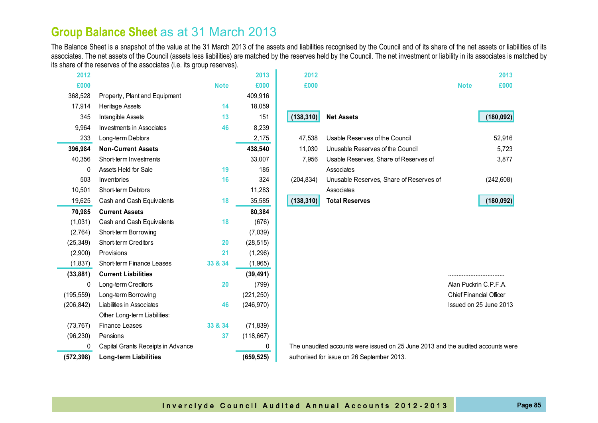# **Group Balance Sheet** as at 31 March 2013

The Balance Sheet is a snapshot of the value at the 31 March 2013 of the assets and liabilities recognised by the Council and of its share of the net assets or liabilities of its associates. The net assets of the Council (assets less liabilities) are matched by the reserves held by the Council. The net investment or liability in its associates is matched by its share of the reserves of the associates (i.e. its group reserves).

| 2012       |                                    |             | 2013       | 2012       |                                                                                  | 2013                           |
|------------|------------------------------------|-------------|------------|------------|----------------------------------------------------------------------------------|--------------------------------|
| £000       |                                    | <b>Note</b> | £000       | £000       |                                                                                  | <b>Note</b><br>£000            |
| 368,528    | Property, Plant and Equipment      |             | 409,916    |            |                                                                                  |                                |
| 17,914     | Heritage Assets                    | 14          | 18,059     |            |                                                                                  |                                |
| 345        | Intangible Assets                  | 13          | 151        | (138, 310) | <b>Net Assets</b>                                                                | (180, 092)                     |
| 9,964      | Investments in Associates          | 46          | 8,239      |            |                                                                                  |                                |
| 233        | Long-term Debtors                  |             | 2,175      | 47,538     | Usable Reserves of the Council                                                   | 52,916                         |
| 396,984    | <b>Non-Current Assets</b>          |             | 438,540    | 11,030     | Unusable Reserves of the Council                                                 | 5,723                          |
| 40,356     | Short-term Investments             |             | 33,007     | 7,956      | Usable Reserves, Share of Reserves of                                            | 3,877                          |
| 0          | Assets Held for Sale               | 19          | 185        |            | Associates                                                                       |                                |
| 503        | Inventories                        | 16          | 324        | (204, 834) | Unusable Reserves, Share of Reserves of                                          | (242, 608)                     |
| 10,501     | Short-term Debtors                 |             | 11,283     |            | Associates                                                                       |                                |
| 19,625     | Cash and Cash Equivalents          | 18          | 35,585     | (138, 310) | <b>Total Reserves</b>                                                            | (180, 092)                     |
| 70,985     | <b>Current Assets</b>              |             | 80,384     |            |                                                                                  |                                |
| (1,031)    | Cash and Cash Equivalents          | 18          | (676)      |            |                                                                                  |                                |
| (2,764)    | Short-term Borrowing               |             | (7,039)    |            |                                                                                  |                                |
| (25, 349)  | Short-term Creditors               | 20          | (28, 515)  |            |                                                                                  |                                |
| (2,900)    | Provisions                         | 21          | (1, 296)   |            |                                                                                  |                                |
| (1,837)    | Short-term Finance Leases          | 33 & 34     | (1,965)    |            |                                                                                  |                                |
| (33, 881)  | <b>Current Liabilities</b>         |             | (39, 491)  |            |                                                                                  |                                |
| 0          | Long-term Creditors                | 20          | (799)      |            |                                                                                  | Alan Puckrin C.P.F.A.          |
| (195, 559) | Long-term Borrowing                |             | (221, 250) |            |                                                                                  | <b>Chief Financial Officer</b> |
| (206, 842) | Liabilities in Associates          | 46          | (246, 970) |            |                                                                                  | Issued on 25 June 2013         |
|            | Other Long-term Liabilities:       |             |            |            |                                                                                  |                                |
| (73, 767)  | Finance Leases                     | 33 & 34     | (71, 839)  |            |                                                                                  |                                |
| (96, 230)  | Pensions                           | 37          | (118, 667) |            |                                                                                  |                                |
| 0          | Capital Grants Receipts in Advance |             | 0          |            | The unaudited accounts were issued on 25 June 2013 and the audited accounts were |                                |
| (572, 398) | <b>Long-term Liabilities</b>       |             | (659, 525) |            | authorised for issue on 26 September 2013.                                       |                                |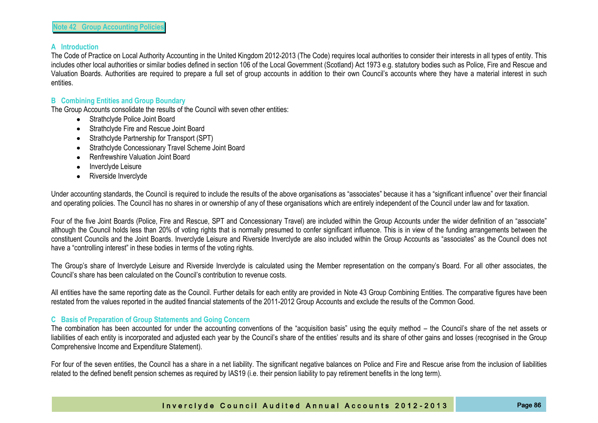#### **A Introduction**

The Code of Practice on Local Authority Accounting in the United Kingdom 2012-2013 (The Code) requires local authorities to consider their interests in all types of entity. This includes other local authorities or similar bodies defined in section 106 of the Local Government (Scotland) Act 1973 e.g. statutory bodies such as Police, Fire and Rescue and Valuation Boards. Authorities are required to prepare a full set of group accounts in addition to their own Council's accounts where they have a material interest in such entities.

## **B Combining Entities and Group Boundary**

The Group Accounts consolidate the results of the Council with seven other entities:

- Strathclyde Police Joint Board
- Strathclyde Fire and Rescue Joint Board
- Strathclyde Partnership for Transport (SPT)
- Strathclyde Concessionary Travel Scheme Joint Board
- Renfrewshire Valuation Joint Board
- Inverclyde Leisure
- Riverside Inverclyde

Under accounting standards, the Council is required to include the results of the above organisations as "associates" because it has a "significant influence" over their financial and operating policies. The Council has no shares in or ownership of any of these organisations which are entirely independent of the Council under law and for taxation.

Four of the five Joint Boards (Police, Fire and Rescue, SPT and Concessionary Travel) are included within the Group Accounts under the wider definition of an "associate" although the Council holds less than 20% of voting rights that is normally presumed to confer significant influence. This is in view of the funding arrangements between the constituent Councils and the Joint Boards. Inverclyde Leisure and Riverside Inverclyde are also included within the Group Accounts as "associates" as the Council does not have a "controlling interest" in these bodies in terms of the voting rights.

The Group's share of Inverclyde Leisure and Riverside Inverclyde is calculated using the Member representation on the company's Board. For all other associates, the Council's share has been calculated on the Council's contribution to revenue costs.

All entities have the same reporting date as the Council. Further details for each entity are provided in Note 43 Group Combining Entities. The comparative figures have been restated from the values reported in the audited financial statements of the 2011-2012 Group Accounts and exclude the results of the Common Good.

## **C Basis of Preparation of Group Statements and Going Concern**

The combination has been accounted for under the accounting conventions of the "acquisition basis" using the equity method – the Council's share of the net assets or liabilities of each entity is incorporated and adjusted each year by the Council's share of the entities' results and its share of other gains and losses (recognised in the Group Comprehensive Income and Expenditure Statement).

For four of the seven entities, the Council has a share in a net liability. The significant negative balances on Police and Fire and Rescue arise from the inclusion of liabilities related to the defined benefit pension schemes as required by IAS19 (i.e. their pension liability to pay retirement benefits in the long term).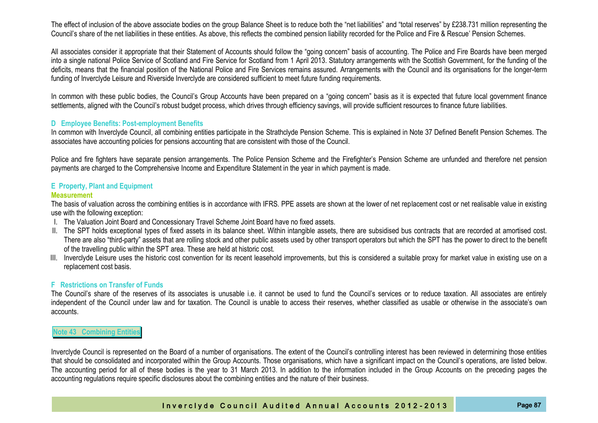The effect of inclusion of the above associate bodies on the group Balance Sheet is to reduce both the "net liabilities" and "total reserves" by £238.731 million representing the Council's share of the net liabilities in these entities. As above, this reflects the combined pension liability recorded for the Police and Fire & Rescue' Pension Schemes.

All associates consider it appropriate that their Statement of Accounts should follow the "going concern" basis of accounting. The Police and Fire Boards have been merged into a single national Police Service of Scotland and Fire Service for Scotland from 1 April 2013. Statutory arrangements with the Scottish Government, for the funding of the deficits, means that the financial position of the National Police and Fire Services remains assured. Arrangements with the Council and its organisations for the longer-term funding of Inverclyde Leisure and Riverside Inverclyde are considered sufficient to meet future funding requirements.

In common with these public bodies, the Council's Group Accounts have been prepared on a "going concern" basis as it is expected that future local government finance settlements, aligned with the Council's robust budget process, which drives through efficiency savings, will provide sufficient resources to finance future liabilities.

## **D Employee Benefits: Post-employment Benefits**

In common with Inverclyde Council, all combining entities participate in the Strathclyde Pension Scheme. This is explained in Note 37 Defined Benefit Pension Schemes. The associates have accounting policies for pensions accounting that are consistent with those of the Council.

Police and fire fighters have separate pension arrangements. The Police Pension Scheme and the Firefighter's Pension Scheme are unfunded and therefore net pension payments are charged to the Comprehensive Income and Expenditure Statement in the year in which payment is made.

## **E Property, Plant and Equipment**

## **Measurement**

The basis of valuation across the combining entities is in accordance with IFRS. PPE assets are shown at the lower of net replacement cost or net realisable value in existing use with the following exception:

- I. The Valuation Joint Board and Concessionary Travel Scheme Joint Board have no fixed assets.
- II. The SPT holds exceptional types of fixed assets in its balance sheet. Within intangible assets, there are subsidised bus contracts that are recorded at amortised cost. There are also "third-party" assets that are rolling stock and other public assets used by other transport operators but which the SPT has the power to direct to the benefit of the travelling public within the SPT area. These are held at historic cost.
- III. Inverclyde Leisure uses the historic cost convention for its recent leasehold improvements, but this is considered a suitable proxy for market value in existing use on a replacement cost basis.

## **F Restrictions on Transfer of Funds**

The Council's share of the reserves of its associates is unusable i.e. it cannot be used to fund the Council's services or to reduce taxation. All associates are entirely independent of the Council under law and for taxation. The Council is unable to access their reserves, whether classified as usable or otherwise in the associate's own accounts.

## **Note 43 Combining Entities**

Inverclyde Council is represented on the Board of a number of organisations. The extent of the Council's controlling interest has been reviewed in determining those entities that should be consolidated and incorporated within the Group Accounts. Those organisations, which have a significant impact on the Council's operations, are listed below. The accounting period for all of these bodies is the year to 31 March 2013. In addition to the information included in the Group Accounts on the preceding pages the accounting regulations require specific disclosures about the combining entities and the nature of their business.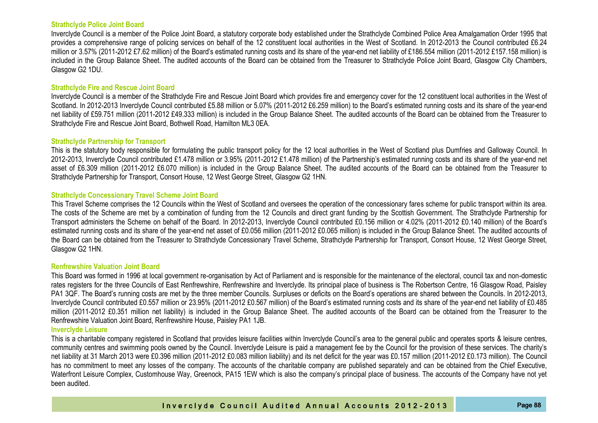## **Strathclyde Police Joint Board**

Inverclyde Council is a member of the Police Joint Board, a statutory corporate body established under the Strathclyde Combined Police Area Amalgamation Order 1995 that provides a comprehensive range of policing services on behalf of the 12 constituent local authorities in the West of Scotland. In 2012-2013 the Council contributed £6.24 million or 3.57% (2011-2012 £7.62 million) of the Board's estimated running costs and its share of the year-end net liability of £186.554 million (2011-2012 £157.158 million) is included in the Group Balance Sheet. The audited accounts of the Board can be obtained from the Treasurer to Strathclyde Police Joint Board, Glasgow City Chambers, Glasgow G2 1DU.

#### **Strathclyde Fire and Rescue Joint Board**

Inverclyde Council is a member of the Strathclyde Fire and Rescue Joint Board which provides fire and emergency cover for the 12 constituent local authorities in the West of Scotland. In 2012-2013 Inverclyde Council contributed £5.88 million or 5.07% (2011-2012 £6.259 million) to the Board's estimated running costs and its share of the year-end net liability of £59.751 million (2011-2012 £49.333 million) is included in the Group Balance Sheet. The audited accounts of the Board can be obtained from the Treasurer to Strathclyde Fire and Rescue Joint Board, Bothwell Road, Hamilton ML3 0EA.

#### **Strathclyde Partnership for Transport**

This is the statutory body responsible for formulating the public transport policy for the 12 local authorities in the West of Scotland plus Dumfries and Galloway Council. In 2012-2013, Inverclyde Council contributed £1.478 million or 3.95% (2011-2012 £1.478 million) of the Partnership's estimated running costs and its share of the year-end net asset of £6.309 million (2011-2012 £6.070 million) is included in the Group Balance Sheet. The audited accounts of the Board can be obtained from the Treasurer to Strathclyde Partnership for Transport, Consort House, 12 West George Street, Glasgow G2 1HN.

## **Strathclyde Concessionary Travel Scheme Joint Board**

This Travel Scheme comprises the 12 Councils within the West of Scotland and oversees the operation of the concessionary fares scheme for public transport within its area. The costs of the Scheme are met by a combination of funding from the 12 Councils and direct grant funding by the Scottish Government. The Strathclyde Partnership for Transport administers the Scheme on behalf of the Board. In 2012-2013, Inverclyde Council contributed £0.156 million or 4.02% (2011-2012 £0.140 million) of the Board's estimated running costs and its share of the year-end net asset of £0.056 million (2011-2012 £0.065 million) is included in the Group Balance Sheet. The audited accounts of the Board can be obtained from the Treasurer to Strathclyde Concessionary Travel Scheme, Strathclyde Partnership for Transport, Consort House, 12 West George Street, Glasgow G2 1HN.

#### **Renfrewshire Valuation Joint Board**

This Board was formed in 1996 at local government re-organisation by Act of Parliament and is responsible for the maintenance of the electoral, council tax and non-domestic rates registers for the three Councils of East Renfrewshire, Renfrewshire and Inverclyde. Its principal place of business is The Robertson Centre, 16 Glasgow Road, Paisley PA1 3QF. The Board's running costs are met by the three member Councils. Surpluses or deficits on the Board's operations are shared between the Councils. In 2012-2013, Inverclyde Council contributed £0.557 million or 23.95% (2011-2012 £0.567 million) of the Board's estimated running costs and its share of the year-end net liability of £0.485 million (2011-2012 £0.351 million net liability) is included in the Group Balance Sheet. The audited accounts of the Board can be obtained from the Treasurer to the Renfrewshire Valuation Joint Board, Renfrewshire House, Paisley PA1 1JB.

#### **Inverclyde Leisure**

This is a charitable company registered in Scotland that provides leisure facilities within Inverclyde Council's area to the general public and operates sports & leisure centres, community centres and swimming pools owned by the Council. Inverclyde Leisure is paid a management fee by the Council for the provision of these services. The charity's net liability at 31 March 2013 were £0.396 million (2011-2012 £0.083 million liability) and its net deficit for the year was £0.157 million (2011-2012 £0.173 million). The Council has no commitment to meet any losses of the company. The accounts of the charitable company are published separately and can be obtained from the Chief Executive, Waterfront Leisure Complex, Customhouse Way, Greenock, PA15 1EW which is also the company's principal place of business. The accounts of the Company have not yet been audited.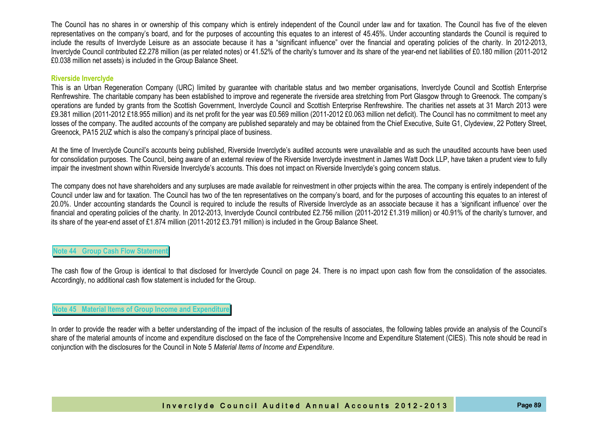The Council has no shares in or ownership of this company which is entirely independent of the Council under law and for taxation. The Council has five of the eleven representatives on the company's board, and for the purposes of accounting this equates to an interest of 45.45%. Under accounting standards the Council is required to include the results of Inverclyde Leisure as an associate because it has a "significant influence" over the financial and operating policies of the charity. In 2012-2013, Inverclyde Council contributed £2.278 million (as per related notes) or 41.52% of the charity's turnover and its share of the year-end net liabilities of £0.180 million (2011-2012 £0.038 million net assets) is included in the Group Balance Sheet.

## **Riverside Inverclyde**

This is an Urban Regeneration Company (URC) limited by guarantee with charitable status and two member organisations, Inverclyde Council and Scottish Enterprise Renfrewshire. The charitable company has been established to improve and regenerate the riverside area stretching from Port Glasgow through to Greenock. The company's operations are funded by grants from the Scottish Government, Inverclyde Council and Scottish Enterprise Renfrewshire. The charities net assets at 31 March 2013 were £9.381 million (2011-2012 £18.955 million) and its net profit for the year was £0.569 million (2011-2012 £0.063 million net deficit). The Council has no commitment to meet any losses of the company. The audited accounts of the company are published separately and may be obtained from the Chief Executive, Suite G1, Clydeview, 22 Pottery Street, Greenock, PA15 2UZ which is also the company's principal place of business.

At the time of Inverclyde Council's accounts being published, Riverside Inverclyde's audited accounts were unavailable and as such the unaudited accounts have been used for consolidation purposes. The Council, being aware of an external review of the Riverside Inverclyde investment in James Watt Dock LLP, have taken a prudent view to fully impair the investment shown within Riverside Inverclyde's accounts. This does not impact on Riverside Inverclyde's going concern status.

The company does not have shareholders and any surpluses are made available for reinvestment in other projects within the area. The company is entirely independent of the Council under law and for taxation. The Council has two of the ten representatives on the company's board, and for the purposes of accounting this equates to an interest of 20.0%. Under accounting standards the Council is required to include the results of Riverside Inverclyde as an associate because it has a 'significant influence' over the financial and operating policies of the charity. In 2012-2013, Inverclyde Council contributed £2.756 million (2011-2012 £1.319 million) or 40.91% of the charity's turnover, and its share of the year-end asset of £1.874 million (2011-2012 £3.791 million) is included in the Group Balance Sheet.

## **Note 44 Group Cash Flow Statement**

The cash flow of the Group is identical to that disclosed for Inverclyde Council on page 24. There is no impact upon cash flow from the consolidation of the associates. Accordingly, no additional cash flow statement is included for the Group.

## **Note 45 Material Items of Group Income and Expenditure**

In order to provide the reader with a better understanding of the impact of the inclusion of the results of associates, the following tables provide an analysis of the Council's share of the material amounts of income and expenditure disclosed on the face of the Comprehensive Income and Expenditure Statement (CIES). This note should be read in conjunction with the disclosures for the Council in Note 5 *Material Items of Income and Expenditure*.

## Inverclyde Council Audited Annual Accounts 2012-2013 Page 89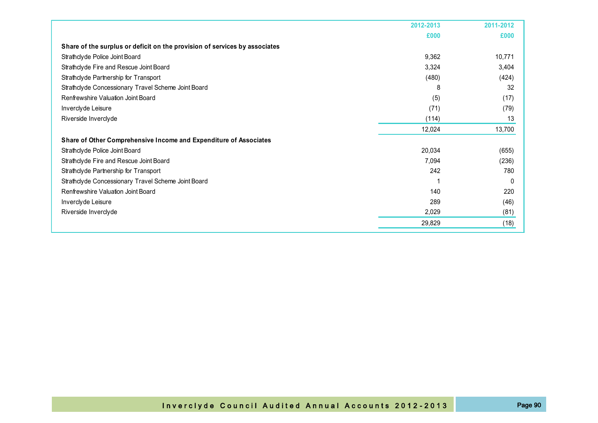| £000<br>Share of the surplus or deficit on the provision of services by associates<br>9,362<br>Strathclyde Police Joint Board<br>3,324<br>Strathclyde Fire and Rescue Joint Board<br>Strathclyde Partnership for Transport<br>(480)<br>Strathclyde Concessionary Travel Scheme Joint Board<br>8<br>Renfrewshire Valuation Joint Board<br>(5)<br>Inverclyde Leisure<br>(71)<br>Riverside Inverclyde<br>(114)<br>12,024<br>Share of Other Comprehensive Income and Expenditure of Associates<br>20,034<br>Strathclyde Police Joint Board<br>7,094<br>Strathclyde Fire and Rescue Joint Board<br>242<br>Strathclyde Partnership for Transport |                                                     | 2012-2013 | 2011-2012 |
|--------------------------------------------------------------------------------------------------------------------------------------------------------------------------------------------------------------------------------------------------------------------------------------------------------------------------------------------------------------------------------------------------------------------------------------------------------------------------------------------------------------------------------------------------------------------------------------------------------------------------------------------|-----------------------------------------------------|-----------|-----------|
|                                                                                                                                                                                                                                                                                                                                                                                                                                                                                                                                                                                                                                            |                                                     |           | £000      |
|                                                                                                                                                                                                                                                                                                                                                                                                                                                                                                                                                                                                                                            |                                                     |           |           |
|                                                                                                                                                                                                                                                                                                                                                                                                                                                                                                                                                                                                                                            |                                                     |           | 10,771    |
|                                                                                                                                                                                                                                                                                                                                                                                                                                                                                                                                                                                                                                            |                                                     |           | 3,404     |
|                                                                                                                                                                                                                                                                                                                                                                                                                                                                                                                                                                                                                                            |                                                     |           | (424)     |
|                                                                                                                                                                                                                                                                                                                                                                                                                                                                                                                                                                                                                                            |                                                     |           | 32        |
|                                                                                                                                                                                                                                                                                                                                                                                                                                                                                                                                                                                                                                            |                                                     |           | (17)      |
|                                                                                                                                                                                                                                                                                                                                                                                                                                                                                                                                                                                                                                            |                                                     |           | (79)      |
|                                                                                                                                                                                                                                                                                                                                                                                                                                                                                                                                                                                                                                            |                                                     |           | 13        |
|                                                                                                                                                                                                                                                                                                                                                                                                                                                                                                                                                                                                                                            |                                                     |           | 13,700    |
|                                                                                                                                                                                                                                                                                                                                                                                                                                                                                                                                                                                                                                            |                                                     |           |           |
|                                                                                                                                                                                                                                                                                                                                                                                                                                                                                                                                                                                                                                            |                                                     |           | (655)     |
|                                                                                                                                                                                                                                                                                                                                                                                                                                                                                                                                                                                                                                            |                                                     |           | (236)     |
|                                                                                                                                                                                                                                                                                                                                                                                                                                                                                                                                                                                                                                            |                                                     |           | 780       |
|                                                                                                                                                                                                                                                                                                                                                                                                                                                                                                                                                                                                                                            | Strathclyde Concessionary Travel Scheme Joint Board |           | 0         |
| Renfrewshire Valuation Joint Board<br>140                                                                                                                                                                                                                                                                                                                                                                                                                                                                                                                                                                                                  |                                                     |           | 220       |
| 289<br>Inverclyde Leisure                                                                                                                                                                                                                                                                                                                                                                                                                                                                                                                                                                                                                  |                                                     |           | (46)      |
| Riverside Inverclyde<br>2,029                                                                                                                                                                                                                                                                                                                                                                                                                                                                                                                                                                                                              |                                                     |           | (81)      |
| 29,829                                                                                                                                                                                                                                                                                                                                                                                                                                                                                                                                                                                                                                     |                                                     |           | (18)      |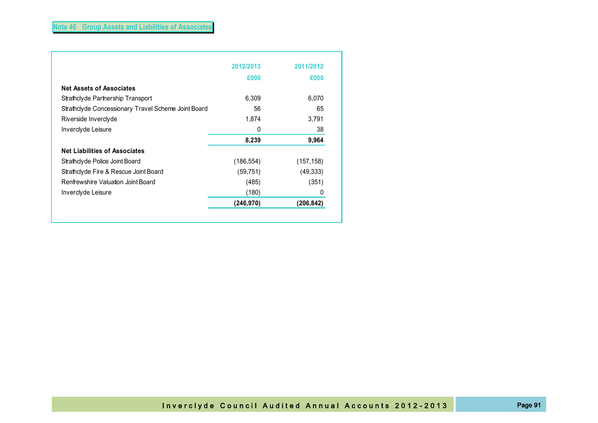|                                                     | 2012/2013 | 2011/2012  |
|-----------------------------------------------------|-----------|------------|
|                                                     | £000      | £000       |
| <b>Net Assets of Associates</b>                     |           |            |
| Strathclyde Partnership Transport                   | 6,309     | 6,070      |
| Strathclyde Concessionary Travel Scheme Joint Board | 56        | 65         |
| Riverside Inverclyde                                | 1,874     | 3.791      |
| Inverclyde Leisure                                  | 0         | 38         |
|                                                     | 8,239     | 9,964      |
| <b>Net Liabilities of Associates</b>                |           |            |
| Strathclyde Police Joint Board                      | (186,554) | (157, 158) |
| Strathclyde Fire & Rescue Joint Board               | (59, 751) | (49, 333)  |
| Renfrewshire Valuation Joint Board                  | (485)     | (351)      |
| Inverclyde Leisure                                  | (180)     | 0          |
|                                                     | (246,970) | (206, 842) |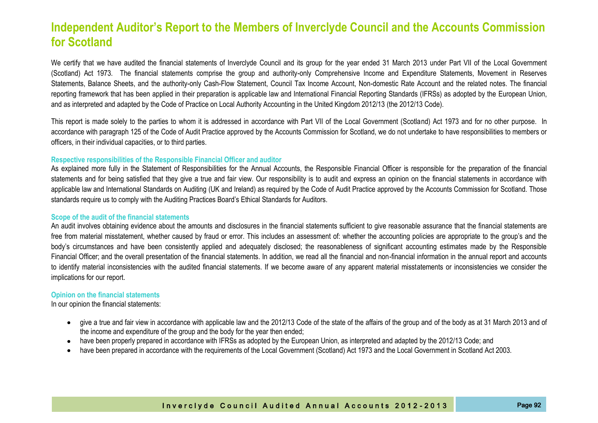# **Independent Auditor's Report to the Members of Inverclyde Council and the Accounts Commission for Scotland**

We certify that we have audited the financial statements of Inverclyde Council and its group for the year ended 31 March 2013 under Part VII of the Local Government (Scotland) Act 1973. The financial statements comprise the group and authority-only Comprehensive Income and Expenditure Statements, Movement in Reserves Statements, Balance Sheets, and the authority-only Cash-Flow Statement, Council Tax Income Account, Non-domestic Rate Account and the related notes. The financial reporting framework that has been applied in their preparation is applicable law and International Financial Reporting Standards (IFRSs) as adopted by the European Union, and as interpreted and adapted by the Code of Practice on Local Authority Accounting in the United Kingdom 2012/13 (the 2012/13 Code).

This report is made solely to the parties to whom it is addressed in accordance with Part VII of the Local Government (Scotland) Act 1973 and for no other purpose. In accordance with paragraph 125 of the Code of Audit Practice approved by the Accounts Commission for Scotland, we do not undertake to have responsibilities to members or officers, in their individual capacities, or to third parties.

#### **Respective responsibilities of the Responsible Financial Officer and auditor**

As explained more fully in the Statement of Responsibilities for the Annual Accounts, the Responsible Financial Officer is responsible for the preparation of the financial statements and for being satisfied that they give a true and fair view. Our responsibility is to audit and express an opinion on the financial statements in accordance with applicable law and International Standards on Auditing (UK and Ireland) as required by the Code of Audit Practice approved by the Accounts Commission for Scotland. Those standards require us to comply with the Auditing Practices Board's Ethical Standards for Auditors.

## **Scope of the audit of the financial statements**

An audit involves obtaining evidence about the amounts and disclosures in the financial statements sufficient to give reasonable assurance that the financial statements are free from material misstatement, whether caused by fraud or error. This includes an assessment of: whether the accounting policies are appropriate to the group's and the body's circumstances and have been consistently applied and adequately disclosed; the reasonableness of significant accounting estimates made by the Responsible Financial Officer; and the overall presentation of the financial statements. In addition, we read all the financial and non-financial information in the annual report and accounts to identify material inconsistencies with the audited financial statements. If we become aware of any apparent material misstatements or inconsistencies we consider the implications for our report.

#### **Opinion on the financial statements**

In our opinion the financial statements:

- give a true and fair view in accordance with applicable law and the 2012/13 Code of the state of the affairs of the group and of the body as at 31 March 2013 and of the income and expenditure of the group and the body for the year then ended;
- have been properly prepared in accordance with IFRSs as adopted by the European Union, as interpreted and adapted by the 2012/13 Code; and
- have been prepared in accordance with the requirements of the Local Government (Scotland) Act 1973 and the Local Government in Scotland Act 2003.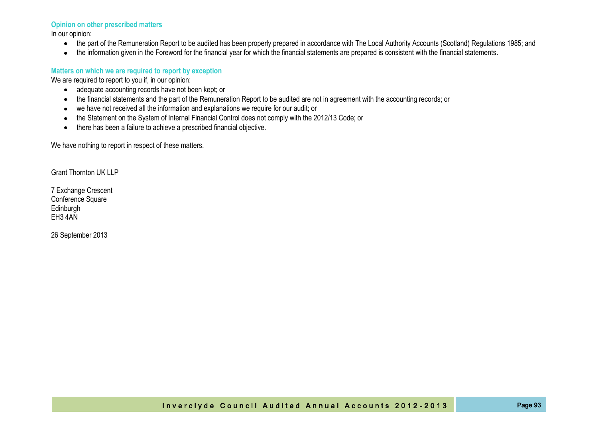#### **Opinion on other prescribed matters**

In our opinion:

- the part of the Remuneration Report to be audited has been properly prepared in accordance with The Local Authority Accounts (Scotland) Regulations 1985; and
- the information given in the Foreword for the financial year for which the financial statements are prepared is consistent with the financial statements.

## **Matters on which we are required to report by exception**

We are required to report to you if, in our opinion:

- adequate accounting records have not been kept; or
- the financial statements and the part of the Remuneration Report to be audited are not in agreement with the accounting records; or  $\bullet$
- we have not received all the information and explanations we require for our audit; or
- the Statement on the System of Internal Financial Control does not comply with the 2012/13 Code; or
- there has been a failure to achieve a prescribed financial objective.  $\bullet$

We have nothing to report in respect of these matters.

Grant Thornton UK LLP

7 Exchange Crescent Conference Square Edinburgh EH3 4AN

26 September 2013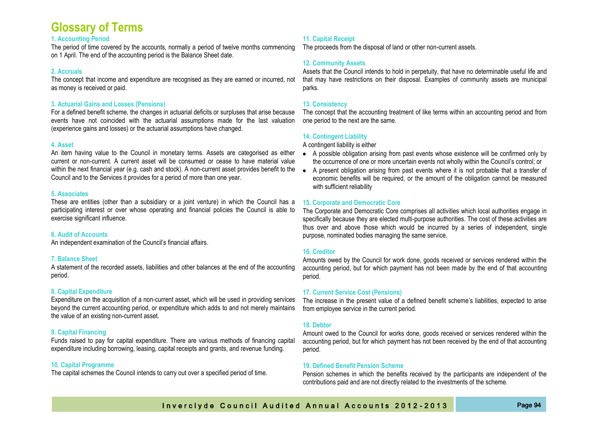## **Glossary of Terms**

#### **1. Accounting Period**

The period of time covered by the accounts, normally a period of twelve months commencing on 1 April. The end of the accounting period is the Balance Sheet date.

#### **2. Accruals**

The concept that income and expenditure are recognised as they are earned or incurred, not as money is received or paid.

#### **3. Actuarial Gains and Losses (Pensions)**

For a defined benefit scheme, the changes in actuarial deficits or surpluses that arise because events have not coincided with the actuarial assumptions made for the last valuation (experience gains and losses) or the actuarial assumptions have changed.

#### **4. Asset**

An item having value to the Council in monetary terms. Assets are categorised as either current or non-current. A current asset will be consumed or cease to have material value within the next financial year (e.g. cash and stock). A non-current asset provides benefit to the Council and to the Services it provides for a period of more than one year.

#### **5. Associates**

These are entities (other than a subsidiary or a joint venture) in which the Council has a participating interest or over whose operating and financial policies the Council is able to exercise significant influence.

#### **6. Audit of Accounts**

An independent examination of the Council's financial affairs.

#### **7. Balance Sheet**

A statement of the recorded assets, liabilities and other balances at the end of the accounting period.

#### **8. Capital Expenditure**

Expenditure on the acquisition of a non-current asset, which will be used in providing services beyond the current accounting period, or expenditure which adds to and not merely maintains the value of an existing non-current asset.

#### **9. Capital Financing**

Funds raised to pay for capital expenditure. There are various methods of financing capital expenditure including borrowing, leasing, capital receipts and grants, and revenue funding.

#### **10. Capital Programme**

The capital schemes the Council intends to carry out over a specified period of time.

#### **11. Capital Receipt**

The proceeds from the disposal of land or other non-current assets.

#### **12. Community Assets**

Assets that the Council intends to hold in perpetuity, that have no determinable useful life and that may have restrictions on their disposal. Examples of community assets are municipal parks.

#### **13. Consistency**

The concept that the accounting treatment of like terms within an accounting period and from one period to the next are the same.

#### **14. Contingent Liability**

A contingent liability is either

- A possible obligation arising from past events whose existence will be confirmed only by the occurrence of one or more uncertain events not wholly within the Council's control; or
- A present obligation arising from past events where it is not probable that a transfer of economic benefits will be required, or the amount of the obligation cannot be measured with sufficient reliability

#### **15. Corporate and Democratic Core**

The Corporate and Democratic Core comprises all activities which local authorities engage in specifically because they are elected multi-purpose authorities. The cost of these activities are thus over and above those which would be incurred by a series of independent, single purpose, nominated bodies managing the same service.

#### **16. Creditor**

Amounts owed by the Council for work done, goods received or services rendered within the accounting period, but for which payment has not been made by the end of that accounting period.

#### **17. Current Service Cost (Pensions)**

The increase in the present value of a defined benefit scheme's liabilities, expected to arise from employee service in the current period.

#### **18. Debtor**

Amount owed to the Council for works done, goods received or services rendered within the accounting period, but for which payment has not been received by the end of that accounting period.

#### **19. Defined Benefit Pension Scheme**

Pension schemes in which the benefits received by the participants are independent of the contributions paid and are not directly related to the investments of the scheme.

## Inverclyde Council Audited Annual Accounts 2012-2013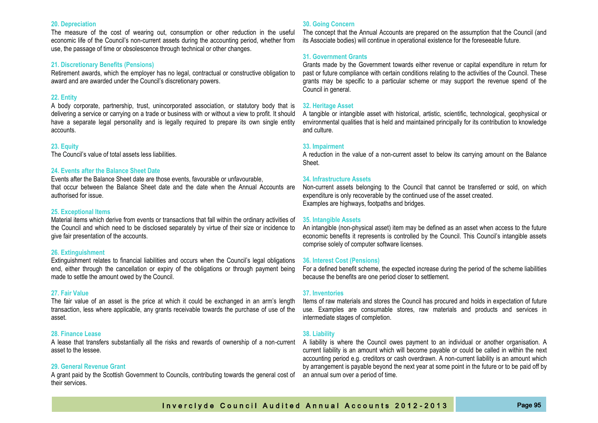#### **20. Depreciation**

The measure of the cost of wearing out, consumption or other reduction in the useful economic life of the Council's non-current assets during the accounting period, whether from use, the passage of time or obsolescence through technical or other changes.

#### **21. Discretionary Benefits (Pensions)**

Retirement awards, which the employer has no legal, contractual or constructive obligation to award and are awarded under the Council's discretionary powers.

#### **22. Entity**

A body corporate, partnership, trust, unincorporated association, or statutory body that is delivering a service or carrying on a trade or business with or without a view to profit. It should have a separate legal personality and is legally required to prepare its own single entity accounts.

#### **23. Equity**

The Council's value of total assets less liabilities.

#### **24. Events after the Balance Sheet Date**

Events after the Balance Sheet date are those events, favourable or unfavourable, that occur between the Balance Sheet date and the date when the Annual Accounts are authorised for issue.

#### **25. Exceptional Items**

Material items which derive from events or transactions that fall within the ordinary activities of the Council and which need to be disclosed separately by virtue of their size or incidence to give fair presentation of the accounts.

#### **26. Extinguishment**

Extinguishment relates to financial liabilities and occurs when the Council's legal obligations end, either through the cancellation or expiry of the obligations or through payment being made to settle the amount owed by the Council.

#### **27. Fair Value**

The fair value of an asset is the price at which it could be exchanged in an arm's length transaction, less where applicable, any grants receivable towards the purchase of use of the asset.

#### **28. Finance Lease**

A lease that transfers substantially all the risks and rewards of ownership of a non-current asset to the lessee.

#### **29. General Revenue Grant**

A grant paid by the Scottish Government to Councils, contributing towards the general cost of their services.

#### **30. Going Concern**

The concept that the Annual Accounts are prepared on the assumption that the Council (and its Associate bodies) will continue in operational existence for the foreseeable future.

#### **31. Government Grants**

Grants made by the Government towards either revenue or capital expenditure in return for past or future compliance with certain conditions relating to the activities of the Council. These grants may be specific to a particular scheme or may support the revenue spend of the Council in general.

#### **32. Heritage Asset**

A tangible or intangible asset with historical, artistic, scientific, technological, geophysical or environmental qualities that is held and maintained principally for its contribution to knowledge and culture.

#### **33. Impairment**

A reduction in the value of a non-current asset to below its carrying amount on the Balance Sheet.

#### **34. Infrastructure Assets**

Non-current assets belonging to the Council that cannot be transferred or sold, on which expenditure is only recoverable by the continued use of the asset created. Examples are highways, footpaths and bridges.

#### **35. Intangible Assets**

An intangible (non-physical asset) item may be defined as an asset when access to the future economic benefits it represents is controlled by the Council. This Council's intangible assets comprise solely of computer software licenses.

#### **36. Interest Cost (Pensions)**

For a defined benefit scheme, the expected increase during the period of the scheme liabilities because the benefits are one period closer to settlement.

#### **37. Inventories**

Items of raw materials and stores the Council has procured and holds in expectation of future use. Examples are consumable stores, raw materials and products and services in intermediate stages of completion.

#### **38. Liability**

A liability is where the Council owes payment to an individual or another organisation. A current liability is an amount which will become payable or could be called in within the next accounting period e.g. creditors or cash overdrawn. A non-current liability is an amount which by arrangement is payable beyond the next year at some point in the future or to be paid off by an annual sum over a period of time.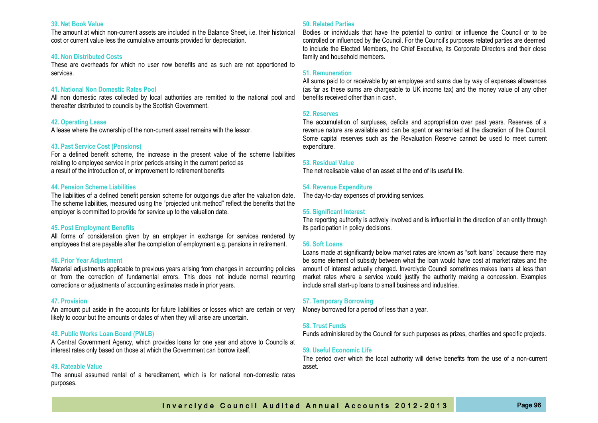#### **39. Net Book Value**

The amount at which non-current assets are included in the Balance Sheet, i.e. their historical cost or current value less the cumulative amounts provided for depreciation.

#### **40. Non Distributed Costs**

These are overheads for which no user now benefits and as such are not apportioned to services.

#### **41. National Non Domestic Rates Pool**

All non domestic rates collected by local authorities are remitted to the national pool and thereafter distributed to councils by the Scottish Government.

#### **42. Operating Lease**

A lease where the ownership of the non-current asset remains with the lessor.

#### **43. Past Service Cost (Pensions)**

For a defined benefit scheme, the increase in the present value of the scheme liabilities relating to employee service in prior periods arising in the current period as a result of the introduction of, or improvement to retirement benefits

#### **44. Pension Scheme Liabilities**

The liabilities of a defined benefit pension scheme for outgoings due after the valuation date. The scheme liabilities, measured using the "projected unit method" reflect the benefits that the employer is committed to provide for service up to the valuation date.

#### **45. Post Employment Benefits**

All forms of consideration given by an employer in exchange for services rendered by employees that are payable after the completion of employment e.g. pensions in retirement.

#### **46. Prior Year Adjustment**

Material adjustments applicable to previous years arising from changes in accounting policies or from the correction of fundamental errors. This does not include normal recurring corrections or adjustments of accounting estimates made in prior years.

#### **47. Provision**

An amount put aside in the accounts for future liabilities or losses which are certain or very likely to occur but the amounts or dates of when they will arise are uncertain.

#### **48. Public Works Loan Board (PWLB)**

A Central Government Agency, which provides loans for one year and above to Councils at interest rates only based on those at which the Government can borrow itself.

#### **49. Rateable Value**

The annual assumed rental of a hereditament, which is for national non-domestic rates purposes.

#### **50. Related Parties**

Bodies or individuals that have the potential to control or influence the Council or to be controlled or influenced by the Council. For the Council's purposes related parties are deemed to include the Elected Members, the Chief Executive, its Corporate Directors and their close family and household members.

#### **51. Remuneration**

All sums paid to or receivable by an employee and sums due by way of expenses allowances (as far as these sums are chargeable to UK income tax) and the money value of any other benefits received other than in cash.

#### **52. Reserves**

The accumulation of surpluses, deficits and appropriation over past years. Reserves of a revenue nature are available and can be spent or earmarked at the discretion of the Council. Some capital reserves such as the Revaluation Reserve cannot be used to meet current expenditure.

#### **53. Residual Value**

The net realisable value of an asset at the end of its useful life.

#### **54. Revenue Expenditure**

The day-to-day expenses of providing services.

#### **55. Significant Interest**

The reporting authority is actively involved and is influential in the direction of an entity through its participation in policy decisions.

#### **56. Soft Loans**

Loans made at significantly below market rates are known as "soft loans" because there may be some element of subsidy between what the loan would have cost at market rates and the amount of interest actually charged. Inverclyde Council sometimes makes loans at less than market rates where a service would justify the authority making a concession. Examples include small start-up loans to small business and industries.

#### **57. Temporary Borrowing**

Money borrowed for a period of less than a year.

#### **58. Trust Funds**

Funds administered by the Council for such purposes as prizes, charities and specific projects.

#### **59. Useful Economic Life**

The period over which the local authority will derive benefits from the use of a non-current asset.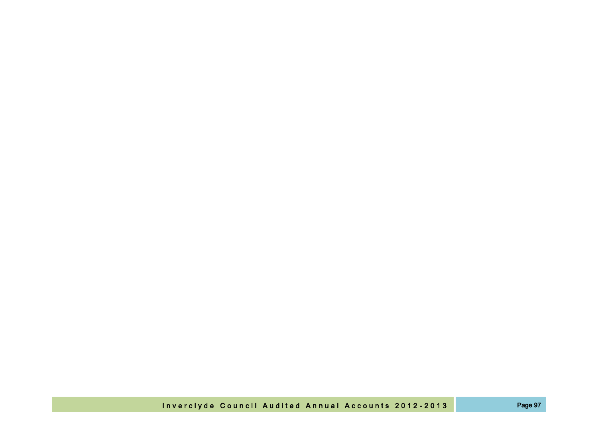## Inverclyde Council Audited Annual Accounts 2012-2013 Page 97